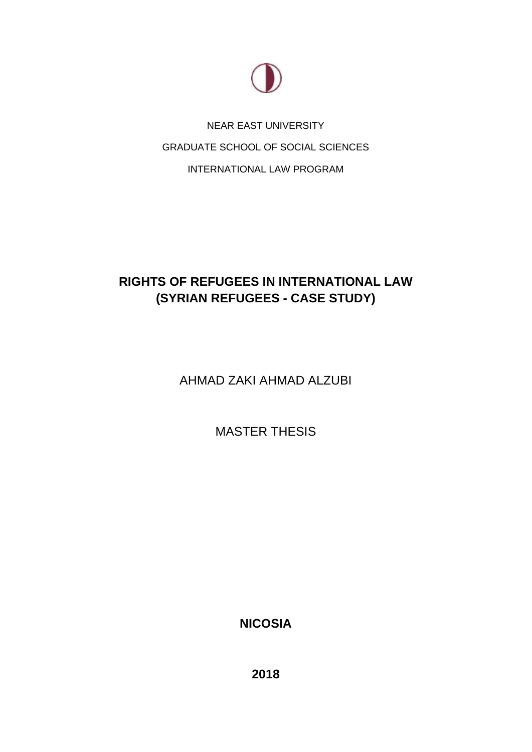

NEAR EAST UNIVERSITY GRADUATE SCHOOL OF SOCIAL SCIENCES INTERNATIONAL LAW PROGRAM

# **RIGHTS OF REFUGEES IN INTERNATIONAL LAW (SYRIAN REFUGEES - CASE STUDY)**

AHMAD ZAKI AHMAD ALZUBI

MASTER THESIS

**NICOSIA**

**2018**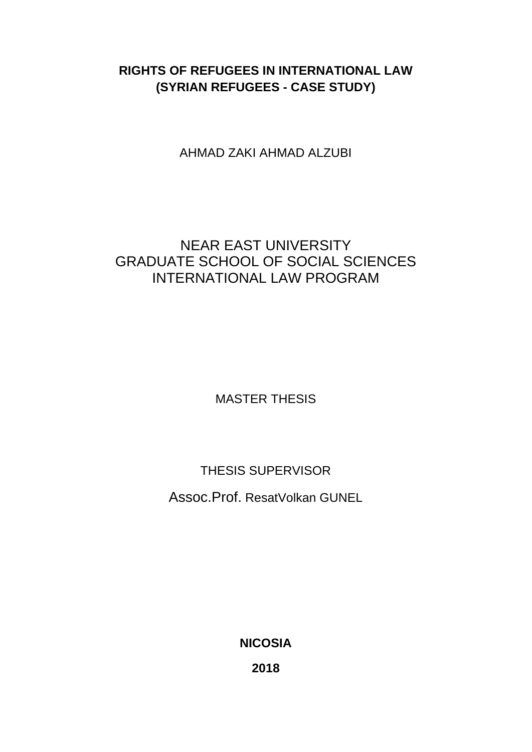# **RIGHTS OF REFUGEES IN INTERNATIONAL LAW (SYRIAN REFUGEES - CASE STUDY)**

AHMAD ZAKI AHMAD ALZUBI

# NEAR EAST UNIVERSITY GRADUATE SCHOOL OF SOCIAL SCIENCES INTERNATIONAL LAW PROGRAM

MASTER THESIS

THESIS SUPERVISOR

Assoc.Prof. ResatVolkan GUNEL

**NICOSIA**

**2018**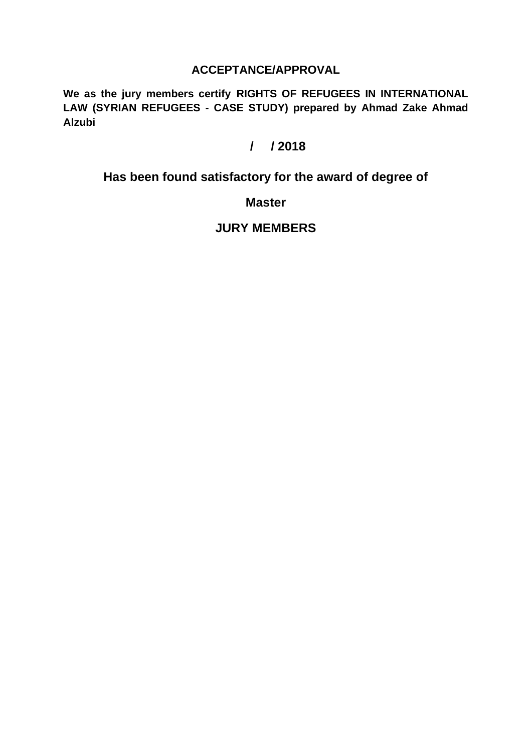## **ACCEPTANCE/APPROVAL**

**We as the jury members certify RIGHTS OF REFUGEES IN INTERNATIONAL LAW (SYRIAN REFUGEES - CASE STUDY) prepared by Ahmad Zake Ahmad Alzubi**

# **/ / 2018**

# **Has been found satisfactory for the award of degree of**

## **Master**

## **JURY MEMBERS**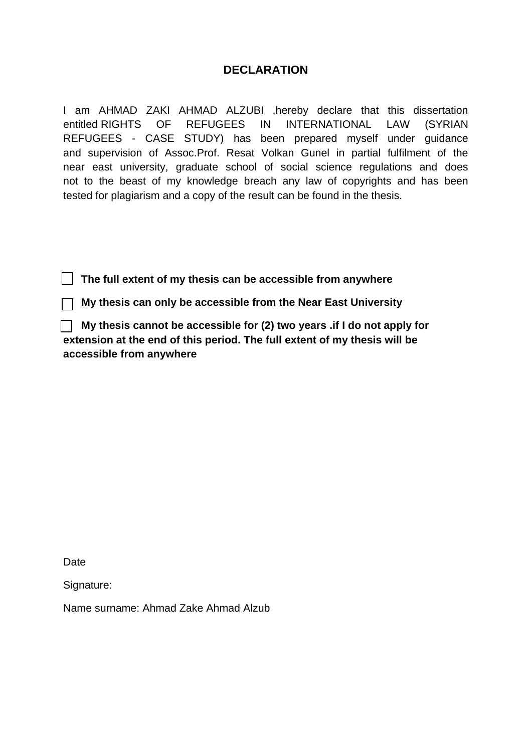## **DECLARATION**

I am AHMAD ZAKI AHMAD ALZUBI ,hereby declare that this dissertation entitled RIGHTS OF REFUGEES IN INTERNATIONAL LAW (SYRIAN REFUGEES - CASE STUDY) has been prepared myself under guidance and supervision of Assoc.Prof. Resat Volkan Gunel in partial fulfilment of the near east university, graduate school of social science regulations and does not to the beast of my knowledge breach any law of copyrights and has been tested for plagiarism and a copy of the result can be found in the thesis.

 **The full extent of my thesis can be accessible from anywhere** 

 **My thesis can only be accessible from the Near East University**

 **My thesis cannot be accessible for (2) two years .if I do not apply for extension at the end of this period. The full extent of my thesis will be accessible from anywhere** 

Date

Signature:

Name surname: Ahmad Zake Ahmad Alzub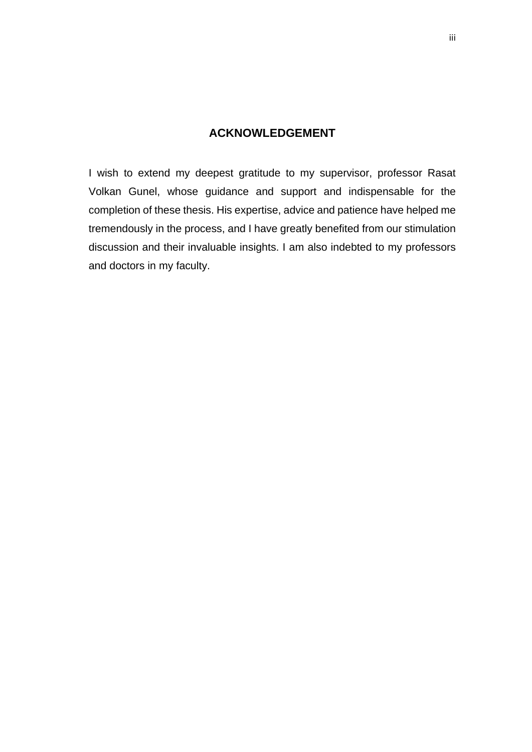## **ACKNOWLEDGEMENT**

<span id="page-4-0"></span>I wish to extend my deepest gratitude to my supervisor, professor Rasat Volkan Gunel, whose guidance and support and indispensable for the completion of these thesis. His expertise, advice and patience have helped me tremendously in the process, and I have greatly benefited from our stimulation discussion and their invaluable insights. I am also indebted to my professors and doctors in my faculty.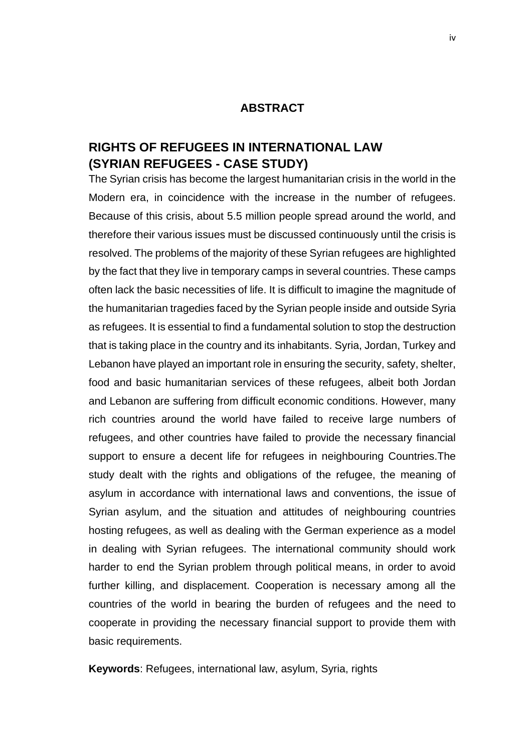#### **ABSTRACT**

# <span id="page-5-0"></span>**RIGHTS OF REFUGEES IN INTERNATIONAL LAW (SYRIAN REFUGEES - CASE STUDY)**

The Syrian crisis has become the largest humanitarian crisis in the world in the Modern era, in coincidence with the increase in the number of refugees. Because of this crisis, about 5.5 million people spread around the world, and therefore their various issues must be discussed continuously until the crisis is resolved. The problems of the majority of these Syrian refugees are highlighted by the fact that they live in temporary camps in several countries. These camps often lack the basic necessities of life. It is difficult to imagine the magnitude of the humanitarian tragedies faced by the Syrian people inside and outside Syria as refugees. It is essential to find a fundamental solution to stop the destruction that is taking place in the country and its inhabitants. Syria, Jordan, Turkey and Lebanon have played an important role in ensuring the security, safety, shelter, food and basic humanitarian services of these refugees, albeit both Jordan and Lebanon are suffering from difficult economic conditions. However, many rich countries around the world have failed to receive large numbers of refugees, and other countries have failed to provide the necessary financial support to ensure a decent life for refugees in neighbouring Countries.The study dealt with the rights and obligations of the refugee, the meaning of asylum in accordance with international laws and conventions, the issue of Syrian asylum, and the situation and attitudes of neighbouring countries hosting refugees, as well as dealing with the German experience as a model in dealing with Syrian refugees. The international community should work harder to end the Syrian problem through political means, in order to avoid further killing, and displacement. Cooperation is necessary among all the countries of the world in bearing the burden of refugees and the need to cooperate in providing the necessary financial support to provide them with basic requirements.

**Keywords**: Refugees, international law, asylum, Syria, rights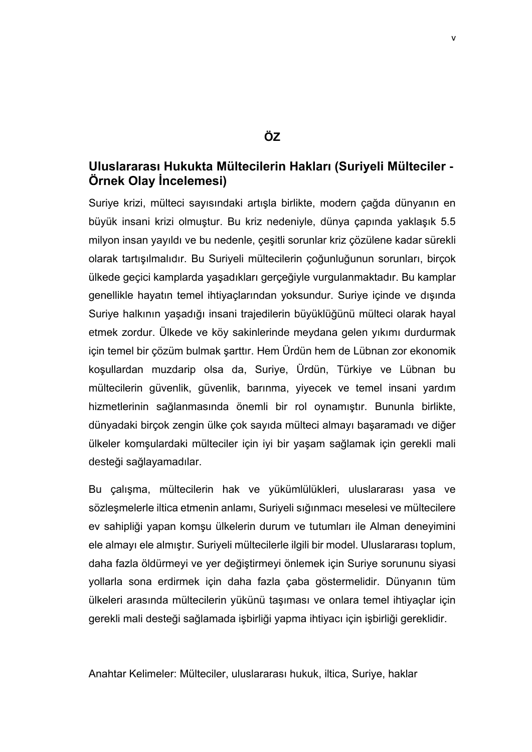## **ÖZ**

## **Uluslararası Hukukta Mültecilerin Hakları (Suriyeli Mülteciler - Örnek Olay İncelemesi)**

Suriye krizi, mülteci sayısındaki artışla birlikte, modern çağda dünyanın en büyük insani krizi olmuştur. Bu kriz nedeniyle, dünya çapında yaklaşık 5.5 milyon insan yayıldı ve bu nedenle, çeşitli sorunlar kriz çözülene kadar sürekli olarak tartışılmalıdır. Bu Suriyeli mültecilerin çoğunluğunun sorunları, birçok ülkede geçici kamplarda yaşadıkları gerçeğiyle vurgulanmaktadır. Bu kamplar genellikle hayatın temel ihtiyaçlarından yoksundur. Suriye içinde ve dışında Suriye halkının yaşadığı insani trajedilerin büyüklüğünü mülteci olarak hayal etmek zordur. Ülkede ve köy sakinlerinde meydana gelen yıkımı durdurmak için temel bir çözüm bulmak şarttır. Hem Ürdün hem de Lübnan zor ekonomik koşullardan muzdarip olsa da, Suriye, Ürdün, Türkiye ve Lübnan bu mültecilerin güvenlik, güvenlik, barınma, yiyecek ve temel insani yardım hizmetlerinin sağlanmasında önemli bir rol oynamıştır. Bununla birlikte, dünyadaki birçok zengin ülke çok sayıda mülteci almayı başaramadı ve diğer ülkeler komşulardaki mülteciler için iyi bir yaşam sağlamak için gerekli mali desteği sağlayamadılar.

Bu çalışma, mültecilerin hak ve yükümlülükleri, uluslararası yasa ve sözleşmelerle iltica etmenin anlamı, Suriyeli sığınmacı meselesi ve mültecilere ev sahipliği yapan komşu ülkelerin durum ve tutumları ile Alman deneyimini ele almayı ele almıştır. Suriyeli mültecilerle ilgili bir model. Uluslararası toplum, daha fazla öldürmeyi ve yer değiştirmeyi önlemek için Suriye sorununu siyasi yollarla sona erdirmek için daha fazla çaba göstermelidir. Dünyanın tüm ülkeleri arasında mültecilerin yükünü taşıması ve onlara temel ihtiyaçlar için gerekli mali desteği sağlamada işbirliği yapma ihtiyacı için işbirliği gereklidir.

Anahtar Kelimeler: Mülteciler, uluslararası hukuk, iltica, Suriye, haklar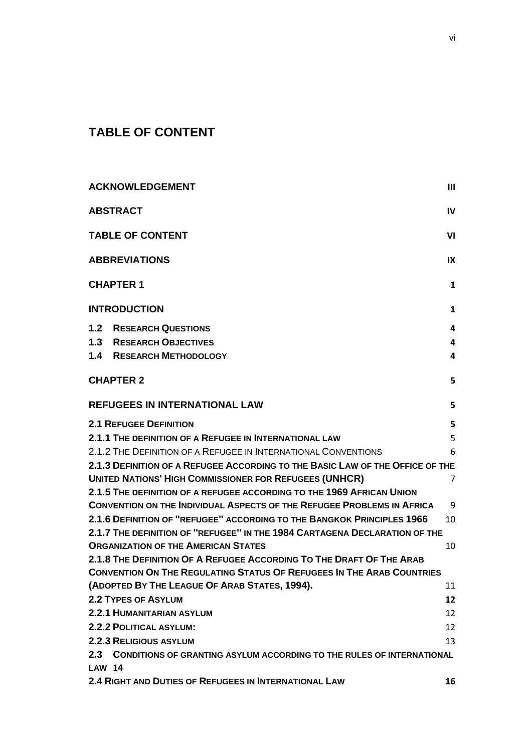# <span id="page-7-0"></span>**TABLE OF CONTENT**

| <b>ACKNOWLEDGEMENT</b>                                                        | Ш              |  |
|-------------------------------------------------------------------------------|----------------|--|
| <b>ABSTRACT</b>                                                               | IV             |  |
| <b>TABLE OF CONTENT</b><br>VI                                                 |                |  |
| <b>ABBREVIATIONS</b><br>IX                                                    |                |  |
| <b>CHAPTER 1</b>                                                              | 1              |  |
| <b>INTRODUCTION</b>                                                           | 1              |  |
| 1.2 <sub>2</sub><br><b>RESEARCH QUESTIONS</b>                                 | 4              |  |
| <b>1.3 RESEARCH OBJECTIVES</b>                                                | 4              |  |
| <b>1.4 RESEARCH METHODOLOGY</b>                                               | 4              |  |
| <b>CHAPTER 2</b>                                                              | 5              |  |
| <b>REFUGEES IN INTERNATIONAL LAW</b>                                          | 5              |  |
| <b>2.1 REFUGEE DEFINITION</b>                                                 | 5              |  |
| 2.1.1 THE DEFINITION OF A REFUGEE IN INTERNATIONAL LAW                        | 5              |  |
| 2.1.2 THE DEFINITION OF A REFUGEE IN INTERNATIONAL CONVENTIONS                | 6              |  |
| 2.1.3 DEFINITION OF A REFUGEE ACCORDING TO THE BASIC LAW OF THE OFFICE OF THE |                |  |
| <b>UNITED NATIONS' HIGH COMMISSIONER FOR REFUGEES (UNHCR)</b>                 | $\overline{7}$ |  |
| 2.1.5 THE DEFINITION OF A REFUGEE ACCORDING TO THE 1969 AFRICAN UNION         |                |  |
| <b>CONVENTION ON THE INDIVIDUAL ASPECTS OF THE REFUGEE PROBLEMS IN AFRICA</b> | 9              |  |
| 2.1.6 DEFINITION OF "REFUGEE" ACCORDING TO THE BANGKOK PRINCIPLES 1966        | 10             |  |
| 2.1.7 THE DEFINITION OF "REFUGEE" IN THE 1984 CARTAGENA DECLARATION OF THE    |                |  |
| <b>ORGANIZATION OF THE AMERICAN STATES</b>                                    | 10             |  |
| 2.1.8 THE DEFINITION OF A REFUGEE ACCORDING TO THE DRAFT OF THE ARAB          |                |  |
| <b>CONVENTION ON THE REGULATING STATUS OF REFUGEES IN THE ARAB COUNTRIES</b>  |                |  |
| (ADOPTED BY THE LEAGUE OF ARAB STATES, 1994).                                 | 11             |  |
| <b>2.2 TYPES OF ASYLUM</b>                                                    | 12             |  |
| 2.2.1 HUMANITARIAN ASYLUM                                                     | 12             |  |
| 2.2.2 POLITICAL ASYLUM:                                                       | 12             |  |
| <b>2.2.3 RELIGIOUS ASYLUM</b>                                                 | 13             |  |
| 2.3 CONDITIONS OF GRANTING ASYLUM ACCORDING TO THE RULES OF INTERNATIONAL     |                |  |
| <b>LAW 14</b>                                                                 |                |  |
| 2.4 RIGHT AND DUTIES OF REFUGEES IN INTERNATIONAL LAW                         | 16             |  |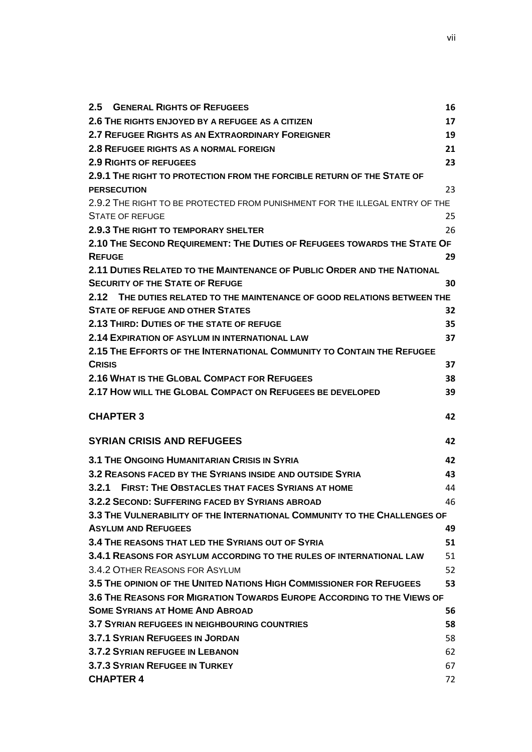| $2.5\phantom{0}$<br><b>GENERAL RIGHTS OF REFUGEES</b>                        | 16 |  |  |  |
|------------------------------------------------------------------------------|----|--|--|--|
| 2.6 THE RIGHTS ENJOYED BY A REFUGEE AS A CITIZEN                             | 17 |  |  |  |
| 2.7 REFUGEE RIGHTS AS AN EXTRAORDINARY FOREIGNER                             |    |  |  |  |
| 2.8 REFUGEE RIGHTS AS A NORMAL FOREIGN                                       | 21 |  |  |  |
| <b>2.9 RIGHTS OF REFUGEES</b>                                                | 23 |  |  |  |
| 2.9.1 THE RIGHT TO PROTECTION FROM THE FORCIBLE RETURN OF THE STATE OF       |    |  |  |  |
| <b>PERSECUTION</b>                                                           | 23 |  |  |  |
| 2.9.2 THE RIGHT TO BE PROTECTED FROM PUNISHMENT FOR THE ILLEGAL ENTRY OF THE |    |  |  |  |
| <b>STATE OF REFUGE</b>                                                       | 25 |  |  |  |
| <b>2.9.3 THE RIGHT TO TEMPORARY SHELTER</b>                                  | 26 |  |  |  |
| 2.10 THE SECOND REQUIREMENT: THE DUTIES OF REFUGEES TOWARDS THE STATE OF     |    |  |  |  |
| <b>REFUGE</b>                                                                | 29 |  |  |  |
| 2.11 DUTIES RELATED TO THE MAINTENANCE OF PUBLIC ORDER AND THE NATIONAL      |    |  |  |  |
| <b>SECURITY OF THE STATE OF REFUGE</b>                                       | 30 |  |  |  |
| 2.12 THE DUTIES RELATED TO THE MAINTENANCE OF GOOD RELATIONS BETWEEN THE     |    |  |  |  |
| <b>STATE OF REFUGE AND OTHER STATES</b>                                      | 32 |  |  |  |
| 2.13 THIRD: DUTIES OF THE STATE OF REFUGE                                    | 35 |  |  |  |
| 2.14 EXPIRATION OF ASYLUM IN INTERNATIONAL LAW                               | 37 |  |  |  |
| 2.15 THE EFFORTS OF THE INTERNATIONAL COMMUNITY TO CONTAIN THE REFUGEE       |    |  |  |  |
| <b>CRISIS</b>                                                                | 37 |  |  |  |
| 2.16 WHAT IS THE GLOBAL COMPACT FOR REFUGEES                                 | 38 |  |  |  |
| 2.17 HOW WILL THE GLOBAL COMPACT ON REFUGEES BE DEVELOPED                    | 39 |  |  |  |
| <b>CHAPTER 3</b>                                                             | 42 |  |  |  |
|                                                                              |    |  |  |  |
| <b>SYRIAN CRISIS AND REFUGEES</b>                                            | 42 |  |  |  |
| <b>3.1 THE ONGOING HUMANITARIAN CRISIS IN SYRIA</b>                          | 42 |  |  |  |
| 3.2 REASONS FACED BY THE SYRIANS INSIDE AND OUTSIDE SYRIA                    | 43 |  |  |  |
| 3.2.1 FIRST: THE OBSTACLES THAT FACES SYRIANS AT HOME                        | 44 |  |  |  |
| 3.2.2 SECOND: SUFFERING FACED BY SYRIANS ABROAD                              | 46 |  |  |  |
| 3.3 THE VULNERABILITY OF THE INTERNATIONAL COMMUNITY TO THE CHALLENGES OF    |    |  |  |  |
| <b>ASYLUM AND REFUGEES</b>                                                   | 49 |  |  |  |
| 3.4 THE REASONS THAT LED THE SYRIANS OUT OF SYRIA                            | 51 |  |  |  |
| 3.4.1 REASONS FOR ASYLUM ACCORDING TO THE RULES OF INTERNATIONAL LAW         | 51 |  |  |  |
| 3.4.2 OTHER REASONS FOR ASYLUM                                               | 52 |  |  |  |
| 3.5 THE OPINION OF THE UNITED NATIONS HIGH COMMISSIONER FOR REFUGEES         | 53 |  |  |  |
| 3.6 THE REASONS FOR MIGRATION TOWARDS EUROPE ACCORDING TO THE VIEWS OF       |    |  |  |  |
| <b>SOME SYRIANS AT HOME AND ABROAD</b>                                       | 56 |  |  |  |
| <b>3.7 SYRIAN REFUGEES IN NEIGHBOURING COUNTRIES</b>                         | 58 |  |  |  |
| <b>3.7.1 SYRIAN REFUGEES IN JORDAN</b>                                       |    |  |  |  |
| 3.7.2 SYRIAN REFUGEE IN LEBANON                                              | 62 |  |  |  |
| 3.7.3 SYRIAN REFUGEE IN TURKEY                                               |    |  |  |  |
| <b>CHAPTER 4</b>                                                             | 72 |  |  |  |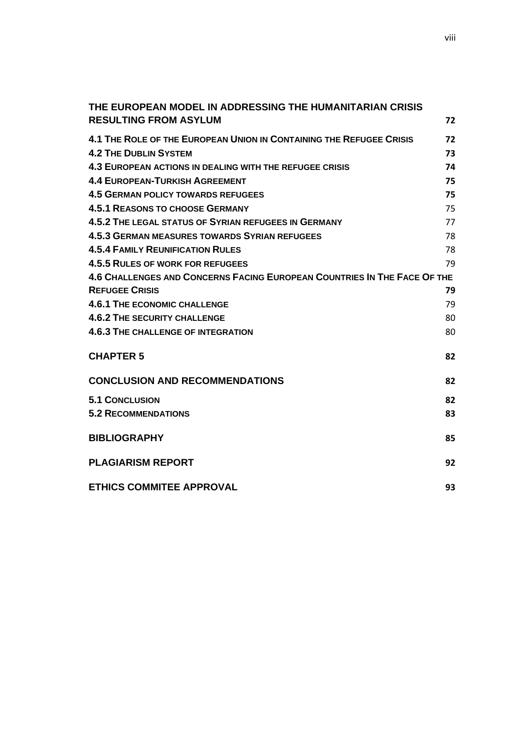| THE EUROPEAN MODEL IN ADDRESSING THE HUMANITARIAN CRISIS                 |    |
|--------------------------------------------------------------------------|----|
| <b>RESULTING FROM ASYLUM</b>                                             | 72 |
| 4.1 THE ROLE OF THE EUROPEAN UNION IN CONTAINING THE REFUGEE CRISIS      | 72 |
| <b>4.2 THE DUBLIN SYSTEM</b>                                             | 73 |
| 4.3 EUROPEAN ACTIONS IN DEALING WITH THE REFUGEE CRISIS                  | 74 |
| <b>4.4 EUROPEAN-TURKISH AGREEMENT</b>                                    | 75 |
| <b>4.5 GERMAN POLICY TOWARDS REFUGEES</b>                                | 75 |
| <b>4.5.1 REASONS TO CHOOSE GERMANY</b>                                   | 75 |
| 4.5.2 THE LEGAL STATUS OF SYRIAN REFUGEES IN GERMANY                     | 77 |
| <b>4.5.3 GERMAN MEASURES TOWARDS SYRIAN REFUGEES</b>                     | 78 |
| <b>4.5.4 FAMILY REUNIFICATION RULES</b>                                  | 78 |
| 4.5.5 RULES OF WORK FOR REFUGEES                                         | 79 |
| 4.6 CHALLENGES AND CONCERNS FACING EUROPEAN COUNTRIES IN THE FACE OF THE |    |
| <b>REFUGEE CRISIS</b>                                                    | 79 |
| <b>4.6.1 THE ECONOMIC CHALLENGE</b>                                      | 79 |
| <b>4.6.2 THE SECURITY CHALLENGE</b>                                      | 80 |
| <b>4.6.3 THE CHALLENGE OF INTEGRATION</b>                                | 80 |
| <b>CHAPTER 5</b>                                                         | 82 |
| <b>CONCLUSION AND RECOMMENDATIONS</b>                                    | 82 |
|                                                                          |    |
| <b>5.1 CONCLUSION</b>                                                    | 82 |
| <b>5.2 RECOMMENDATIONS</b>                                               | 83 |
| <b>BIBLIOGRAPHY</b>                                                      | 85 |
| <b>PLAGIARISM REPORT</b>                                                 | 92 |
| <b>ETHICS COMMITEE APPROVAL</b>                                          | 93 |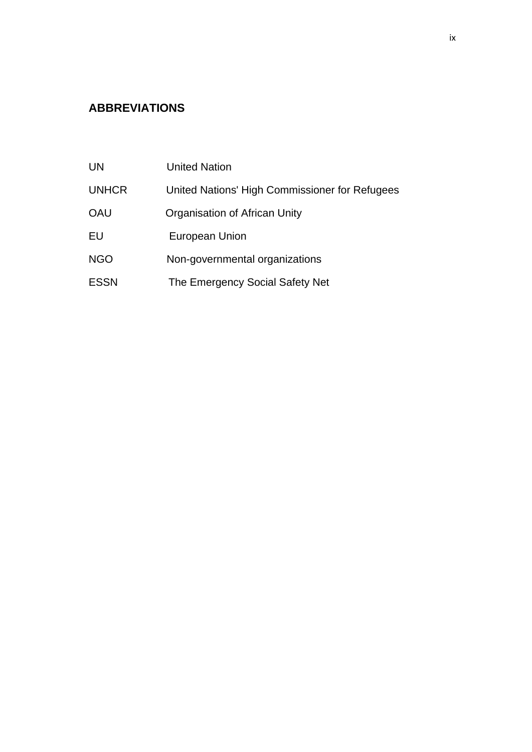# <span id="page-10-0"></span>**ABBREVIATIONS**

| UN           | <b>United Nation</b>                           |
|--------------|------------------------------------------------|
| <b>UNHCR</b> | United Nations' High Commissioner for Refugees |
| OAU          | Organisation of African Unity                  |
| EU           | European Union                                 |
| <b>NGO</b>   | Non-governmental organizations                 |
| <b>ESSN</b>  | The Emergency Social Safety Net                |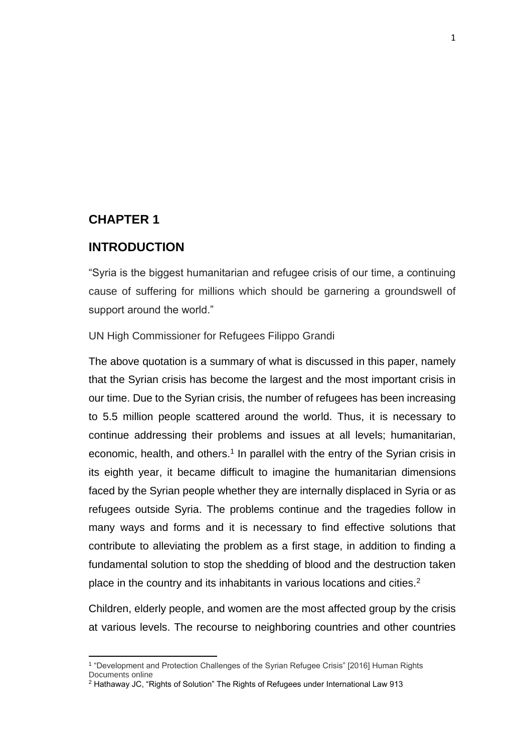## <span id="page-11-0"></span>**CHAPTER 1**

 $\overline{a}$ 

## <span id="page-11-1"></span>**INTRODUCTION**

"Syria is the biggest humanitarian and refugee crisis of our time, a continuing cause of suffering for millions which should be garnering a groundswell of support around the world."

UN High Commissioner for Refugees Filippo Grandi

The above quotation is a summary of what is discussed in this paper, namely that the Syrian crisis has become the largest and the most important crisis in our time. Due to the Syrian crisis, the number of refugees has been increasing to 5.5 million people scattered around the world. Thus, it is necessary to continue addressing their problems and issues at all levels; humanitarian, economic, health, and others.<sup>1</sup> In parallel with the entry of the Syrian crisis in its eighth year, it became difficult to imagine the humanitarian dimensions faced by the Syrian people whether they are internally displaced in Syria or as refugees outside Syria. The problems continue and the tragedies follow in many ways and forms and it is necessary to find effective solutions that contribute to alleviating the problem as a first stage, in addition to finding a fundamental solution to stop the shedding of blood and the destruction taken place in the country and its inhabitants in various locations and cities.<sup>2</sup>

Children, elderly people, and women are the most affected group by the crisis at various levels. The recourse to neighboring countries and other countries

<sup>1</sup> "Development and Protection Challenges of the Syrian Refugee Crisis" [2016] Human Rights Documents online

<sup>2</sup> Hathaway JC, "Rights of Solution" The Rights of Refugees under International Law 913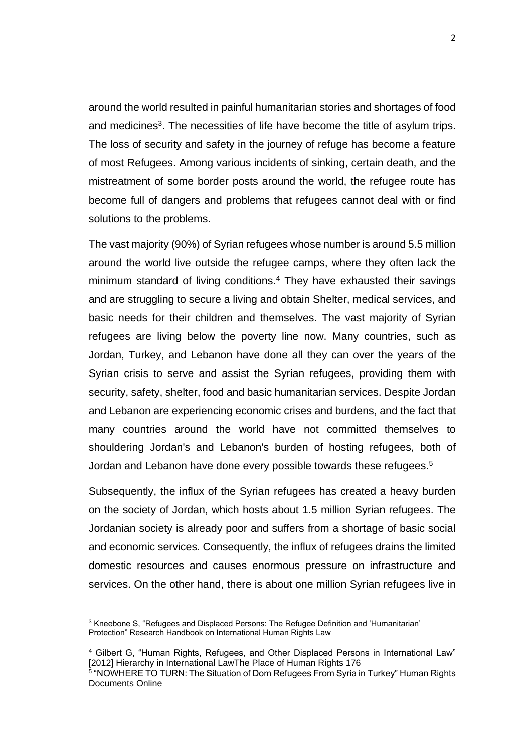around the world resulted in painful humanitarian stories and shortages of food and medicines<sup>3</sup>. The necessities of life have become the title of asylum trips. The loss of security and safety in the journey of refuge has become a feature of most Refugees. Among various incidents of sinking, certain death, and the mistreatment of some border posts around the world, the refugee route has become full of dangers and problems that refugees cannot deal with or find solutions to the problems.

The vast majority (90%) of Syrian refugees whose number is around 5.5 million around the world live outside the refugee camps, where they often lack the minimum standard of living conditions.<sup>4</sup> They have exhausted their savings and are struggling to secure a living and obtain Shelter, medical services, and basic needs for their children and themselves. The vast majority of Syrian refugees are living below the poverty line now. Many countries, such as Jordan, Turkey, and Lebanon have done all they can over the years of the Syrian crisis to serve and assist the Syrian refugees, providing them with security, safety, shelter, food and basic humanitarian services. Despite Jordan and Lebanon are experiencing economic crises and burdens, and the fact that many countries around the world have not committed themselves to shouldering Jordan's and Lebanon's burden of hosting refugees, both of Jordan and Lebanon have done every possible towards these refugees. 5

Subsequently, the influx of the Syrian refugees has created a heavy burden on the society of Jordan, which hosts about 1.5 million Syrian refugees. The Jordanian society is already poor and suffers from a shortage of basic social and economic services. Consequently, the influx of refugees drains the limited domestic resources and causes enormous pressure on infrastructure and services. On the other hand, there is about one million Syrian refugees live in

<sup>3</sup> Kneebone S, "Refugees and Displaced Persons: The Refugee Definition and 'Humanitarian' Protection" Research Handbook on International Human Rights Law

<sup>4</sup> Gilbert G, "Human Rights, Refugees, and Other Displaced Persons in International Law" [2012] Hierarchy in International LawThe Place of Human Rights 176

<sup>5</sup> "NOWHERE TO TURN: The Situation of Dom Refugees From Syria in Turkey" Human Rights Documents Online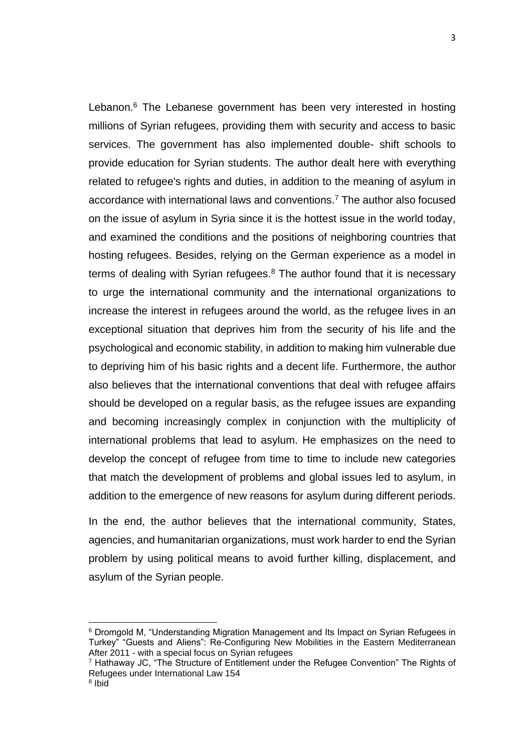Lebanon.<sup>6</sup> The Lebanese government has been very interested in hosting millions of Syrian refugees, providing them with security and access to basic services. The government has also implemented double- shift schools to provide education for Syrian students. The author dealt here with everything related to refugee's rights and duties, in addition to the meaning of asylum in accordance with international laws and conventions.<sup>7</sup> The author also focused on the issue of asylum in Syria since it is the hottest issue in the world today, and examined the conditions and the positions of neighboring countries that hosting refugees. Besides, relying on the German experience as a model in terms of dealing with Syrian refugees. $8$  The author found that it is necessary to urge the international community and the international organizations to increase the interest in refugees around the world, as the refugee lives in an exceptional situation that deprives him from the security of his life and the psychological and economic stability, in addition to making him vulnerable due to depriving him of his basic rights and a decent life. Furthermore, the author also believes that the international conventions that deal with refugee affairs should be developed on a regular basis, as the refugee issues are expanding and becoming increasingly complex in conjunction with the multiplicity of international problems that lead to asylum. He emphasizes on the need to develop the concept of refugee from time to time to include new categories that match the development of problems and global issues led to asylum, in addition to the emergence of new reasons for asylum during different periods.

In the end, the author believes that the international community, States, agencies, and humanitarian organizations, must work harder to end the Syrian problem by using political means to avoid further killing, displacement, and asylum of the Syrian people.

<sup>&</sup>lt;sup>6</sup> Dromgold M, "Understanding Migration Management and Its Impact on Syrian Refugees in Turkey" "Guests and Aliens": Re-Configuring New Mobilities in the Eastern Mediterranean After 2011 - with a special focus on Syrian refugees

 $<sup>7</sup>$  Hathaway JC, "The Structure of Entitlement under the Refugee Convention" The Rights of</sup> Refugees under International Law 154

<sup>&</sup>lt;sup>8</sup> Ibid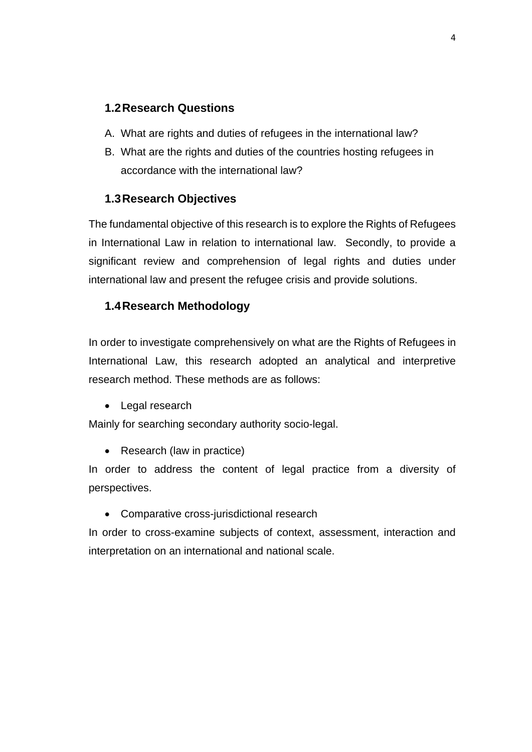## <span id="page-14-0"></span>**1.2Research Questions**

- A. What are rights and duties of refugees in the international law?
- B. What are the rights and duties of the countries hosting refugees in accordance with the international law?

## <span id="page-14-1"></span>**1.3Research Objectives**

The fundamental objective of this research is to explore the Rights of Refugees in International Law in relation to international law. Secondly, to provide a significant review and comprehension of legal rights and duties under international law and present the refugee crisis and provide solutions.

## <span id="page-14-2"></span>**1.4Research Methodology**

In order to investigate comprehensively on what are the Rights of Refugees in International Law, this research adopted an analytical and interpretive research method. These methods are as follows:

Legal research

Mainly for searching secondary authority socio-legal.

• Research (law in practice)

In order to address the content of legal practice from a diversity of perspectives.

Comparative cross-jurisdictional research

In order to cross-examine subjects of context, assessment, interaction and interpretation on an international and national scale.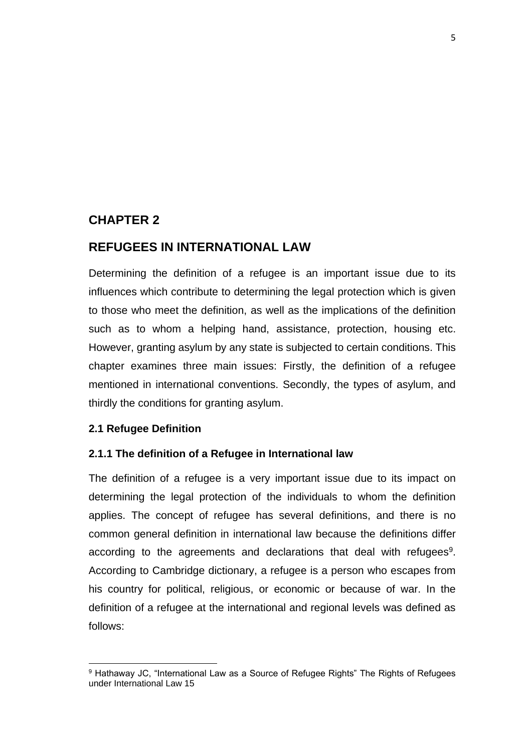## <span id="page-15-0"></span>**CHAPTER 2**

## <span id="page-15-1"></span>**REFUGEES IN INTERNATIONAL LAW**

Determining the definition of a refugee is an important issue due to its influences which contribute to determining the legal protection which is given to those who meet the definition, as well as the implications of the definition such as to whom a helping hand, assistance, protection, housing etc. However, granting asylum by any state is subjected to certain conditions. This chapter examines three main issues: Firstly, the definition of a refugee mentioned in international conventions. Secondly, the types of asylum, and thirdly the conditions for granting asylum.

### <span id="page-15-2"></span>**2.1 Refugee Definition**

 $\overline{a}$ 

### <span id="page-15-3"></span>**2.1.1 The definition of a Refugee in International law**

The definition of a refugee is a very important issue due to its impact on determining the legal protection of the individuals to whom the definition applies. The concept of refugee has several definitions, and there is no common general definition in international law because the definitions differ according to the agreements and declarations that deal with refugees<sup>9</sup>. According to Cambridge dictionary, a refugee is a person who escapes from his country for political, religious, or economic or because of war. In the definition of a refugee at the international and regional levels was defined as follows:

<sup>&</sup>lt;sup>9</sup> Hathaway JC, "International Law as a Source of Refugee Rights" The Rights of Refugees under International Law 15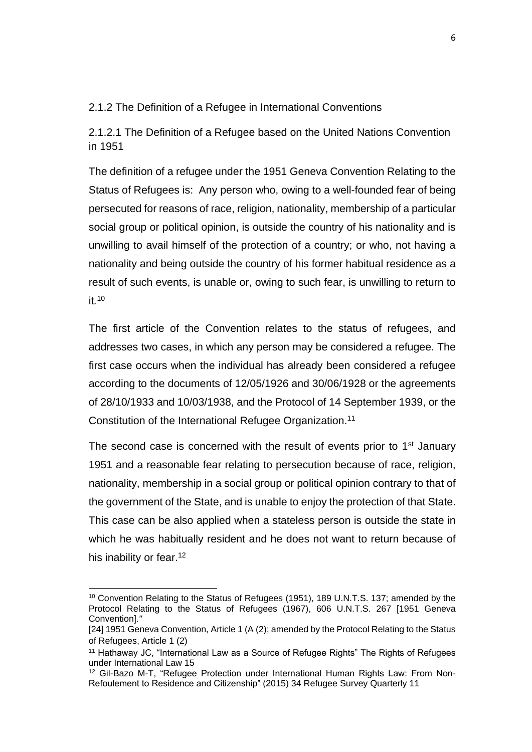### <span id="page-16-0"></span>2.1.2 The Definition of a Refugee in International Conventions

2.1.2.1 The Definition of a Refugee based on the United Nations Convention in 1951

The definition of a refugee under the 1951 Geneva Convention Relating to the Status of Refugees is: Any person who, owing to a well-founded fear of being persecuted for reasons of race, religion, nationality, membership of a particular social group or political opinion, is outside the country of his nationality and is unwilling to avail himself of the protection of a country; or who, not having a nationality and being outside the country of his former habitual residence as a result of such events, is unable or, owing to such fear, is unwilling to return to it*.* 10

The first article of the Convention relates to the status of refugees, and addresses two cases, in which any person may be considered a refugee. The first case occurs when the individual has already been considered a refugee according to the documents of 12/05/1926 and 30/06/1928 or the agreements of 28/10/1933 and 10/03/1938, and the Protocol of 14 September 1939, or the Constitution of the International Refugee Organization.<sup>11</sup>

The second case is concerned with the result of events prior to  $1<sup>st</sup>$  January 1951 and a reasonable fear relating to persecution because of race, religion, nationality, membership in a social group or political opinion contrary to that of the government of the State, and is unable to enjoy the protection of that State. This case can be also applied when a stateless person is outside the state in which he was habitually resident and he does not want to return because of his inability or fear.<sup>12</sup>

<sup>&</sup>lt;sup>10</sup> Convention Relating to the Status of Refugees (1951), 189 U.N.T.S. 137; amended by the Protocol Relating to the Status of Refugees (1967), 606 U.N.T.S. 267 [1951 Geneva Convention].*"*

<sup>[24] 1951</sup> Geneva Convention, Article 1 (A (2); amended by the Protocol Relating to the Status of Refugees, Article 1 (2)

<sup>&</sup>lt;sup>11</sup> Hathaway JC, "International Law as a Source of Refugee Rights" The Rights of Refugees under International Law 15

<sup>&</sup>lt;sup>12</sup> Gil-Bazo M-T, "Refugee Protection under International Human Rights Law: From Non-Refoulement to Residence and Citizenship" (2015) 34 Refugee Survey Quarterly 11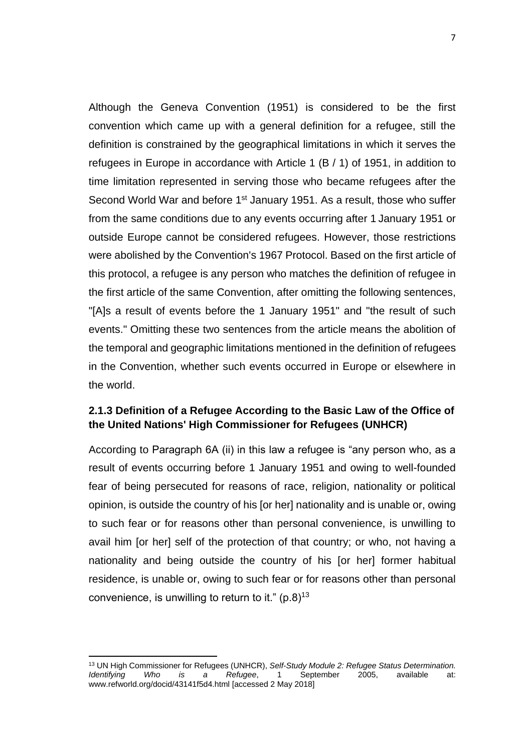Although the Geneva Convention (1951) is considered to be the first convention which came up with a general definition for a refugee, still the definition is constrained by the geographical limitations in which it serves the refugees in Europe in accordance with Article 1 (B / 1) of 1951, in addition to time limitation represented in serving those who became refugees after the Second World War and before 1<sup>st</sup> January 1951. As a result, those who suffer from the same conditions due to any events occurring after 1 January 1951 or outside Europe cannot be considered refugees. However, those restrictions were abolished by the Convention's 1967 Protocol. Based on the first article of this protocol, a refugee is any person who matches the definition of refugee in the first article of the same Convention, after omitting the following sentences, "[A]s a result of events before the 1 January 1951" and "the result of such events." Omitting these two sentences from the article means the abolition of the temporal and geographic limitations mentioned in the definition of refugees in the Convention, whether such events occurred in Europe or elsewhere in the world.

## <span id="page-17-0"></span>**2.1.3 Definition of a Refugee According to the Basic Law of the Office of the United Nations' High Commissioner for Refugees (UNHCR)**

According to Paragraph 6A (ii) in this law a refugee is "any person who, as a result of events occurring before 1 January 1951 and owing to well-founded fear of being persecuted for reasons of race, religion, nationality or political opinion, is outside the country of his [or her] nationality and is unable or, owing to such fear or for reasons other than personal convenience, is unwilling to avail him [or her] self of the protection of that country; or who, not having a nationality and being outside the country of his [or her] former habitual residence, is unable or, owing to such fear or for reasons other than personal convenience, is unwilling to return to it."  $(p.8)^{13}$ 

<sup>13</sup> UN High Commissioner for Refugees (UNHCR), *Self-Study Module 2: Refugee Status Determination. Identifying Who is a Refugee*, 1 September 2005, available at: www.refworld.org/docid/43141f5d4.html [accessed 2 May 2018]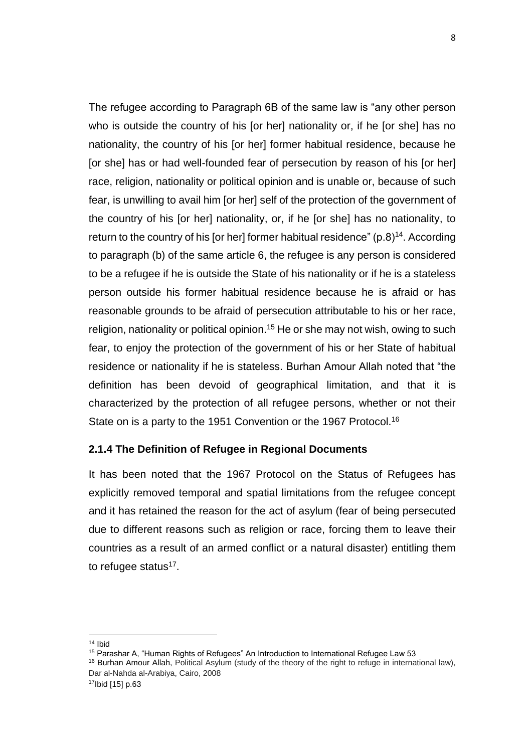The refugee according to Paragraph 6B of the same law is "any other person who is outside the country of his [or her] nationality or, if he [or she] has no nationality, the country of his [or her] former habitual residence, because he [or she] has or had well-founded fear of persecution by reason of his [or her] race, religion, nationality or political opinion and is unable or, because of such fear, is unwilling to avail him [or her] self of the protection of the government of the country of his [or her] nationality, or, if he [or she] has no nationality, to return to the country of his [or her] former habitual residence"  $(p.8)^{14}$ . According to paragraph (b) of the same article 6, the refugee is any person is considered to be a refugee if he is outside the State of his nationality or if he is a stateless person outside his former habitual residence because he is afraid or has reasonable grounds to be afraid of persecution attributable to his or her race, religion, nationality or political opinion.<sup>15</sup> He or she may not wish, owing to such fear, to enjoy the protection of the government of his or her State of habitual residence or nationality if he is stateless. Burhan Amour Allah noted that "the definition has been devoid of geographical limitation, and that it is characterized by the protection of all refugee persons, whether or not their State on is a party to the 1951 Convention or the 1967 Protocol.<sup>16</sup>

### **2.1.4 The Definition of Refugee in Regional Documents**

It has been noted that the 1967 Protocol on the Status of Refugees has explicitly removed temporal and spatial limitations from the refugee concept and it has retained the reason for the act of asylum (fear of being persecuted due to different reasons such as religion or race, forcing them to leave their countries as a result of an armed conflict or a natural disaster) entitling them to refugee status<sup>17</sup>.

<sup>14</sup> Ibid

<sup>15</sup> Parashar A, "Human Rights of Refugees" An Introduction to International Refugee Law 53 <sup>16</sup> Burhan Amour Allah, Political Asylum (study of the theory of the right to refuge in international law), Dar al-Nahda al-Arabiya, Cairo, 2008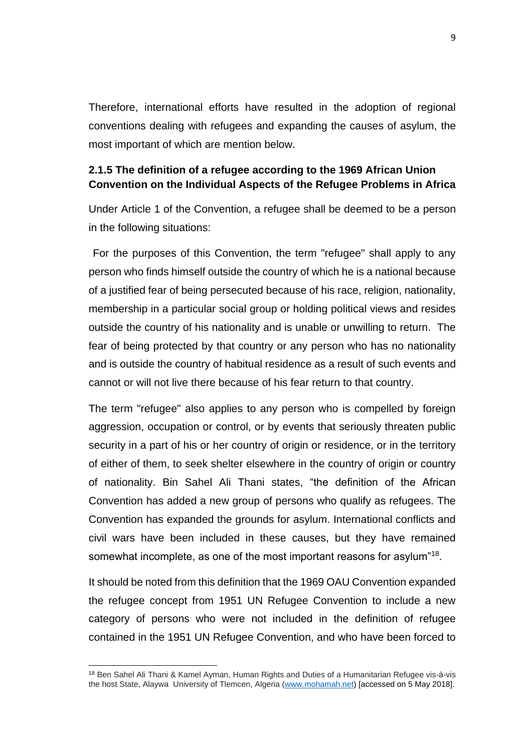Therefore, international efforts have resulted in the adoption of regional conventions dealing with refugees and expanding the causes of asylum, the most important of which are mention below.

### <span id="page-19-0"></span>**2.1.5 The definition of a refugee according to the 1969 African Union Convention on the Individual Aspects of the Refugee Problems in Africa**

Under Article 1 of the Convention, a refugee shall be deemed to be a person in the following situations:

For the purposes of this Convention, the term "refugee" shall apply to any person who finds himself outside the country of which he is a national because of a justified fear of being persecuted because of his race, religion, nationality, membership in a particular social group or holding political views and resides outside the country of his nationality and is unable or unwilling to return. The fear of being protected by that country or any person who has no nationality and is outside the country of habitual residence as a result of such events and cannot or will not live there because of his fear return to that country.

The term "refugee" also applies to any person who is compelled by foreign aggression, occupation or control, or by events that seriously threaten public security in a part of his or her country of origin or residence, or in the territory of either of them, to seek shelter elsewhere in the country of origin or country of nationality. Bin Sahel Ali Thani states, "the definition of the African Convention has added a new group of persons who qualify as refugees. The Convention has expanded the grounds for asylum. International conflicts and civil wars have been included in these causes, but they have remained somewhat incomplete, as one of the most important reasons for asylum"<sup>18</sup>.

It should be noted from this definition that the 1969 OAU Convention expanded the refugee concept from 1951 UN Refugee Convention to include a new category of persons who were not included in the definition of refugee contained in the 1951 UN Refugee Convention, and who have been forced to

<sup>18</sup> Ben Sahel Ali Thani & Kamel Ayman, Human Rights and Duties of a Humanitarian Refugee vis-à-vis the host State, Alaywa University of Tlemcen, Algeria [\(www.mohamah.net\)](http://www.mohamah.net/) [accessed on 5 May 2018].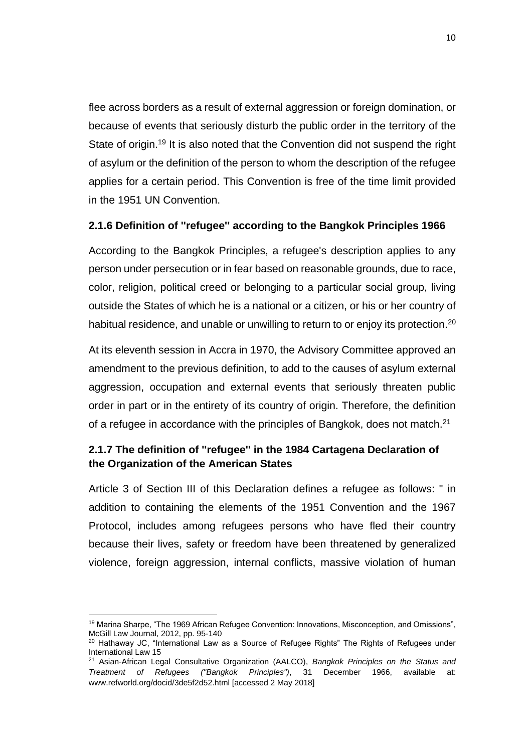flee across borders as a result of external aggression or foreign domination, or because of events that seriously disturb the public order in the territory of the State of origin.<sup>19</sup> It is also noted that the Convention did not suspend the right of asylum or the definition of the person to whom the description of the refugee applies for a certain period. This Convention is free of the time limit provided in the 1951 UN Convention.

### <span id="page-20-0"></span>**2.1.6 Definition of ''refugee'' according to the Bangkok Principles 1966**

According to the Bangkok Principles, a refugee's description applies to any person under persecution or in fear based on reasonable grounds, due to race, color, religion, political creed or belonging to a particular social group, living outside the States of which he is a national or a citizen, or his or her country of habitual residence, and unable or unwilling to return to or enjoy its protection.<sup>20</sup>

At its eleventh session in Accra in 1970, the Advisory Committee approved an amendment to the previous definition, to add to the causes of asylum external aggression, occupation and external events that seriously threaten public order in part or in the entirety of its country of origin. Therefore, the definition of a refugee in accordance with the principles of Bangkok, does not match.<sup>21</sup>

## <span id="page-20-1"></span>**2.1.7 The definition of ''refugee'' in the 1984 Cartagena Declaration of the Organization of the American States**

Article 3 of Section III of this Declaration defines a refugee as follows: " in addition to containing the elements of the 1951 Convention and the 1967 Protocol, includes among refugees persons who have fled their country because their lives, safety or freedom have been threatened by generalized violence, foreign aggression, internal conflicts, massive violation of human

 $\overline{a}$ <sup>19</sup> Marina Sharpe, "The 1969 African Refugee Convention: Innovations, Misconception, and Omissions", McGill Law Journal, 2012, pp. 95-140

<sup>&</sup>lt;sup>20</sup> Hathaway JC, "International Law as a Source of Refugee Rights" The Rights of Refugees under International Law 15

<sup>21</sup> Asian-African Legal Consultative Organization (AALCO), *Bangkok Principles on the Status and Treatment of Refugees ("Bangkok Principles")*, 31 December 1966, available www.refworld.org/docid/3de5f2d52.html [accessed 2 May 2018]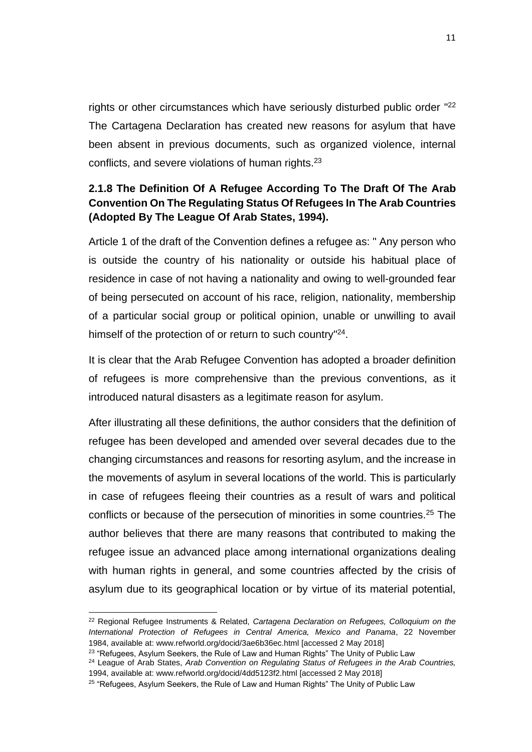rights or other circumstances which have seriously disturbed public order "22 The Cartagena Declaration has created new reasons for asylum that have been absent in previous documents, such as organized violence, internal conflicts, and severe violations of human rights.<sup>23</sup>

## <span id="page-21-0"></span>**2.1.8 The Definition Of A Refugee According To The Draft Of The Arab Convention On The Regulating Status Of Refugees In The Arab Countries (Adopted By The League Of Arab States, 1994).**

Article 1 of the draft of the Convention defines a refugee as: " Any person who is outside the country of his nationality or outside his habitual place of residence in case of not having a nationality and owing to well-grounded fear of being persecuted on account of his race, religion, nationality, membership of a particular social group or political opinion, unable or unwilling to avail himself of the protection of or return to such country"<sup>24</sup>.

It is clear that the Arab Refugee Convention has adopted a broader definition of refugees is more comprehensive than the previous conventions, as it introduced natural disasters as a legitimate reason for asylum.

After illustrating all these definitions, the author considers that the definition of refugee has been developed and amended over several decades due to the changing circumstances and reasons for resorting asylum, and the increase in the movements of asylum in several locations of the world. This is particularly in case of refugees fleeing their countries as a result of wars and political conflicts or because of the persecution of minorities in some countries.<sup>25</sup> The author believes that there are many reasons that contributed to making the refugee issue an advanced place among international organizations dealing with human rights in general, and some countries affected by the crisis of asylum due to its geographical location or by virtue of its material potential,

<sup>22</sup> Regional Refugee Instruments & Related, *Cartagena Declaration on Refugees, Colloquium on the International Protection of Refugees in Central America, Mexico and Panama*, 22 November 1984, available at: www.refworld.org/docid/3ae6b36ec.html [accessed 2 May 2018]

<sup>&</sup>lt;sup>23</sup> "Refugees, Asylum Seekers, the Rule of Law and Human Rights" The Unity of Public Law

<sup>24</sup> League of Arab States, *Arab Convention on Regulating Status of Refugees in the Arab Countries,* 1994, available at: www.refworld.org/docid/4dd5123f2.html [accessed 2 May 2018]

<sup>&</sup>lt;sup>25</sup> "Refugees, Asylum Seekers, the Rule of Law and Human Rights" The Unity of Public Law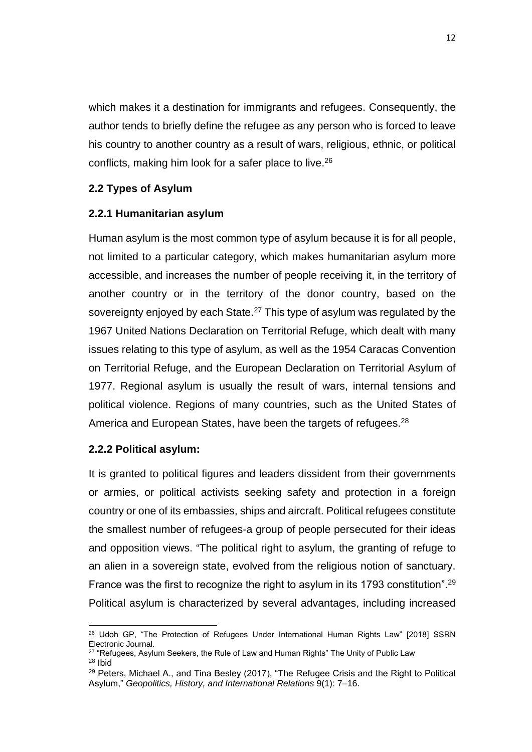which makes it a destination for immigrants and refugees. Consequently, the author tends to briefly define the refugee as any person who is forced to leave his country to another country as a result of wars, religious, ethnic, or political conflicts, making him look for a safer place to live.<sup>26</sup>

### <span id="page-22-0"></span>**2.2 Types of Asylum**

#### <span id="page-22-1"></span>**2.2.1 Humanitarian asylum**

Human asylum is the most common type of asylum because it is for all people, not limited to a particular category, which makes humanitarian asylum more accessible, and increases the number of people receiving it, in the territory of another country or in the territory of the donor country, based on the sovereignty enjoyed by each State.<sup>27</sup> This type of asylum was regulated by the 1967 United Nations Declaration on Territorial Refuge, which dealt with many issues relating to this type of asylum, as well as the 1954 Caracas Convention on Territorial Refuge, and the European Declaration on Territorial Asylum of 1977. Regional asylum is usually the result of wars, internal tensions and political violence. Regions of many countries, such as the United States of America and European States, have been the targets of refugees.<sup>28</sup>

### <span id="page-22-2"></span>**2.2.2 Political asylum:**

 $\overline{a}$ 

It is granted to political figures and leaders dissident from their governments or armies, or political activists seeking safety and protection in a foreign country or one of its embassies, ships and aircraft. Political refugees constitute the smallest number of refugees-a group of people persecuted for their ideas and opposition views. "The political right to asylum, the granting of refuge to an alien in a sovereign state, evolved from the religious notion of sanctuary. France was the first to recognize the right to asylum in its 1793 constitution".<sup>29</sup> Political asylum is characterized by several advantages, including increased

<sup>&</sup>lt;sup>26</sup> Udoh GP, "The Protection of Refugees Under International Human Rights Law" [2018] SSRN Electronic Journal.

<sup>&</sup>lt;sup>27</sup> "Refugees, Asylum Seekers, the Rule of Law and Human Rights" The Unity of Public Law <sup>28</sup> Ibid

 $29$  Peters, Michael A., and Tina Besley (2017), "The Refugee Crisis and the Right to Political Asylum," *Geopolitics, History, and International Relations* 9(1): 7–16.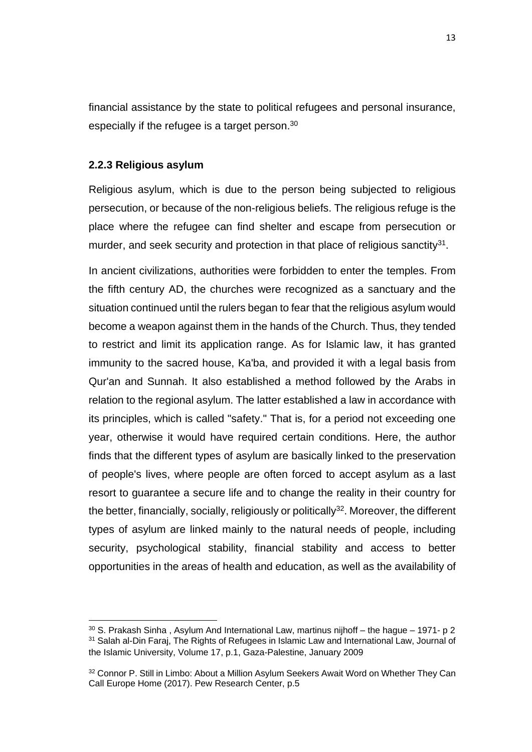financial assistance by the state to political refugees and personal insurance, especially if the refugee is a target person.<sup>30</sup>

#### <span id="page-23-0"></span>**2.2.3 Religious asylum**

Religious asylum, which is due to the person being subjected to religious persecution, or because of the non-religious beliefs. The religious refuge is the place where the refugee can find shelter and escape from persecution or murder, and seek security and protection in that place of religious sanctity $31$ .

In ancient civilizations, authorities were forbidden to enter the temples. From the fifth century AD, the churches were recognized as a sanctuary and the situation continued until the rulers began to fear that the religious asylum would become a weapon against them in the hands of the Church. Thus, they tended to restrict and limit its application range. As for Islamic law, it has granted immunity to the sacred house, Ka'ba, and provided it with a legal basis from Qur'an and Sunnah. It also established a method followed by the Arabs in relation to the regional asylum. The latter established a law in accordance with its principles, which is called "safety." That is, for a period not exceeding one year, otherwise it would have required certain conditions. Here, the author finds that the different types of asylum are basically linked to the preservation of people's lives, where people are often forced to accept asylum as a last resort to guarantee a secure life and to change the reality in their country for the better, financially, socially, religiously or politically<sup>32</sup>. Moreover, the different types of asylum are linked mainly to the natural needs of people, including security, psychological stability, financial stability and access to better opportunities in the areas of health and education, as well as the availability of

 $\overline{a}$  $30$  S. Prakash Sinha, Asylum And International Law, martinus nijhoff – the hague – 1971- p 2 <sup>31</sup> Salah al-Din Faraj, The Rights of Refugees in Islamic Law and International Law, Journal of the Islamic University, Volume 17, p.1, Gaza-Palestine, January 2009

<sup>32</sup> Connor P. Still in Limbo: About a Million Asylum Seekers Await Word on Whether They Can Call Europe Home (2017). Pew Research Center, p.5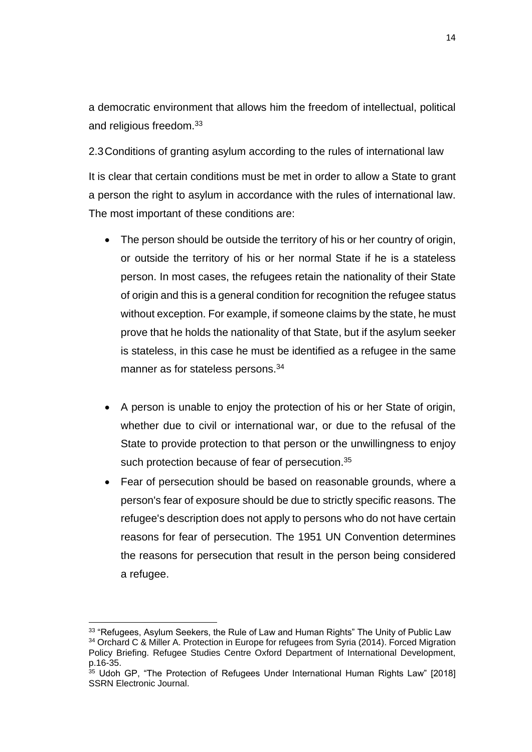a democratic environment that allows him the freedom of intellectual, political and religious freedom.<sup>33</sup>

<span id="page-24-0"></span>2.3Conditions of granting asylum according to the rules of international law It is clear that certain conditions must be met in order to allow a State to grant a person the right to asylum in accordance with the rules of international law. The most important of these conditions are:

- The person should be outside the territory of his or her country of origin, or outside the territory of his or her normal State if he is a stateless person. In most cases, the refugees retain the nationality of their State of origin and this is a general condition for recognition the refugee status without exception. For example, if someone claims by the state, he must prove that he holds the nationality of that State, but if the asylum seeker is stateless, in this case he must be identified as a refugee in the same manner as for stateless persons.<sup>34</sup>
- A person is unable to enjoy the protection of his or her State of origin, whether due to civil or international war, or due to the refusal of the State to provide protection to that person or the unwillingness to enjoy such protection because of fear of persecution.<sup>35</sup>
- Fear of persecution should be based on reasonable grounds, where a person's fear of exposure should be due to strictly specific reasons. The refugee's description does not apply to persons who do not have certain reasons for fear of persecution. The 1951 UN Convention determines the reasons for persecution that result in the person being considered a refugee.

<sup>&</sup>lt;sup>33</sup> "Refugees, Asylum Seekers, the Rule of Law and Human Rights" The Unity of Public Law <sup>34</sup> Orchard C & Miller A. Protection in Europe for refugees from Syria (2014). Forced Migration Policy Briefing. Refugee Studies Centre Oxford Department of International Development, p.16-35.

<sup>&</sup>lt;sup>35</sup> Udoh GP, "The Protection of Refugees Under International Human Rights Law" [2018] SSRN Electronic Journal.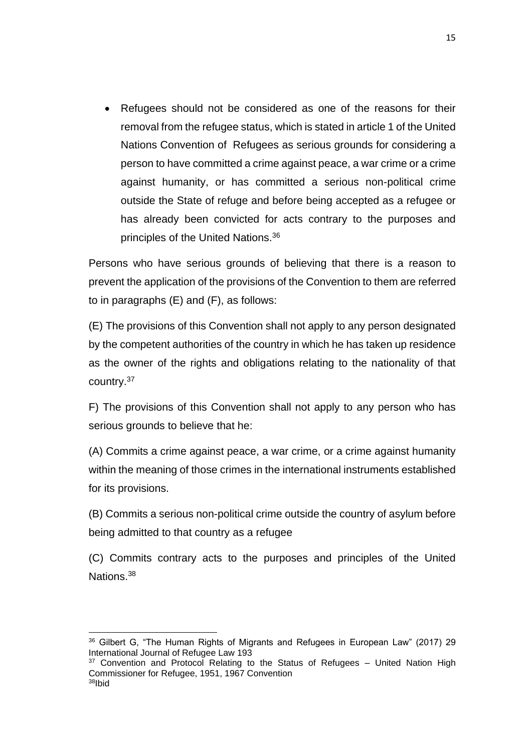Refugees should not be considered as one of the reasons for their removal from the refugee status, which is stated in article 1 of the United Nations Convention of Refugees as serious grounds for considering a person to have committed a crime against peace, a war crime or a crime against humanity, or has committed a serious non-political crime outside the State of refuge and before being accepted as a refugee or has already been convicted for acts contrary to the purposes and principles of the United Nations.<sup>36</sup>

Persons who have serious grounds of believing that there is a reason to prevent the application of the provisions of the Convention to them are referred to in paragraphs (E) and (F), as follows:

(E) The provisions of this Convention shall not apply to any person designated by the competent authorities of the country in which he has taken up residence as the owner of the rights and obligations relating to the nationality of that country.<sup>37</sup>

F) The provisions of this Convention shall not apply to any person who has serious grounds to believe that he:

(A) Commits a crime against peace, a war crime, or a crime against humanity within the meaning of those crimes in the international instruments established for its provisions.

(B) Commits a serious non-political crime outside the country of asylum before being admitted to that country as a refugee

(C) Commits contrary acts to the purposes and principles of the United Nations<sup>38</sup>

 $\overline{a}$ <sup>36</sup> Gilbert G, "The Human Rights of Migrants and Refugees in European Law" (2017) 29 International Journal of Refugee Law 193

 $37$  Convention and Protocol Relating to the Status of Refugees  $-$  United Nation High Commissioner for Refugee, 1951, 1967 Convention 38Ibid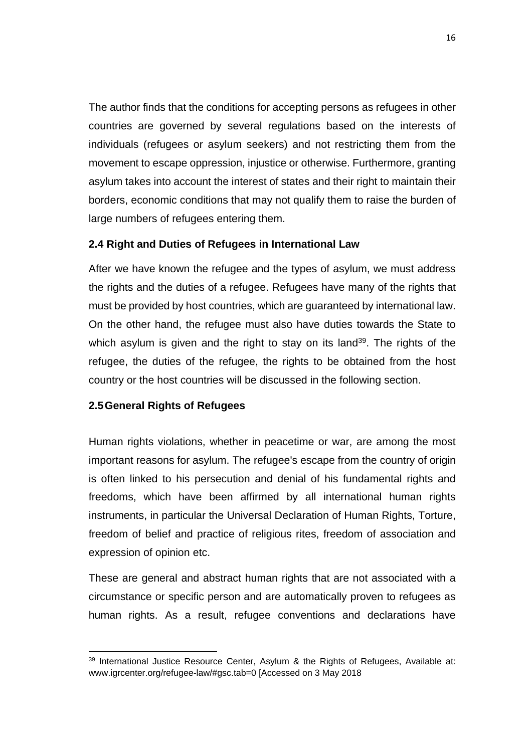The author finds that the conditions for accepting persons as refugees in other countries are governed by several regulations based on the interests of individuals (refugees or asylum seekers) and not restricting them from the movement to escape oppression, injustice or otherwise. Furthermore, granting asylum takes into account the interest of states and their right to maintain their borders, economic conditions that may not qualify them to raise the burden of large numbers of refugees entering them.

### <span id="page-26-0"></span>**2.4 Right and Duties of Refugees in International Law**

After we have known the refugee and the types of asylum, we must address the rights and the duties of a refugee. Refugees have many of the rights that must be provided by host countries, which are guaranteed by international law. On the other hand, the refugee must also have duties towards the State to which asylum is given and the right to stay on its land<sup>39</sup>. The rights of the refugee, the duties of the refugee, the rights to be obtained from the host country or the host countries will be discussed in the following section.

### <span id="page-26-1"></span>**2.5General Rights of Refugees**

Human rights violations, whether in peacetime or war, are among the most important reasons for asylum. The refugee's escape from the country of origin is often linked to his persecution and denial of his fundamental rights and freedoms, which have been affirmed by all international human rights instruments, in particular the Universal Declaration of Human Rights, Torture, freedom of belief and practice of religious rites, freedom of association and expression of opinion etc.

These are general and abstract human rights that are not associated with a circumstance or specific person and are automatically proven to refugees as human rights. As a result, refugee conventions and declarations have

 $\overline{a}$ <sup>39</sup> International Justice Resource Center, Asylum & the Rights of Refugees, Available at: www.igrcenter.org/refugee-law/#gsc.tab=0 [Accessed on 3 May 2018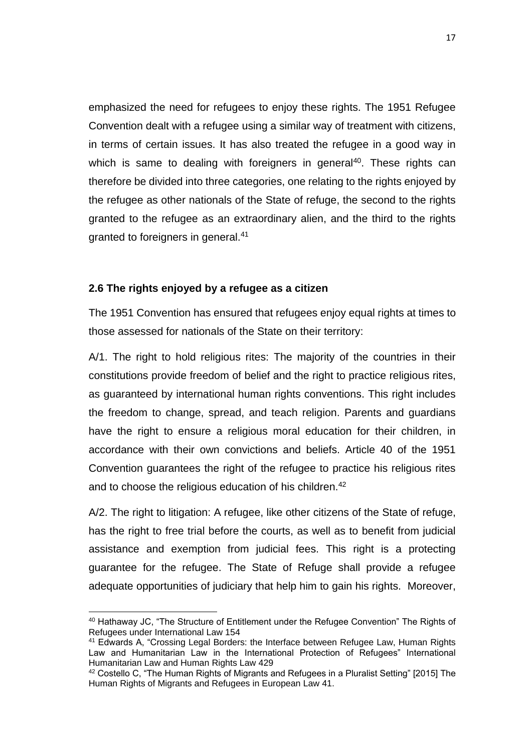emphasized the need for refugees to enjoy these rights. The 1951 Refugee Convention dealt with a refugee using a similar way of treatment with citizens, in terms of certain issues. It has also treated the refugee in a good way in which is same to dealing with foreigners in general<sup>40</sup>. These rights can therefore be divided into three categories, one relating to the rights enjoyed by the refugee as other nationals of the State of refuge, the second to the rights granted to the refugee as an extraordinary alien, and the third to the rights granted to foreigners in general.<sup>41</sup>

#### <span id="page-27-0"></span>**2.6 The rights enjoyed by a refugee as a citizen**

 $\overline{a}$ 

The 1951 Convention has ensured that refugees enjoy equal rights at times to those assessed for nationals of the State on their territory:

A/1. The right to hold religious rites: The majority of the countries in their constitutions provide freedom of belief and the right to practice religious rites, as guaranteed by international human rights conventions. This right includes the freedom to change, spread, and teach religion. Parents and guardians have the right to ensure a religious moral education for their children, in accordance with their own convictions and beliefs. Article 40 of the 1951 Convention guarantees the right of the refugee to practice his religious rites and to choose the religious education of his children.<sup>42</sup>

A/2. The right to litigation: A refugee, like other citizens of the State of refuge, has the right to free trial before the courts, as well as to benefit from judicial assistance and exemption from judicial fees. This right is a protecting guarantee for the refugee. The State of Refuge shall provide a refugee adequate opportunities of judiciary that help him to gain his rights. Moreover,

<sup>40</sup> Hathaway JC, "The Structure of Entitlement under the Refugee Convention" The Rights of Refugees under International Law 154

<sup>&</sup>lt;sup>41</sup> Edwards A, "Crossing Legal Borders: the Interface between Refugee Law, Human Rights Law and Humanitarian Law in the International Protection of Refugees" International Humanitarian Law and Human Rights Law 429

<sup>42</sup> Costello C, "The Human Rights of Migrants and Refugees in a Pluralist Setting" [2015] The Human Rights of Migrants and Refugees in European Law 41.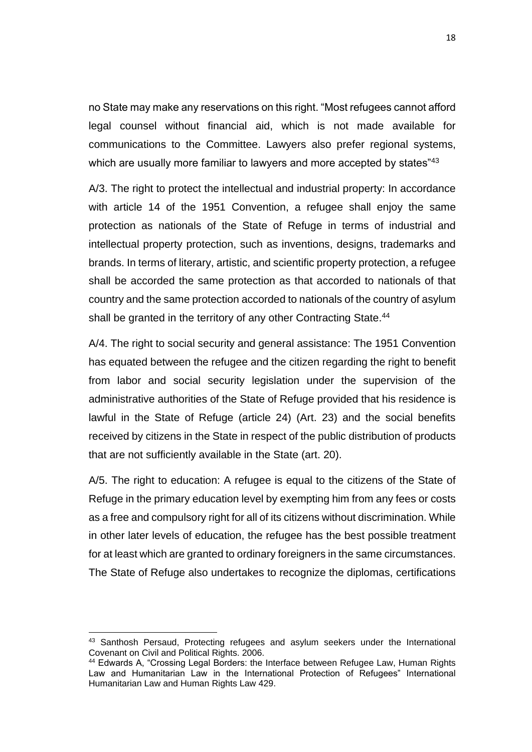no State may make any reservations on this right. "Most refugees cannot afford legal counsel without financial aid, which is not made available for communications to the Committee. Lawyers also prefer regional systems, which are usually more familiar to lawyers and more accepted by states"<sup>43</sup>

A/3. The right to protect the intellectual and industrial property: In accordance with article 14 of the 1951 Convention, a refugee shall enjoy the same protection as nationals of the State of Refuge in terms of industrial and intellectual property protection, such as inventions, designs, trademarks and brands. In terms of literary, artistic, and scientific property protection, a refugee shall be accorded the same protection as that accorded to nationals of that country and the same protection accorded to nationals of the country of asylum shall be granted in the territory of any other Contracting State.<sup>44</sup>

A/4. The right to social security and general assistance: The 1951 Convention has equated between the refugee and the citizen regarding the right to benefit from labor and social security legislation under the supervision of the administrative authorities of the State of Refuge provided that his residence is lawful in the State of Refuge (article 24) (Art. 23) and the social benefits received by citizens in the State in respect of the public distribution of products that are not sufficiently available in the State (art. 20).

A/5. The right to education: A refugee is equal to the citizens of the State of Refuge in the primary education level by exempting him from any fees or costs as a free and compulsory right for all of its citizens without discrimination. While in other later levels of education, the refugee has the best possible treatment for at least which are granted to ordinary foreigners in the same circumstances. The State of Refuge also undertakes to recognize the diplomas, certifications

<sup>&</sup>lt;sup>43</sup> Santhosh Persaud, Protecting refugees and asylum seekers under the International Covenant on Civil and Political Rights. 2006.

<sup>&</sup>lt;sup>44</sup> Edwards A, "Crossing Legal Borders: the Interface between Refugee Law, Human Rights Law and Humanitarian Law in the International Protection of Refugees" International Humanitarian Law and Human Rights Law 429.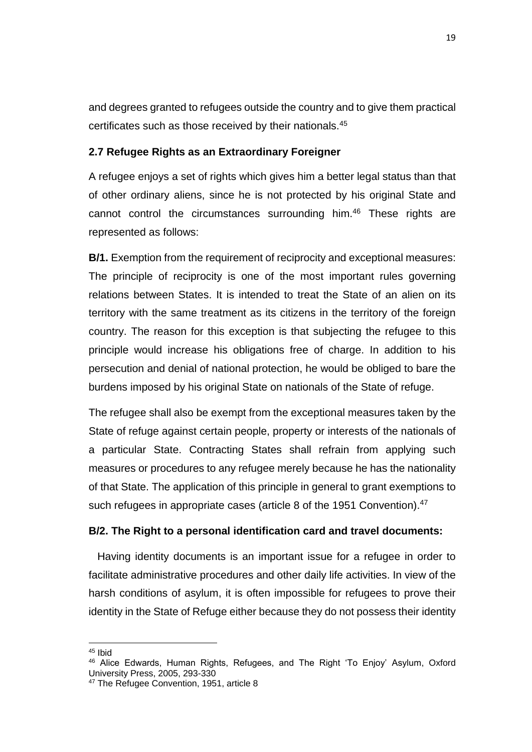and degrees granted to refugees outside the country and to give them practical certificates such as those received by their nationals.<sup>45</sup>

#### <span id="page-29-0"></span>**2.7 Refugee Rights as an Extraordinary Foreigner**

A refugee enjoys a set of rights which gives him a better legal status than that of other ordinary aliens, since he is not protected by his original State and cannot control the circumstances surrounding him.<sup>46</sup> These rights are represented as follows:

**B/1.** Exemption from the requirement of reciprocity and exceptional measures: The principle of reciprocity is one of the most important rules governing relations between States. It is intended to treat the State of an alien on its territory with the same treatment as its citizens in the territory of the foreign country. The reason for this exception is that subjecting the refugee to this principle would increase his obligations free of charge. In addition to his persecution and denial of national protection, he would be obliged to bare the burdens imposed by his original State on nationals of the State of refuge.

The refugee shall also be exempt from the exceptional measures taken by the State of refuge against certain people, property or interests of the nationals of a particular State. Contracting States shall refrain from applying such measures or procedures to any refugee merely because he has the nationality of that State. The application of this principle in general to grant exemptions to such refugees in appropriate cases (article 8 of the 1951 Convention).<sup>47</sup>

#### **B/2. The Right to a personal identification card and travel documents:**

 Having identity documents is an important issue for a refugee in order to facilitate administrative procedures and other daily life activities. In view of the harsh conditions of asylum, it is often impossible for refugees to prove their identity in the State of Refuge either because they do not possess their identity

<sup>45</sup> Ibid

<sup>46</sup> Alice Edwards, Human Rights, Refugees, and The Right 'To Enjoy' Asylum, Oxford University Press, 2005, 293-330

<sup>&</sup>lt;sup>47</sup> The Refugee Convention, 1951, article 8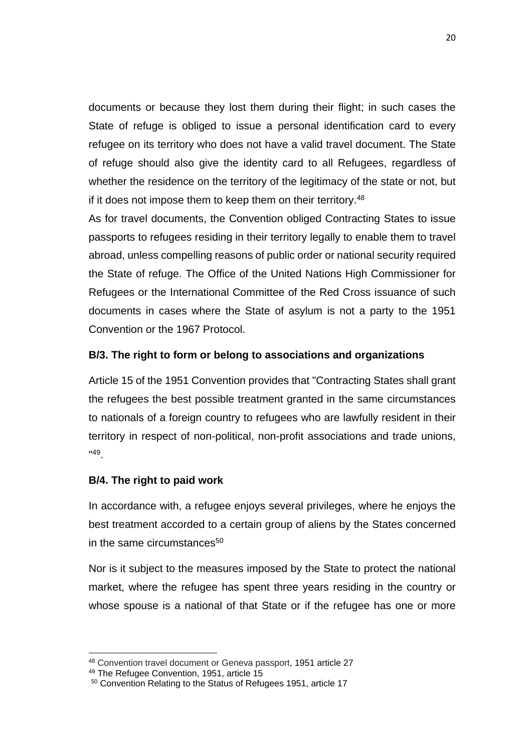documents or because they lost them during their flight; in such cases the State of refuge is obliged to issue a personal identification card to every refugee on its territory who does not have a valid travel document. The State of refuge should also give the identity card to all Refugees, regardless of whether the residence on the territory of the legitimacy of the state or not, but if it does not impose them to keep them on their territory.<sup>48</sup>

As for travel documents, the Convention obliged Contracting States to issue passports to refugees residing in their territory legally to enable them to travel abroad, unless compelling reasons of public order or national security required the State of refuge. The Office of the United Nations High Commissioner for Refugees or the International Committee of the Red Cross issuance of such documents in cases where the State of asylum is not a party to the 1951 Convention or the 1967 Protocol.

### **B/3. The right to form or belong to associations and organizations**

Article 15 of the 1951 Convention provides that "Contracting States shall grant the refugees the best possible treatment granted in the same circumstances to nationals of a foreign country to refugees who are lawfully resident in their territory in respect of non-political, non-profit associations and trade unions, " 49 .

### **B/4. The right to paid work**

In accordance with, a refugee enjoys several privileges, where he enjoys the best treatment accorded to a certain group of aliens by the States concerned in the same circumstances $50$ 

Nor is it subject to the measures imposed by the State to protect the national market, where the refugee has spent three years residing in the country or whose spouse is a national of that State or if the refugee has one or more

<sup>48</sup> Convention travel document or Geneva passport, 1951 article 27

<sup>49</sup> The Refugee Convention, 1951, article 15

<sup>50</sup> Convention Relating to the Status of Refugees 1951, article 17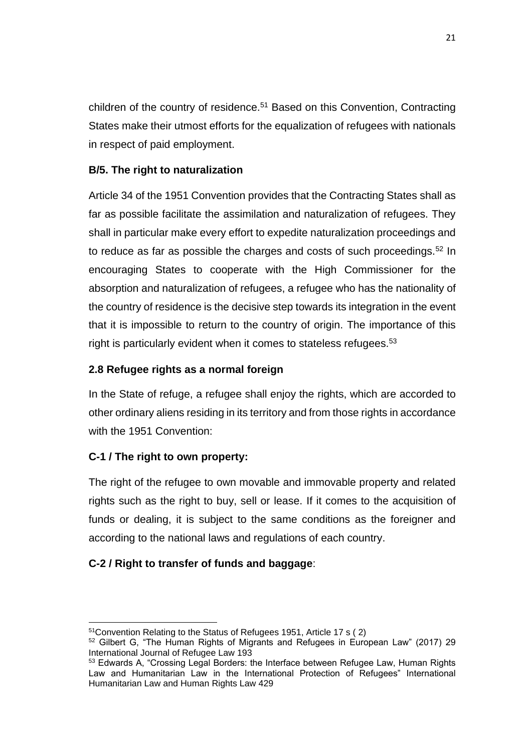children of the country of residence.<sup>51</sup> Based on this Convention, Contracting States make their utmost efforts for the equalization of refugees with nationals in respect of paid employment.

## **B/5. The right to naturalization**

Article 34 of the 1951 Convention provides that the Contracting States shall as far as possible facilitate the assimilation and naturalization of refugees. They shall in particular make every effort to expedite naturalization proceedings and to reduce as far as possible the charges and costs of such proceedings.<sup>52</sup> In encouraging States to cooperate with the High Commissioner for the absorption and naturalization of refugees, a refugee who has the nationality of the country of residence is the decisive step towards its integration in the event that it is impossible to return to the country of origin. The importance of this right is particularly evident when it comes to stateless refugees.<sup>53</sup>

### <span id="page-31-0"></span>**2.8 Refugee rights as a normal foreign**

In the State of refuge, a refugee shall enjoy the rights, which are accorded to other ordinary aliens residing in its territory and from those rights in accordance with the 1951 Convention:

## **C-1 / The right to own property:**

 $\overline{a}$ 

The right of the refugee to own movable and immovable property and related rights such as the right to buy, sell or lease. If it comes to the acquisition of funds or dealing, it is subject to the same conditions as the foreigner and according to the national laws and regulations of each country.

### **C-2 / Right to transfer of funds and baggage**:

<sup>51</sup>Convention Relating to the Status of Refugees 1951, Article 17 s ( 2)

<sup>52</sup> Gilbert G, "The Human Rights of Migrants and Refugees in European Law" (2017) 29 International Journal of Refugee Law 193

<sup>&</sup>lt;sup>53</sup> Edwards A, "Crossing Legal Borders: the Interface between Refugee Law, Human Rights Law and Humanitarian Law in the International Protection of Refugees" International Humanitarian Law and Human Rights Law 429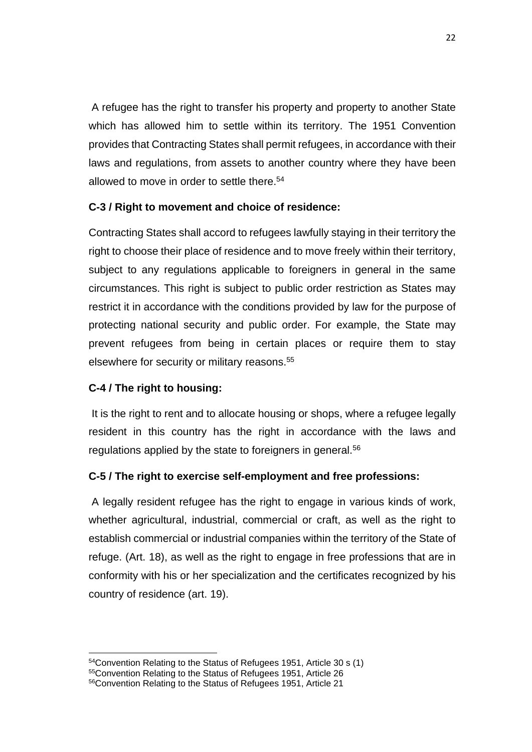A refugee has the right to transfer his property and property to another State which has allowed him to settle within its territory. The 1951 Convention provides that Contracting States shall permit refugees, in accordance with their laws and regulations, from assets to another country where they have been allowed to move in order to settle there.<sup>54</sup>

## **C-3 / Right to movement and choice of residence:**

Contracting States shall accord to refugees lawfully staying in their territory the right to choose their place of residence and to move freely within their territory, subject to any regulations applicable to foreigners in general in the same circumstances. This right is subject to public order restriction as States may restrict it in accordance with the conditions provided by law for the purpose of protecting national security and public order. For example, the State may prevent refugees from being in certain places or require them to stay elsewhere for security or military reasons.<sup>55</sup>

## **C-4 / The right to housing:**

 $\overline{a}$ 

It is the right to rent and to allocate housing or shops, where a refugee legally resident in this country has the right in accordance with the laws and regulations applied by the state to foreigners in general.<sup>56</sup>

### **C-5 / The right to exercise self-employment and free professions:**

A legally resident refugee has the right to engage in various kinds of work, whether agricultural, industrial, commercial or craft, as well as the right to establish commercial or industrial companies within the territory of the State of refuge. (Art. 18), as well as the right to engage in free professions that are in conformity with his or her specialization and the certificates recognized by his country of residence (art. 19).

<sup>54</sup>Convention Relating to the Status of Refugees 1951, Article 30 s (1)

<sup>55</sup>Convention Relating to the Status of Refugees 1951, Article 26

<sup>56</sup>Convention Relating to the Status of Refugees 1951, Article 21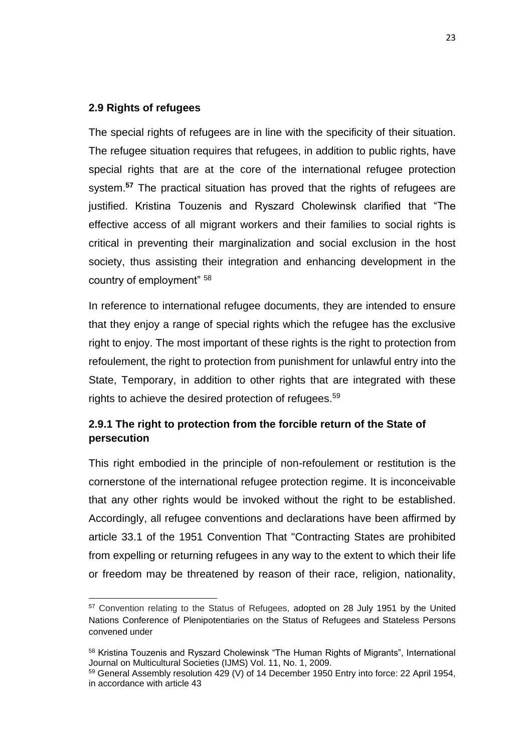#### <span id="page-33-0"></span>**2.9 Rights of refugees**

 $\overline{a}$ 

The special rights of refugees are in line with the specificity of their situation. The refugee situation requires that refugees, in addition to public rights, have special rights that are at the core of the international refugee protection system.**<sup>57</sup>** The practical situation has proved that the rights of refugees are justified. Kristina Touzenis and Ryszard Cholewinsk clarified that "The effective access of all migrant workers and their families to social rights is critical in preventing their marginalization and social exclusion in the host society, thus assisting their integration and enhancing development in the country of employment" <sup>58</sup>

In reference to international refugee documents, they are intended to ensure that they enjoy a range of special rights which the refugee has the exclusive right to enjoy. The most important of these rights is the right to protection from refoulement, the right to protection from punishment for unlawful entry into the State, Temporary, in addition to other rights that are integrated with these rights to achieve the desired protection of refugees.<sup>59</sup>

## <span id="page-33-1"></span>**2.9.1 The right to protection from the forcible return of the State of persecution**

This right embodied in the principle of non-refoulement or restitution is the cornerstone of the international refugee protection regime. It is inconceivable that any other rights would be invoked without the right to be established. Accordingly, all refugee conventions and declarations have been affirmed by article 33.1 of the 1951 Convention That "Contracting States are prohibited from expelling or returning refugees in any way to the extent to which their life or freedom may be threatened by reason of their race, religion, nationality,

<sup>&</sup>lt;sup>57</sup> Convention relating to the Status of Refugees, adopted on 28 July 1951 by the United Nations Conference of Plenipotentiaries on the Status of Refugees and Stateless Persons convened under

<sup>58</sup> Kristina Touzenis and Ryszard Cholewinsk "The Human Rights of Migrants", International Journal on Multicultural Societies (IJMS) Vol. 11, No. 1, 2009.

<sup>59</sup> General Assembly resolution 429 (V) of 14 December 1950 Entry into force: 22 April 1954, in accordance with article 43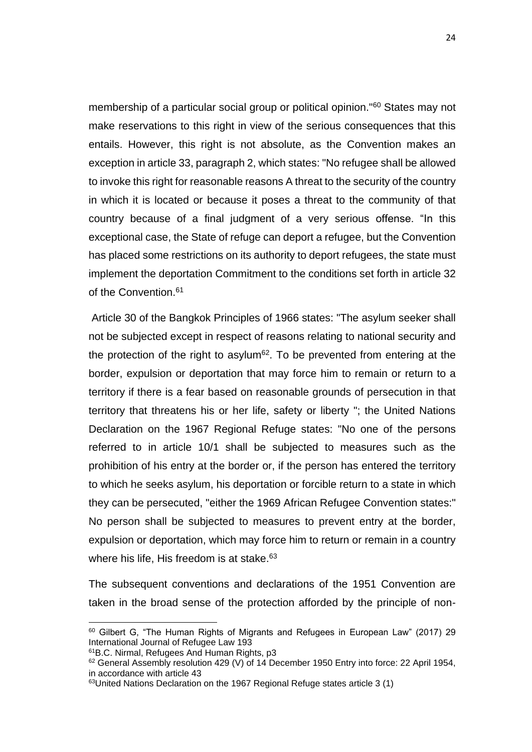membership of a particular social group or political opinion."<sup>60</sup> States may not make reservations to this right in view of the serious consequences that this entails. However, this right is not absolute, as the Convention makes an exception in article 33, paragraph 2, which states: "No refugee shall be allowed to invoke this right for reasonable reasons A threat to the security of the country in which it is located or because it poses a threat to the community of that country because of a final judgment of a very serious offense. "In this exceptional case, the State of refuge can deport a refugee, but the Convention has placed some restrictions on its authority to deport refugees, the state must implement the deportation Commitment to the conditions set forth in article 32 of the Convention.<sup>61</sup>

Article 30 of the Bangkok Principles of 1966 states: "The asylum seeker shall not be subjected except in respect of reasons relating to national security and the protection of the right to asylum<sup>62</sup>. To be prevented from entering at the border, expulsion or deportation that may force him to remain or return to a territory if there is a fear based on reasonable grounds of persecution in that territory that threatens his or her life, safety or liberty "; the United Nations Declaration on the 1967 Regional Refuge states: "No one of the persons referred to in article 10/1 shall be subjected to measures such as the prohibition of his entry at the border or, if the person has entered the territory to which he seeks asylum, his deportation or forcible return to a state in which they can be persecuted, "either the 1969 African Refugee Convention states:" No person shall be subjected to measures to prevent entry at the border, expulsion or deportation, which may force him to return or remain in a country where his life, His freedom is at stake. $63$ 

The subsequent conventions and declarations of the 1951 Convention are taken in the broad sense of the protection afforded by the principle of non-

<sup>&</sup>lt;sup>60</sup> Gilbert G, "The Human Rights of Migrants and Refugees in European Law" (2017) 29 International Journal of Refugee Law 193

<sup>61</sup>B.C. Nirmal, Refugees And Human Rights, p3

<sup>&</sup>lt;sup>62</sup> General Assembly resolution 429 (V) of 14 December 1950 Entry into force: 22 April 1954, in accordance with article 43

<sup>63</sup>United Nations Declaration on the 1967 Regional Refuge states article 3 (1)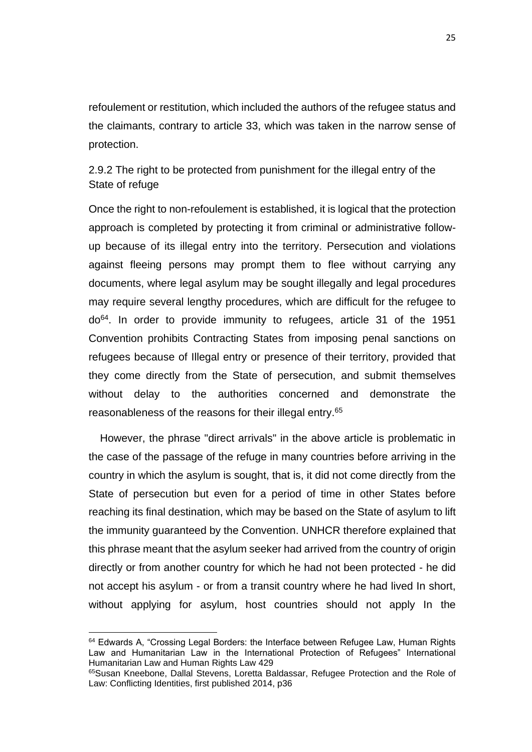refoulement or restitution, which included the authors of the refugee status and the claimants, contrary to article 33, which was taken in the narrow sense of protection.

<span id="page-35-0"></span>2.9.2 The right to be protected from punishment for the illegal entry of the State of refuge

Once the right to non-refoulement is established, it is logical that the protection approach is completed by protecting it from criminal or administrative followup because of its illegal entry into the territory. Persecution and violations against fleeing persons may prompt them to flee without carrying any documents, where legal asylum may be sought illegally and legal procedures may require several lengthy procedures, which are difficult for the refugee to do<sup>64</sup>. In order to provide immunity to refugees, article 31 of the 1951 Convention prohibits Contracting States from imposing penal sanctions on refugees because of Illegal entry or presence of their territory, provided that they come directly from the State of persecution, and submit themselves without delay to the authorities concerned and demonstrate the reasonableness of the reasons for their illegal entry.<sup>65</sup>

 However, the phrase "direct arrivals" in the above article is problematic in the case of the passage of the refuge in many countries before arriving in the country in which the asylum is sought, that is, it did not come directly from the State of persecution but even for a period of time in other States before reaching its final destination, which may be based on the State of asylum to lift the immunity guaranteed by the Convention. UNHCR therefore explained that this phrase meant that the asylum seeker had arrived from the country of origin directly or from another country for which he had not been protected - he did not accept his asylum - or from a transit country where he had lived In short, without applying for asylum, host countries should not apply In the

<sup>&</sup>lt;sup>64</sup> Edwards A, "Crossing Legal Borders: the Interface between Refugee Law, Human Rights Law and Humanitarian Law in the International Protection of Refugees" International Humanitarian Law and Human Rights Law 429

<sup>&</sup>lt;sup>65</sup>Susan Kneebone, Dallal Stevens, Loretta Baldassar, Refugee Protection and the Role of Law: Conflicting Identities, first published 2014, p36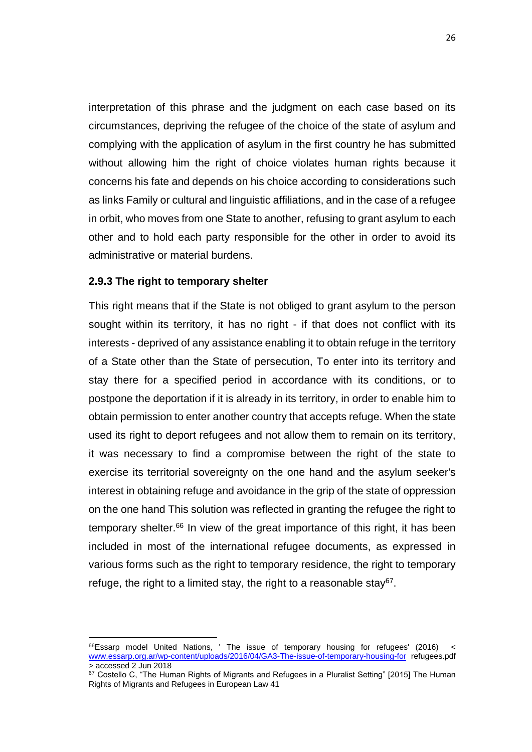interpretation of this phrase and the judgment on each case based on its circumstances, depriving the refugee of the choice of the state of asylum and complying with the application of asylum in the first country he has submitted without allowing him the right of choice violates human rights because it concerns his fate and depends on his choice according to considerations such as links Family or cultural and linguistic affiliations, and in the case of a refugee in orbit, who moves from one State to another, refusing to grant asylum to each other and to hold each party responsible for the other in order to avoid its administrative or material burdens.

#### **2.9.3 The right to temporary shelter**

 $\overline{a}$ 

This right means that if the State is not obliged to grant asylum to the person sought within its territory, it has no right - if that does not conflict with its interests - deprived of any assistance enabling it to obtain refuge in the territory of a State other than the State of persecution, To enter into its territory and stay there for a specified period in accordance with its conditions, or to postpone the deportation if it is already in its territory, in order to enable him to obtain permission to enter another country that accepts refuge. When the state used its right to deport refugees and not allow them to remain on its territory, it was necessary to find a compromise between the right of the state to exercise its territorial sovereignty on the one hand and the asylum seeker's interest in obtaining refuge and avoidance in the grip of the state of oppression on the one hand This solution was reflected in granting the refugee the right to temporary shelter.<sup>66</sup> In view of the great importance of this right, it has been included in most of the international refugee documents, as expressed in various forms such as the right to temporary residence, the right to temporary refuge, the right to a limited stay, the right to a reasonable stay<sup>67</sup>.

 $^{66}$ Essarp model United Nations, ' The issue of temporary housing for refugees' (2016) < [www.essarp.org.ar/wp-content/uploads/2016/04/GA3-The-issue-of-temporary-housing-for](http://www.essarp.org.ar/wp-content/uploads/2016/04/GA3-The-issue-of-temporary-housing-for) refugees.pdf > accessed 2 Jun 2018

<sup>67</sup> Costello C, "The Human Rights of Migrants and Refugees in a Pluralist Setting" [2015] The Human Rights of Migrants and Refugees in European Law 41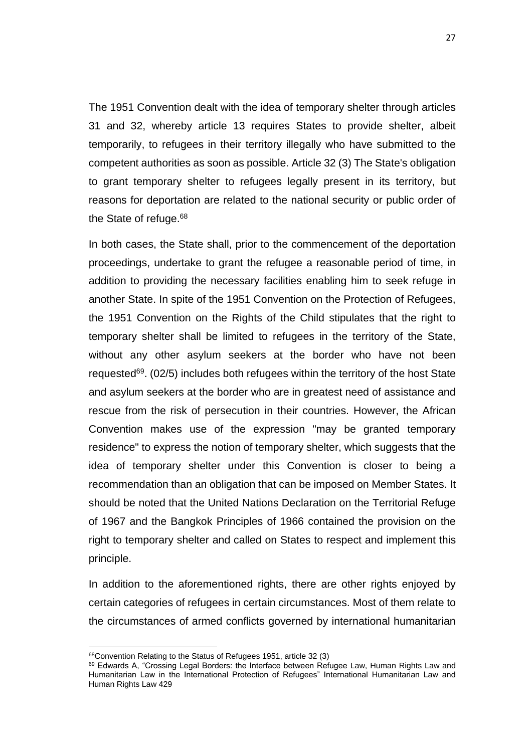The 1951 Convention dealt with the idea of temporary shelter through articles 31 and 32, whereby article 13 requires States to provide shelter, albeit temporarily, to refugees in their territory illegally who have submitted to the competent authorities as soon as possible. Article 32 (3) The State's obligation to grant temporary shelter to refugees legally present in its territory, but reasons for deportation are related to the national security or public order of the State of refuge. $68$ 

In both cases, the State shall, prior to the commencement of the deportation proceedings, undertake to grant the refugee a reasonable period of time, in addition to providing the necessary facilities enabling him to seek refuge in another State. In spite of the 1951 Convention on the Protection of Refugees, the 1951 Convention on the Rights of the Child stipulates that the right to temporary shelter shall be limited to refugees in the territory of the State, without any other asylum seekers at the border who have not been requested<sup>69</sup>. (02/5) includes both refugees within the territory of the host State and asylum seekers at the border who are in greatest need of assistance and rescue from the risk of persecution in their countries. However, the African Convention makes use of the expression "may be granted temporary residence" to express the notion of temporary shelter, which suggests that the idea of temporary shelter under this Convention is closer to being a recommendation than an obligation that can be imposed on Member States. It should be noted that the United Nations Declaration on the Territorial Refuge of 1967 and the Bangkok Principles of 1966 contained the provision on the right to temporary shelter and called on States to respect and implement this principle.

In addition to the aforementioned rights, there are other rights enjoyed by certain categories of refugees in certain circumstances. Most of them relate to the circumstances of armed conflicts governed by international humanitarian

<sup>68</sup>Convention Relating to the Status of Refugees 1951, article 32 (3)

<sup>&</sup>lt;sup>69</sup> Edwards A, "Crossing Legal Borders: the Interface between Refugee Law, Human Rights Law and Humanitarian Law in the International Protection of Refugees" International Humanitarian Law and Human Rights Law 429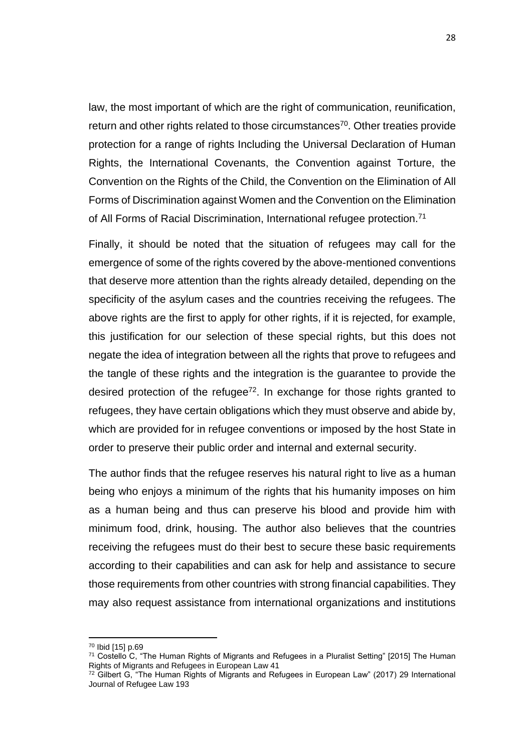law, the most important of which are the right of communication, reunification, return and other rights related to those circumstances<sup>70</sup>. Other treaties provide protection for a range of rights Including the Universal Declaration of Human Rights, the International Covenants, the Convention against Torture, the Convention on the Rights of the Child, the Convention on the Elimination of All Forms of Discrimination against Women and the Convention on the Elimination of All Forms of Racial Discrimination, International refugee protection.<sup>71</sup>

Finally, it should be noted that the situation of refugees may call for the emergence of some of the rights covered by the above-mentioned conventions that deserve more attention than the rights already detailed, depending on the specificity of the asylum cases and the countries receiving the refugees. The above rights are the first to apply for other rights, if it is rejected, for example, this justification for our selection of these special rights, but this does not negate the idea of integration between all the rights that prove to refugees and the tangle of these rights and the integration is the guarantee to provide the desired protection of the refugee $72$ . In exchange for those rights granted to refugees, they have certain obligations which they must observe and abide by, which are provided for in refugee conventions or imposed by the host State in order to preserve their public order and internal and external security.

The author finds that the refugee reserves his natural right to live as a human being who enjoys a minimum of the rights that his humanity imposes on him as a human being and thus can preserve his blood and provide him with minimum food, drink, housing. The author also believes that the countries receiving the refugees must do their best to secure these basic requirements according to their capabilities and can ask for help and assistance to secure those requirements from other countries with strong financial capabilities. They may also request assistance from international organizations and institutions

<sup>70</sup> Ibid [15] p.69

<sup>71</sup> Costello C, "The Human Rights of Migrants and Refugees in a Pluralist Setting" [2015] The Human Rights of Migrants and Refugees in European Law 41

 $72$  Gilbert G, "The Human Rights of Migrants and Refugees in European Law" (2017) 29 International Journal of Refugee Law 193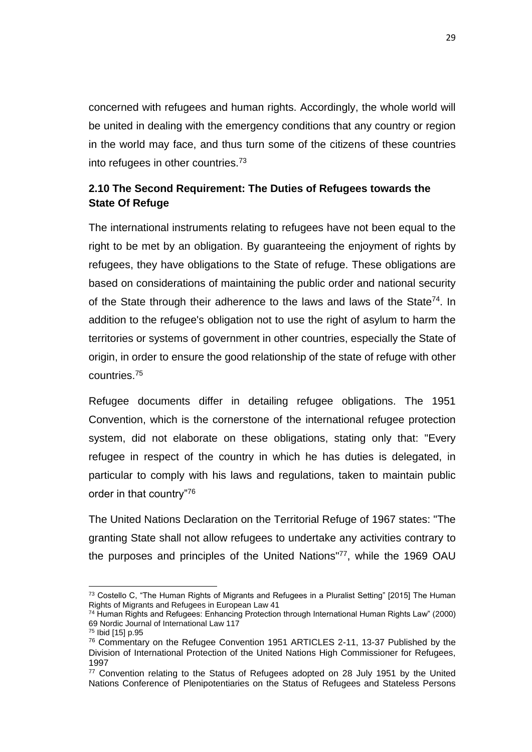concerned with refugees and human rights. Accordingly, the whole world will be united in dealing with the emergency conditions that any country or region in the world may face, and thus turn some of the citizens of these countries into refugees in other countries.<sup>73</sup>

# **2.10 The Second Requirement: The Duties of Refugees towards the State Of Refuge**

The international instruments relating to refugees have not been equal to the right to be met by an obligation. By guaranteeing the enjoyment of rights by refugees, they have obligations to the State of refuge. These obligations are based on considerations of maintaining the public order and national security of the State through their adherence to the laws and laws of the State<sup>74</sup>. In addition to the refugee's obligation not to use the right of asylum to harm the territories or systems of government in other countries, especially the State of origin, in order to ensure the good relationship of the state of refuge with other countries.<sup>75</sup>

Refugee documents differ in detailing refugee obligations. The 1951 Convention, which is the cornerstone of the international refugee protection system, did not elaborate on these obligations, stating only that: "Every refugee in respect of the country in which he has duties is delegated, in particular to comply with his laws and regulations, taken to maintain public order in that country"<sup>76</sup>

The United Nations Declaration on the Territorial Refuge of 1967 states: "The granting State shall not allow refugees to undertake any activities contrary to the purposes and principles of the United Nations"<sup>77</sup>, while the 1969 OAU

 $\overline{a}$  $^{73}$  Costello C, "The Human Rights of Migrants and Refugees in a Pluralist Setting" [2015] The Human Rights of Migrants and Refugees in European Law 41

<sup>74</sup> Human Rights and Refugees: Enhancing Protection through International Human Rights Law" (2000) 69 Nordic Journal of International Law 117

<sup>75</sup> Ibid [15] p.95

<sup>76</sup> Commentary on the Refugee Convention 1951 ARTICLES 2-11, 13-37 Published by the Division of International Protection of the United Nations High Commissioner for Refugees, 1997

<sup>&</sup>lt;sup>77</sup> Convention relating to the Status of Refugees adopted on 28 July 1951 by the United Nations Conference of Plenipotentiaries on the Status of Refugees and Stateless Persons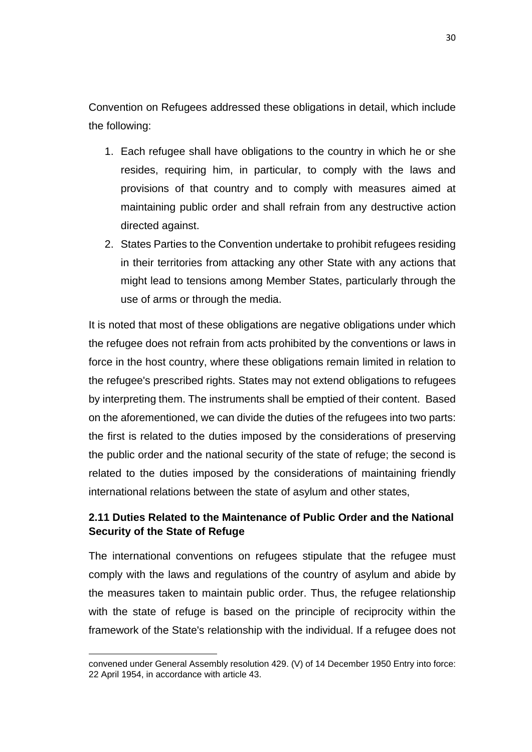Convention on Refugees addressed these obligations in detail, which include the following:

- 1. Each refugee shall have obligations to the country in which he or she resides, requiring him, in particular, to comply with the laws and provisions of that country and to comply with measures aimed at maintaining public order and shall refrain from any destructive action directed against.
- 2. States Parties to the Convention undertake to prohibit refugees residing in their territories from attacking any other State with any actions that might lead to tensions among Member States, particularly through the use of arms or through the media.

It is noted that most of these obligations are negative obligations under which the refugee does not refrain from acts prohibited by the conventions or laws in force in the host country, where these obligations remain limited in relation to the refugee's prescribed rights. States may not extend obligations to refugees by interpreting them. The instruments shall be emptied of their content. Based on the aforementioned, we can divide the duties of the refugees into two parts: the first is related to the duties imposed by the considerations of preserving the public order and the national security of the state of refuge; the second is related to the duties imposed by the considerations of maintaining friendly international relations between the state of asylum and other states,

# **2.11 Duties Related to the Maintenance of Public Order and the National Security of the State of Refuge**

The international conventions on refugees stipulate that the refugee must comply with the laws and regulations of the country of asylum and abide by the measures taken to maintain public order. Thus, the refugee relationship with the state of refuge is based on the principle of reciprocity within the framework of the State's relationship with the individual. If a refugee does not

convened under General Assembly resolution 429. (V) of 14 December 1950 Entry into force: 22 April 1954, in accordance with article 43.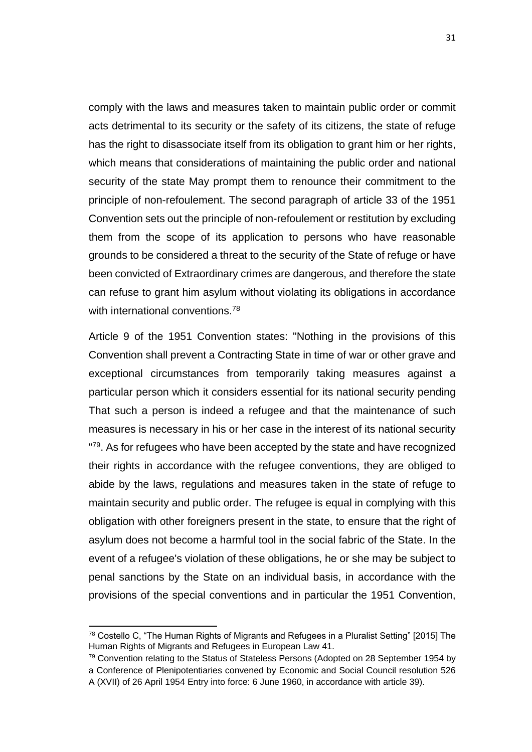comply with the laws and measures taken to maintain public order or commit acts detrimental to its security or the safety of its citizens, the state of refuge has the right to disassociate itself from its obligation to grant him or her rights, which means that considerations of maintaining the public order and national security of the state May prompt them to renounce their commitment to the principle of non-refoulement. The second paragraph of article 33 of the 1951 Convention sets out the principle of non-refoulement or restitution by excluding them from the scope of its application to persons who have reasonable grounds to be considered a threat to the security of the State of refuge or have been convicted of Extraordinary crimes are dangerous, and therefore the state can refuse to grant him asylum without violating its obligations in accordance with international conventions.<sup>78</sup>

Article 9 of the 1951 Convention states: "Nothing in the provisions of this Convention shall prevent a Contracting State in time of war or other grave and exceptional circumstances from temporarily taking measures against a particular person which it considers essential for its national security pending That such a person is indeed a refugee and that the maintenance of such measures is necessary in his or her case in the interest of its national security "<sup>79</sup>. As for refugees who have been accepted by the state and have recognized their rights in accordance with the refugee conventions, they are obliged to abide by the laws, regulations and measures taken in the state of refuge to maintain security and public order. The refugee is equal in complying with this obligation with other foreigners present in the state, to ensure that the right of asylum does not become a harmful tool in the social fabric of the State. In the event of a refugee's violation of these obligations, he or she may be subject to penal sanctions by the State on an individual basis, in accordance with the provisions of the special conventions and in particular the 1951 Convention,

 $78$  Costello C, "The Human Rights of Migrants and Refugees in a Pluralist Setting" [2015] The Human Rights of Migrants and Refugees in European Law 41.

 $79$  Convention relating to the Status of Stateless Persons (Adopted on 28 September 1954 by a Conference of Plenipotentiaries convened by Economic and Social Council resolution 526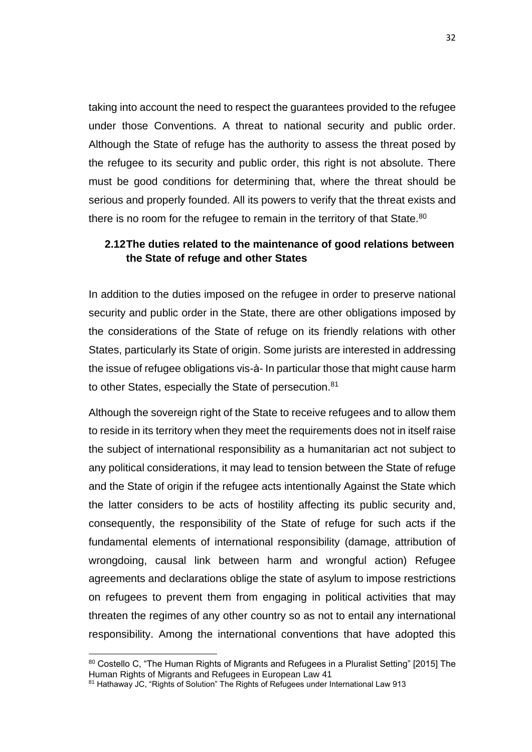taking into account the need to respect the guarantees provided to the refugee under those Conventions. A threat to national security and public order. Although the State of refuge has the authority to assess the threat posed by the refugee to its security and public order, this right is not absolute. There must be good conditions for determining that, where the threat should be serious and properly founded. All its powers to verify that the threat exists and there is no room for the refugee to remain in the territory of that State.<sup>80</sup>

# **2.12The duties related to the maintenance of good relations between the State of refuge and other States**

In addition to the duties imposed on the refugee in order to preserve national security and public order in the State, there are other obligations imposed by the considerations of the State of refuge on its friendly relations with other States, particularly its State of origin. Some jurists are interested in addressing the issue of refugee obligations vis-à- In particular those that might cause harm to other States, especially the State of persecution.<sup>81</sup>

Although the sovereign right of the State to receive refugees and to allow them to reside in its territory when they meet the requirements does not in itself raise the subject of international responsibility as a humanitarian act not subject to any political considerations, it may lead to tension between the State of refuge and the State of origin if the refugee acts intentionally Against the State which the latter considers to be acts of hostility affecting its public security and, consequently, the responsibility of the State of refuge for such acts if the fundamental elements of international responsibility (damage, attribution of wrongdoing, causal link between harm and wrongful action) Refugee agreements and declarations oblige the state of asylum to impose restrictions on refugees to prevent them from engaging in political activities that may threaten the regimes of any other country so as not to entail any international responsibility. Among the international conventions that have adopted this

<sup>80</sup> Costello C, "The Human Rights of Migrants and Refugees in a Pluralist Setting" [2015] The Human Rights of Migrants and Refugees in European Law 41

<sup>81</sup> Hathaway JC, "Rights of Solution" The Rights of Refugees under International Law 913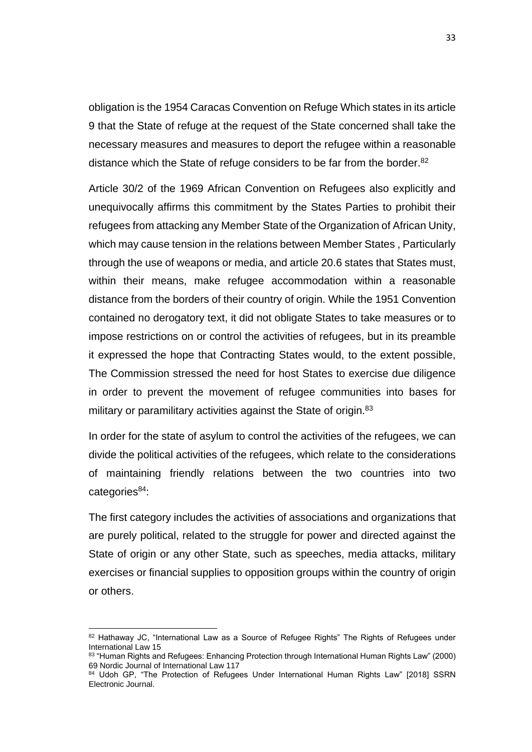obligation is the 1954 Caracas Convention on Refuge Which states in its article 9 that the State of refuge at the request of the State concerned shall take the necessary measures and measures to deport the refugee within a reasonable distance which the State of refuge considers to be far from the border.<sup>82</sup>

Article 30/2 of the 1969 African Convention on Refugees also explicitly and unequivocally affirms this commitment by the States Parties to prohibit their refugees from attacking any Member State of the Organization of African Unity, which may cause tension in the relations between Member States , Particularly through the use of weapons or media, and article 20.6 states that States must, within their means, make refugee accommodation within a reasonable distance from the borders of their country of origin. While the 1951 Convention contained no derogatory text, it did not obligate States to take measures or to impose restrictions on or control the activities of refugees, but in its preamble it expressed the hope that Contracting States would, to the extent possible, The Commission stressed the need for host States to exercise due diligence in order to prevent the movement of refugee communities into bases for military or paramilitary activities against the State of origin.<sup>83</sup>

In order for the state of asylum to control the activities of the refugees, we can divide the political activities of the refugees, which relate to the considerations of maintaining friendly relations between the two countries into two categories<sup>84</sup>:

The first category includes the activities of associations and organizations that are purely political, related to the struggle for power and directed against the State of origin or any other State, such as speeches, media attacks, military exercises or financial supplies to opposition groups within the country of origin or others.

<sup>82</sup> Hathaway JC, "International Law as a Source of Refugee Rights" The Rights of Refugees under International Law 15

<sup>83 &</sup>quot;Human Rights and Refugees: Enhancing Protection through International Human Rights Law" (2000) 69 Nordic Journal of International Law 117

<sup>84</sup> Udoh GP, "The Protection of Refugees Under International Human Rights Law" [2018] SSRN Electronic Journal.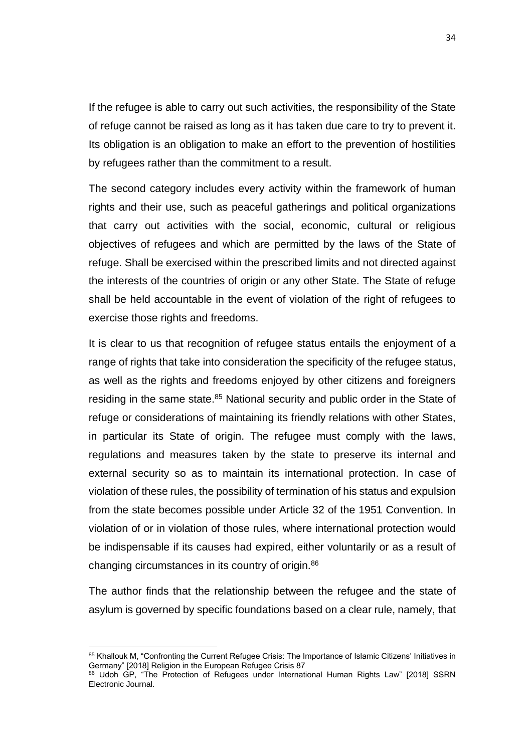If the refugee is able to carry out such activities, the responsibility of the State of refuge cannot be raised as long as it has taken due care to try to prevent it. Its obligation is an obligation to make an effort to the prevention of hostilities by refugees rather than the commitment to a result.

The second category includes every activity within the framework of human rights and their use, such as peaceful gatherings and political organizations that carry out activities with the social, economic, cultural or religious objectives of refugees and which are permitted by the laws of the State of refuge. Shall be exercised within the prescribed limits and not directed against the interests of the countries of origin or any other State. The State of refuge shall be held accountable in the event of violation of the right of refugees to exercise those rights and freedoms.

It is clear to us that recognition of refugee status entails the enjoyment of a range of rights that take into consideration the specificity of the refugee status, as well as the rights and freedoms enjoyed by other citizens and foreigners residing in the same state.<sup>85</sup> National security and public order in the State of refuge or considerations of maintaining its friendly relations with other States, in particular its State of origin. The refugee must comply with the laws, regulations and measures taken by the state to preserve its internal and external security so as to maintain its international protection. In case of violation of these rules, the possibility of termination of his status and expulsion from the state becomes possible under Article 32 of the 1951 Convention. In violation of or in violation of those rules, where international protection would be indispensable if its causes had expired, either voluntarily or as a result of changing circumstances in its country of origin.<sup>86</sup>

The author finds that the relationship between the refugee and the state of asylum is governed by specific foundations based on a clear rule, namely, that

<sup>85</sup> Khallouk M, "Confronting the Current Refugee Crisis: The Importance of Islamic Citizens' Initiatives in Germany" [2018] Religion in the European Refugee Crisis 87

<sup>86</sup> Udoh GP, "The Protection of Refugees under International Human Rights Law" [2018] SSRN Electronic Journal.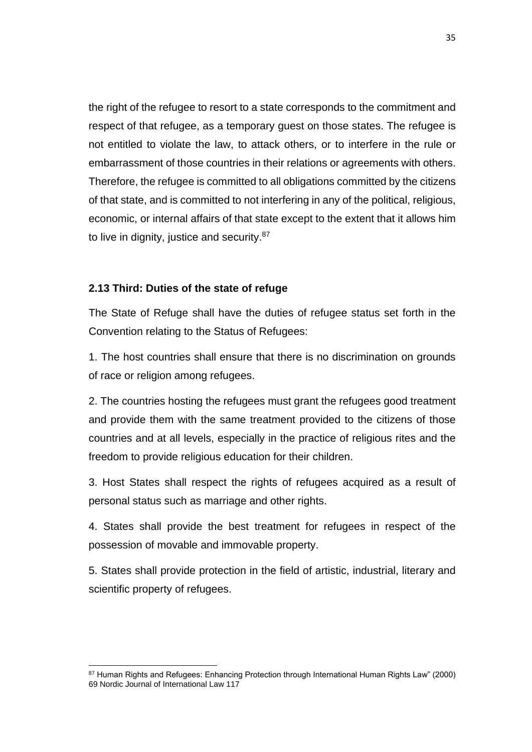the right of the refugee to resort to a state corresponds to the commitment and respect of that refugee, as a temporary guest on those states. The refugee is not entitled to violate the law, to attack others, or to interfere in the rule or embarrassment of those countries in their relations or agreements with others. Therefore, the refugee is committed to all obligations committed by the citizens of that state, and is committed to not interfering in any of the political, religious, economic, or internal affairs of that state except to the extent that it allows him to live in dignity, justice and security.<sup>87</sup>

#### **2.13 Third: Duties of the state of refuge**

 $\overline{a}$ 

The State of Refuge shall have the duties of refugee status set forth in the Convention relating to the Status of Refugees:

1. The host countries shall ensure that there is no discrimination on grounds of race or religion among refugees.

2. The countries hosting the refugees must grant the refugees good treatment and provide them with the same treatment provided to the citizens of those countries and at all levels, especially in the practice of religious rites and the freedom to provide religious education for their children.

3. Host States shall respect the rights of refugees acquired as a result of personal status such as marriage and other rights.

4. States shall provide the best treatment for refugees in respect of the possession of movable and immovable property.

5. States shall provide protection in the field of artistic, industrial, literary and scientific property of refugees.

<sup>87</sup> Human Rights and Refugees: Enhancing Protection through International Human Rights Law" (2000) 69 Nordic Journal of International Law 117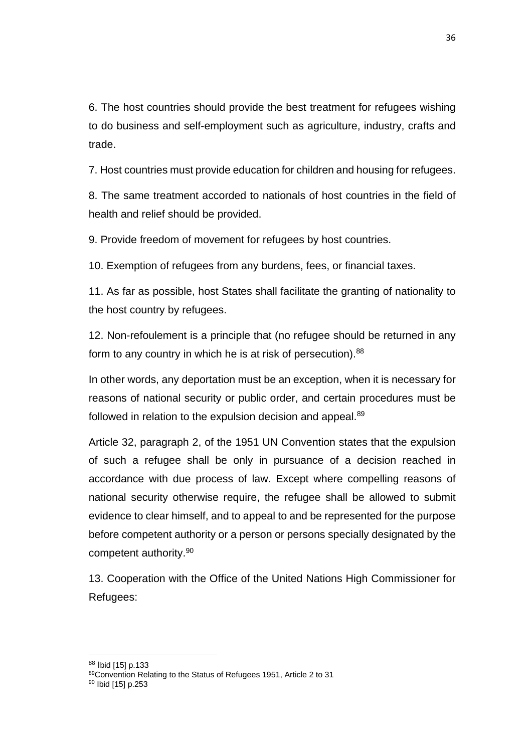6. The host countries should provide the best treatment for refugees wishing to do business and self-employment such as agriculture, industry, crafts and trade.

7. Host countries must provide education for children and housing for refugees.

8. The same treatment accorded to nationals of host countries in the field of health and relief should be provided.

9. Provide freedom of movement for refugees by host countries.

10. Exemption of refugees from any burdens, fees, or financial taxes.

11. As far as possible, host States shall facilitate the granting of nationality to the host country by refugees.

12. Non-refoulement is a principle that (no refugee should be returned in any form to any country in which he is at risk of persecution).<sup>88</sup>

In other words, any deportation must be an exception, when it is necessary for reasons of national security or public order, and certain procedures must be followed in relation to the expulsion decision and appeal.<sup>89</sup>

Article 32, paragraph 2, of the 1951 UN Convention states that the expulsion of such a refugee shall be only in pursuance of a decision reached in accordance with due process of law. Except where compelling reasons of national security otherwise require, the refugee shall be allowed to submit evidence to clear himself, and to appeal to and be represented for the purpose before competent authority or a person or persons specially designated by the competent authority. 90

13. Cooperation with the Office of the United Nations High Commissioner for Refugees:

<sup>88</sup> Ibid [15] p.133

<sup>89</sup>Convention Relating to the Status of Refugees 1951, Article 2 to 31

<sup>90</sup> Ibid [15] p.253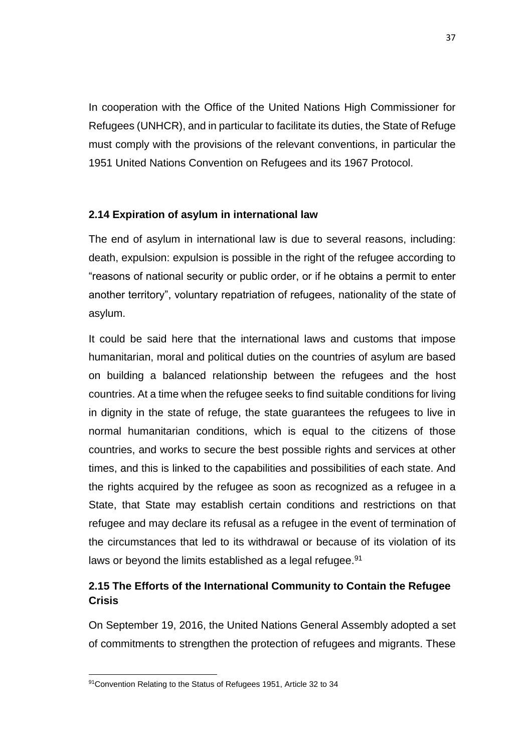In cooperation with the Office of the United Nations High Commissioner for Refugees (UNHCR), and in particular to facilitate its duties, the State of Refuge must comply with the provisions of the relevant conventions, in particular the 1951 United Nations Convention on Refugees and its 1967 Protocol.

## **2.14 Expiration of asylum in international law**

The end of asylum in international law is due to several reasons, including: death, expulsion: expulsion is possible in the right of the refugee according to "reasons of national security or public order, or if he obtains a permit to enter another territory", voluntary repatriation of refugees, nationality of the state of asylum.

It could be said here that the international laws and customs that impose humanitarian, moral and political duties on the countries of asylum are based on building a balanced relationship between the refugees and the host countries. At a time when the refugee seeks to find suitable conditions for living in dignity in the state of refuge, the state guarantees the refugees to live in normal humanitarian conditions, which is equal to the citizens of those countries, and works to secure the best possible rights and services at other times, and this is linked to the capabilities and possibilities of each state. And the rights acquired by the refugee as soon as recognized as a refugee in a State, that State may establish certain conditions and restrictions on that refugee and may declare its refusal as a refugee in the event of termination of the circumstances that led to its withdrawal or because of its violation of its laws or beyond the limits established as a legal refugee.<sup>91</sup>

# **2.15 The Efforts of the International Community to Contain the Refugee Crisis**

On September 19, 2016, the United Nations General Assembly adopted a set of commitments to strengthen the protection of refugees and migrants. These

<sup>91</sup> Convention Relating to the Status of Refugees 1951, Article 32 to 34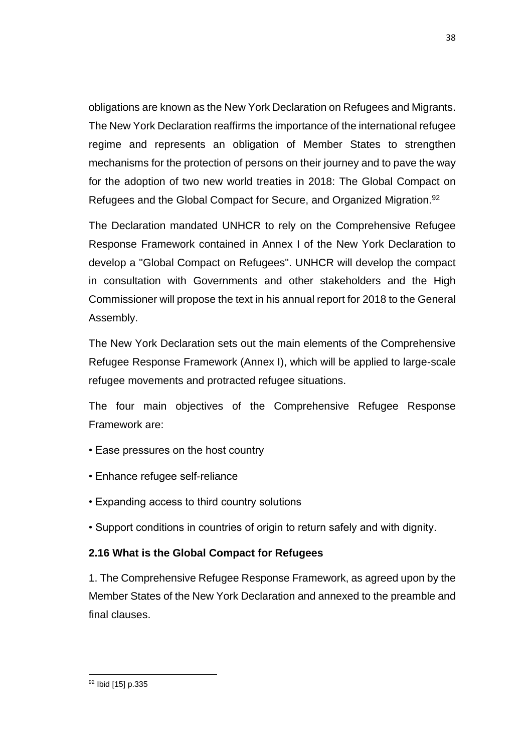obligations are known as the New York Declaration on Refugees and Migrants. The New York Declaration reaffirms the importance of the international refugee regime and represents an obligation of Member States to strengthen mechanisms for the protection of persons on their journey and to pave the way for the adoption of two new world treaties in 2018: The Global Compact on Refugees and the Global Compact for Secure, and Organized Migration.<sup>92</sup>

The Declaration mandated UNHCR to rely on the Comprehensive Refugee Response Framework contained in Annex I of the New York Declaration to develop a "Global Compact on Refugees". UNHCR will develop the compact in consultation with Governments and other stakeholders and the High Commissioner will propose the text in his annual report for 2018 to the General Assembly.

The New York Declaration sets out the main elements of the Comprehensive Refugee Response Framework (Annex I), which will be applied to large-scale refugee movements and protracted refugee situations.

The four main objectives of the Comprehensive Refugee Response Framework are:

- Ease pressures on the host country
- Enhance refugee self-reliance
- Expanding access to third country solutions
- Support conditions in countries of origin to return safely and with dignity.

# **2.16 What is the Global Compact for Refugees**

1. The Comprehensive Refugee Response Framework, as agreed upon by the Member States of the New York Declaration and annexed to the preamble and final clauses.

 $\overline{a}$ <sup>92</sup> Ibid [15] p.335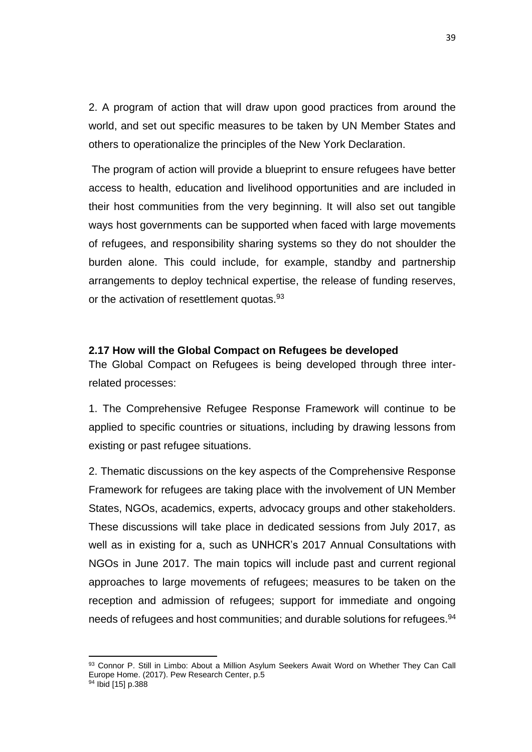2. A program of action that will draw upon good practices from around the world, and set out specific measures to be taken by UN Member States and others to operationalize the principles of the New York Declaration.

The program of action will provide a blueprint to ensure refugees have better access to health, education and livelihood opportunities and are included in their host communities from the very beginning. It will also set out tangible ways host governments can be supported when faced with large movements of refugees, and responsibility sharing systems so they do not shoulder the burden alone. This could include, for example, standby and partnership arrangements to deploy technical expertise, the release of funding reserves, or the activation of resettlement quotas.<sup>93</sup>

#### **2.17 How will the Global Compact on Refugees be developed**

The Global Compact on Refugees is being developed through three interrelated processes:

1. The Comprehensive Refugee Response Framework will continue to be applied to specific countries or situations, including by drawing lessons from existing or past refugee situations.

2. Thematic discussions on the key aspects of the Comprehensive Response Framework for refugees are taking place with the involvement of UN Member States, NGOs, academics, experts, advocacy groups and other stakeholders. These discussions will take place in dedicated sessions from July 2017, as well as in existing for a, such as UNHCR's 2017 Annual Consultations with NGOs in June 2017. The main topics will include past and current regional approaches to large movements of refugees; measures to be taken on the reception and admission of refugees; support for immediate and ongoing needs of refugees and host communities; and durable solutions for refugees.<sup>94</sup>

<sup>93</sup> Connor P. Still in Limbo: About a Million Asylum Seekers Await Word on Whether They Can Call Europe Home. (2017). Pew Research Center, p.5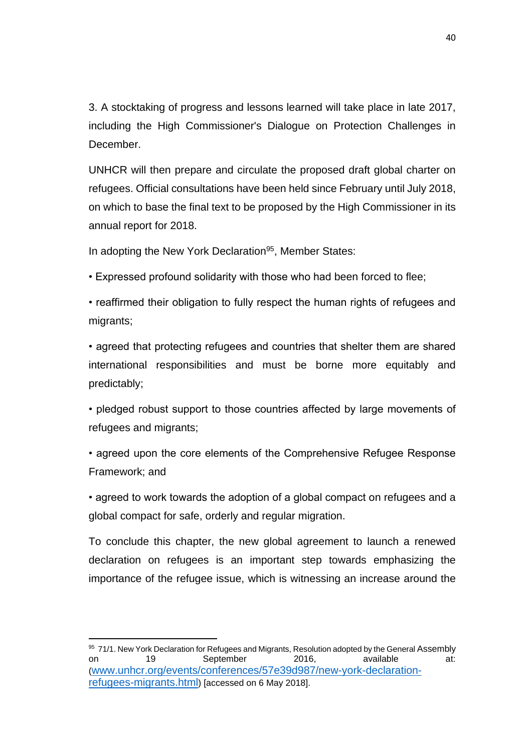3. A stocktaking of progress and lessons learned will take place in late 2017, including the High Commissioner's Dialogue on Protection Challenges in December.

UNHCR will then prepare and circulate the proposed draft global charter on refugees. Official consultations have been held since February until July 2018, on which to base the final text to be proposed by the High Commissioner in its annual report for 2018.

In adopting the New York Declaration<sup>95</sup>, Member States:

• Expressed profound solidarity with those who had been forced to flee;

• reaffirmed their obligation to fully respect the human rights of refugees and migrants;

• agreed that protecting refugees and countries that shelter them are shared international responsibilities and must be borne more equitably and predictably;

• pledged robust support to those countries affected by large movements of refugees and migrants;

• agreed upon the core elements of the Comprehensive Refugee Response Framework; and

• agreed to work towards the adoption of a global compact on refugees and a global compact for safe, orderly and regular migration.

To conclude this chapter, the new global agreement to launch a renewed declaration on refugees is an important step towards emphasizing the importance of the refugee issue, which is witnessing an increase around the

 $\overline{a}$ <sup>95</sup> 71/1. New York Declaration for Refugees and Migrants, Resolution adopted by the General Assembly on 19 September 2016, available at: ([www.unhcr.org/events/conferences/57e39d987/new-york-declaration](http://www.unhcr.org/events/conferences/57e39d987/new-york-declaration-refugees-migrants.html)[refugees-migrants.html](http://www.unhcr.org/events/conferences/57e39d987/new-york-declaration-refugees-migrants.html)) [accessed on 6 May 2018].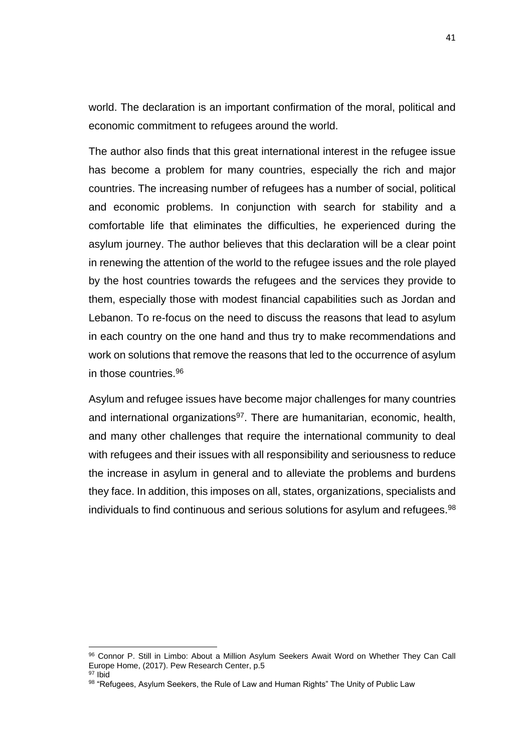world. The declaration is an important confirmation of the moral, political and economic commitment to refugees around the world.

The author also finds that this great international interest in the refugee issue has become a problem for many countries, especially the rich and major countries. The increasing number of refugees has a number of social, political and economic problems. In conjunction with search for stability and a comfortable life that eliminates the difficulties, he experienced during the asylum journey. The author believes that this declaration will be a clear point in renewing the attention of the world to the refugee issues and the role played by the host countries towards the refugees and the services they provide to them, especially those with modest financial capabilities such as Jordan and Lebanon. To re-focus on the need to discuss the reasons that lead to asylum in each country on the one hand and thus try to make recommendations and work on solutions that remove the reasons that led to the occurrence of asylum in those countries.<sup>96</sup>

Asylum and refugee issues have become major challenges for many countries and international organizations<sup>97</sup>. There are humanitarian, economic, health, and many other challenges that require the international community to deal with refugees and their issues with all responsibility and seriousness to reduce the increase in asylum in general and to alleviate the problems and burdens they face. In addition, this imposes on all, states, organizations, specialists and individuals to find continuous and serious solutions for asylum and refugees.<sup>98</sup>

<sup>96</sup> Connor P. Still in Limbo: About a Million Asylum Seekers Await Word on Whether They Can Call Europe Home, (2017). Pew Research Center, p.5 <sup>97</sup> Ibid

<sup>98 &</sup>quot;Refugees, Asylum Seekers, the Rule of Law and Human Rights" The Unity of Public Law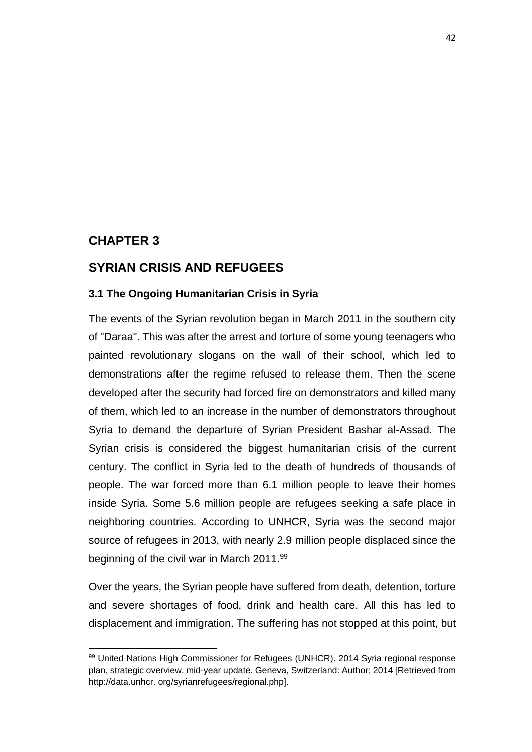# **CHAPTER 3**

 $\overline{a}$ 

# **SYRIAN CRISIS AND REFUGEES**

#### **3.1 The Ongoing Humanitarian Crisis in Syria**

The events of the Syrian revolution began in March 2011 in the southern city of "Daraa". This was after the arrest and torture of some young teenagers who painted revolutionary slogans on the wall of their school, which led to demonstrations after the regime refused to release them. Then the scene developed after the security had forced fire on demonstrators and killed many of them, which led to an increase in the number of demonstrators throughout Syria to demand the departure of Syrian President Bashar al-Assad. The Syrian crisis is considered the biggest humanitarian crisis of the current century. The conflict in Syria led to the death of hundreds of thousands of people. The war forced more than 6.1 million people to leave their homes inside Syria. Some 5.6 million people are refugees seeking a safe place in neighboring countries. According to UNHCR, Syria was the second major source of refugees in 2013, with nearly 2.9 million people displaced since the beginning of the civil war in March 2011.<sup>99</sup>

Over the years, the Syrian people have suffered from death, detention, torture and severe shortages of food, drink and health care. All this has led to displacement and immigration. The suffering has not stopped at this point, but

<sup>99</sup> United Nations High Commissioner for Refugees (UNHCR). 2014 Syria regional response plan, strategic overview, mid-year update. Geneva, Switzerland: Author; 2014 [Retrieved from http://data.unhcr. org/syrianrefugees/regional.php].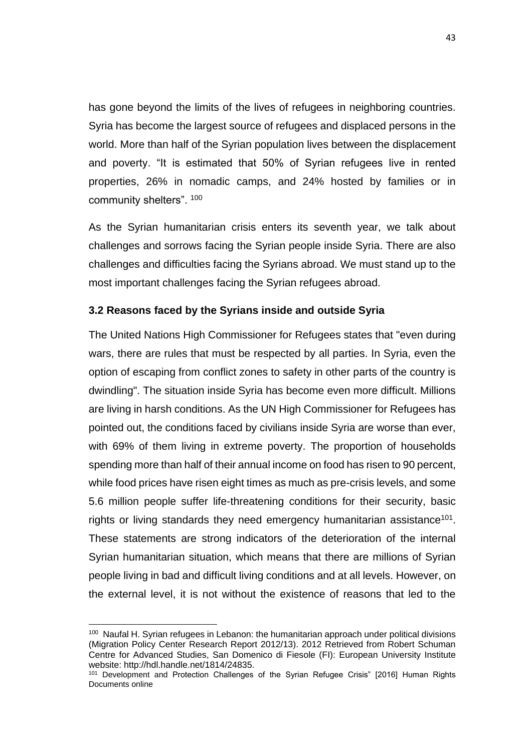has gone beyond the limits of the lives of refugees in neighboring countries. Syria has become the largest source of refugees and displaced persons in the world. More than half of the Syrian population lives between the displacement and poverty. "It is estimated that 50% of Syrian refugees live in rented properties, 26% in nomadic camps, and 24% hosted by families or in community shelters". 100

As the Syrian humanitarian crisis enters its seventh year, we talk about challenges and sorrows facing the Syrian people inside Syria. There are also challenges and difficulties facing the Syrians abroad. We must stand up to the most important challenges facing the Syrian refugees abroad.

#### **3.2 Reasons faced by the Syrians inside and outside Syria**

The United Nations High Commissioner for Refugees states that "even during wars, there are rules that must be respected by all parties. In Syria, even the option of escaping from conflict zones to safety in other parts of the country is dwindling". The situation inside Syria has become even more difficult. Millions are living in harsh conditions. As the UN High Commissioner for Refugees has pointed out, the conditions faced by civilians inside Syria are worse than ever, with 69% of them living in extreme poverty. The proportion of households spending more than half of their annual income on food has risen to 90 percent, while food prices have risen eight times as much as pre-crisis levels, and some 5.6 million people suffer life-threatening conditions for their security, basic rights or living standards they need emergency humanitarian assistance<sup>101</sup>. These statements are strong indicators of the deterioration of the internal Syrian humanitarian situation, which means that there are millions of Syrian people living in bad and difficult living conditions and at all levels. However, on the external level, it is not without the existence of reasons that led to the

 $100$  Naufal H. Syrian refugees in Lebanon: the humanitarian approach under political divisions (Migration Policy Center Research Report 2012/13). 2012 Retrieved from Robert Schuman Centre for Advanced Studies, San Domenico di Fiesole (FI): European University Institute website: http://hdl.handle.net/1814/24835.

<sup>&</sup>lt;sup>101</sup> Development and Protection Challenges of the Syrian Refugee Crisis" [2016] Human Rights Documents online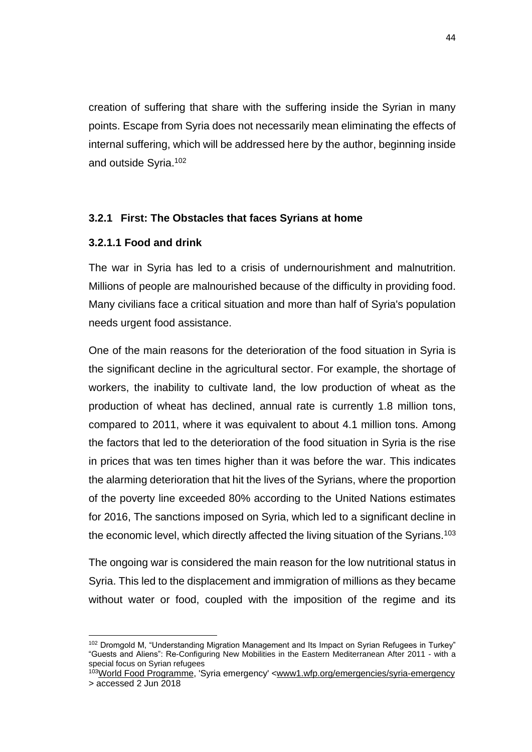creation of suffering that share with the suffering inside the Syrian in many points. Escape from Syria does not necessarily mean eliminating the effects of internal suffering, which will be addressed here by the author, beginning inside and outside Syria.<sup>102</sup>

#### **3.2.1 First: The Obstacles that faces Syrians at home**

### **3.2.1.1 Food and drink**

The war in Syria has led to a crisis of undernourishment and malnutrition. Millions of people are malnourished because of the difficulty in providing food. Many civilians face a critical situation and more than half of Syria's population needs urgent food assistance.

One of the main reasons for the deterioration of the food situation in Syria is the significant decline in the agricultural sector. For example, the shortage of workers, the inability to cultivate land, the low production of wheat as the production of wheat has declined, annual rate is currently 1.8 million tons, compared to 2011, where it was equivalent to about 4.1 million tons. Among the factors that led to the deterioration of the food situation in Syria is the rise in prices that was ten times higher than it was before the war. This indicates the alarming deterioration that hit the lives of the Syrians, where the proportion of the poverty line exceeded 80% according to the United Nations estimates for 2016, The sanctions imposed on Syria, which led to a significant decline in the economic level, which directly affected the living situation of the Syrians.<sup>103</sup>

The ongoing war is considered the main reason for the low nutritional status in Syria. This led to the displacement and immigration of millions as they became without water or food, coupled with the imposition of the regime and its

 $\overline{a}$ <sup>102</sup> Dromgold M, "Understanding Migration Management and Its Impact on Syrian Refugees in Turkey" "Guests and Aliens": Re-Configuring New Mobilities in the Eastern Mediterranean After 2011 - with a special focus on Syrian refugees

<sup>&</sup>lt;sup>103</sup>[World Food Programme,](https://www.google.com/url?sa=t&rct=j&q=&esrc=s&source=web&cd=1&cad=rja&uact=8&ved=0ahUKEwiK3raenL3bAhUNS5oKHRbgBakQFgglMAA&url=http%3A%2F%2Fwww1.wfp.org%2F&usg=AOvVaw2H42UXP1LLWG28yuGmmW5D) 'Syria emergency' [<www1.wfp.org/emergencies/syria-emergency](http://www1.wfp.org/emergencies/syria-emergency) > accessed 2 Jun 2018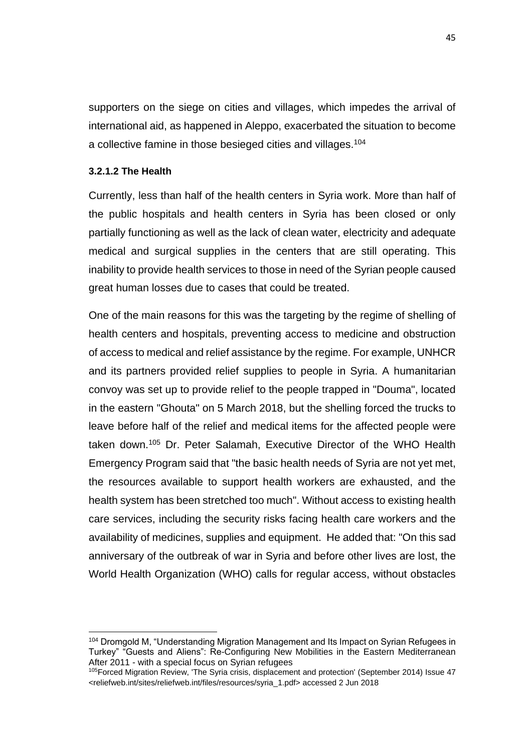supporters on the siege on cities and villages, which impedes the arrival of international aid, as happened in Aleppo, exacerbated the situation to become a collective famine in those besieged cities and villages.<sup>104</sup>

#### **3.2.1.2 The Health**

 $\overline{a}$ 

Currently, less than half of the health centers in Syria work. More than half of the public hospitals and health centers in Syria has been closed or only partially functioning as well as the lack of clean water, electricity and adequate medical and surgical supplies in the centers that are still operating. This inability to provide health services to those in need of the Syrian people caused great human losses due to cases that could be treated.

One of the main reasons for this was the targeting by the regime of shelling of health centers and hospitals, preventing access to medicine and obstruction of access to medical and relief assistance by the regime. For example, UNHCR and its partners provided relief supplies to people in Syria. A humanitarian convoy was set up to provide relief to the people trapped in "Douma", located in the eastern "Ghouta" on 5 March 2018, but the shelling forced the trucks to leave before half of the relief and medical items for the affected people were taken down.<sup>105</sup> Dr. Peter Salamah, Executive Director of the WHO Health Emergency Program said that "the basic health needs of Syria are not yet met, the resources available to support health workers are exhausted, and the health system has been stretched too much". Without access to existing health care services, including the security risks facing health care workers and the availability of medicines, supplies and equipment. He added that: "On this sad anniversary of the outbreak of war in Syria and before other lives are lost, the World Health Organization (WHO) calls for regular access, without obstacles

<sup>104</sup> Dromgold M, "Understanding Migration Management and Its Impact on Syrian Refugees in Turkey" "Guests and Aliens": Re-Configuring New Mobilities in the Eastern Mediterranean After 2011 - with a special focus on Syrian refugees

<sup>105</sup>Forced Migration Review, 'The Syria crisis, displacement and protection' (September 2014) Issue 47 <reliefweb.int/sites/reliefweb.int/files/resources/syria\_1.pdf> accessed 2 Jun 2018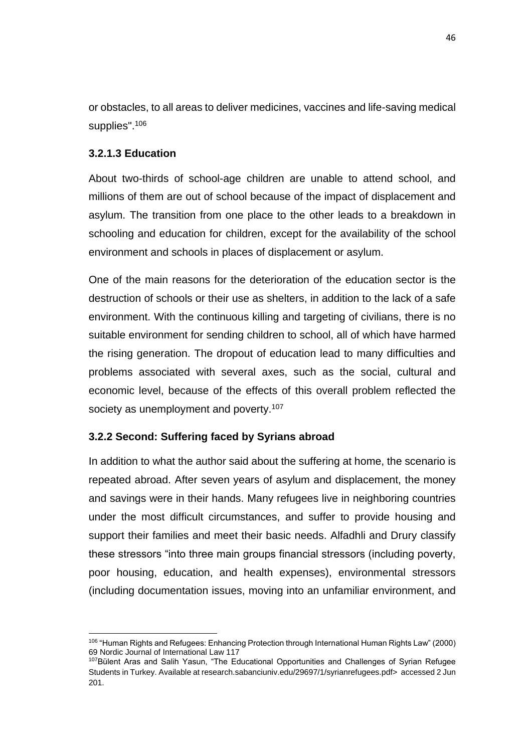or obstacles, to all areas to deliver medicines, vaccines and life-saving medical supplies".<sup>106</sup>

### **3.2.1.3 Education**

About two-thirds of school-age children are unable to attend school, and millions of them are out of school because of the impact of displacement and asylum. The transition from one place to the other leads to a breakdown in schooling and education for children, except for the availability of the school environment and schools in places of displacement or asylum.

One of the main reasons for the deterioration of the education sector is the destruction of schools or their use as shelters, in addition to the lack of a safe environment. With the continuous killing and targeting of civilians, there is no suitable environment for sending children to school, all of which have harmed the rising generation. The dropout of education lead to many difficulties and problems associated with several axes, such as the social, cultural and economic level, because of the effects of this overall problem reflected the society as unemployment and poverty.<sup>107</sup>

#### **3.2.2 Second: Suffering faced by Syrians abroad**

In addition to what the author said about the suffering at home, the scenario is repeated abroad. After seven years of asylum and displacement, the money and savings were in their hands. Many refugees live in neighboring countries under the most difficult circumstances, and suffer to provide housing and support their families and meet their basic needs. Alfadhli and Drury classify these stressors "into three main groups financial stressors (including poverty, poor housing, education, and health expenses), environmental stressors (including documentation issues, moving into an unfamiliar environment, and

 $\overline{a}$ <sup>106</sup> "Human Rights and Refugees: Enhancing Protection through International Human Rights Law" (2000) 69 Nordic Journal of International Law 117

<sup>&</sup>lt;sup>107</sup>Bülent Aras and Salih Yasun, "The Educational Opportunities and Challenges of Syrian Refugee Students in Turkey. Available at research.sabanciuniv.edu/29697/1/syrianrefugees.pdf> accessed 2 Jun 201.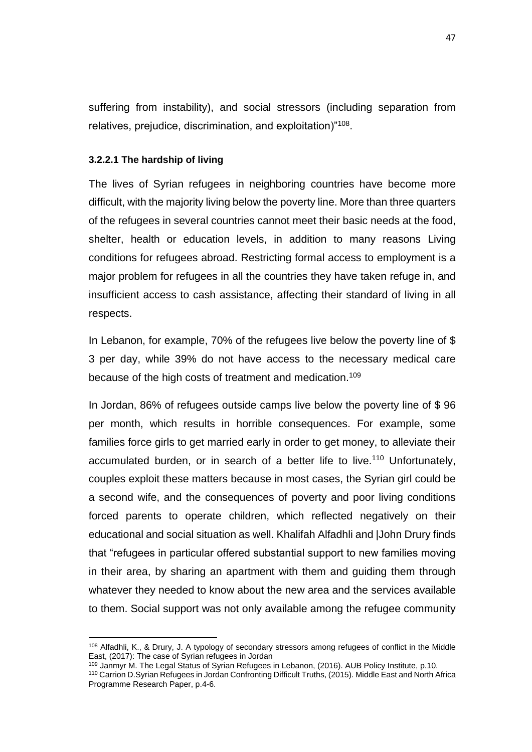suffering from instability), and social stressors (including separation from relatives, prejudice, discrimination, and exploitation)"<sup>108</sup>.

#### **3.2.2.1 The hardship of living**

 $\overline{a}$ 

The lives of Syrian refugees in neighboring countries have become more difficult, with the majority living below the poverty line. More than three quarters of the refugees in several countries cannot meet their basic needs at the food, shelter, health or education levels, in addition to many reasons Living conditions for refugees abroad. Restricting formal access to employment is a major problem for refugees in all the countries they have taken refuge in, and insufficient access to cash assistance, affecting their standard of living in all respects.

In Lebanon, for example, 70% of the refugees live below the poverty line of \$ 3 per day, while 39% do not have access to the necessary medical care because of the high costs of treatment and medication.<sup>109</sup>

In Jordan, 86% of refugees outside camps live below the poverty line of \$ 96 per month, which results in horrible consequences. For example, some families force girls to get married early in order to get money, to alleviate their accumulated burden, or in search of a better life to live.<sup>110</sup> Unfortunately, couples exploit these matters because in most cases, the Syrian girl could be a second wife, and the consequences of poverty and poor living conditions forced parents to operate children, which reflected negatively on their educational and social situation as well. Khalifah Alfadhli and |John Drury finds that "refugees in particular offered substantial support to new families moving in their area, by sharing an apartment with them and guiding them through whatever they needed to know about the new area and the services available to them. Social support was not only available among the refugee community

<sup>108</sup> Alfadhli, K., & Drury, J. A typology of secondary stressors among refugees of conflict in the Middle East, (2017): The case of Syrian refugees in Jordan

<sup>109</sup> Janmyr M. The Legal Status of Syrian Refugees in Lebanon, (2016). AUB Policy Institute, p.10.

<sup>110</sup> Carrion D.Syrian Refugees in Jordan Confronting Difficult Truths, (2015). Middle East and North Africa Programme Research Paper, p.4-6.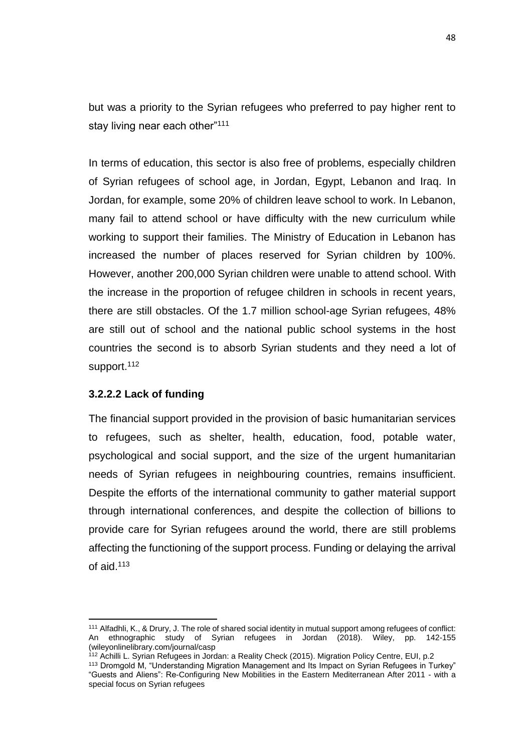but was a priority to the Syrian refugees who preferred to pay higher rent to stay living near each other"<sup>111</sup>

In terms of education, this sector is also free of problems, especially children of Syrian refugees of school age, in Jordan, Egypt, Lebanon and Iraq. In Jordan, for example, some 20% of children leave school to work. In Lebanon, many fail to attend school or have difficulty with the new curriculum while working to support their families. The Ministry of Education in Lebanon has increased the number of places reserved for Syrian children by 100%. However, another 200,000 Syrian children were unable to attend school. With the increase in the proportion of refugee children in schools in recent years, there are still obstacles. Of the 1.7 million school-age Syrian refugees, 48% are still out of school and the national public school systems in the host countries the second is to absorb Syrian students and they need a lot of support.<sup>112</sup>

#### **3.2.2.2 Lack of funding**

 $\overline{a}$ 

The financial support provided in the provision of basic humanitarian services to refugees, such as shelter, health, education, food, potable water, psychological and social support, and the size of the urgent humanitarian needs of Syrian refugees in neighbouring countries, remains insufficient. Despite the efforts of the international community to gather material support through international conferences, and despite the collection of billions to provide care for Syrian refugees around the world, there are still problems affecting the functioning of the support process. Funding or delaying the arrival of aid.<sup>113</sup>

<sup>111</sup> Alfadhli, K., & Drury, J. The role of shared social identity in mutual support among refugees of conflict: An ethnographic study of Syrian refugees in Jordan (2018). Wiley, pp. 142-155 (wileyonlinelibrary.com/journal/casp

<sup>&</sup>lt;sup>112</sup> Achilli L. Syrian Refugees in Jordan: a Reality Check (2015). Migration Policy Centre, EUI, p.2

<sup>113</sup> Dromgold M, "Understanding Migration Management and Its Impact on Syrian Refugees in Turkey" "Guests and Aliens": Re-Configuring New Mobilities in the Eastern Mediterranean After 2011 - with a special focus on Syrian refugees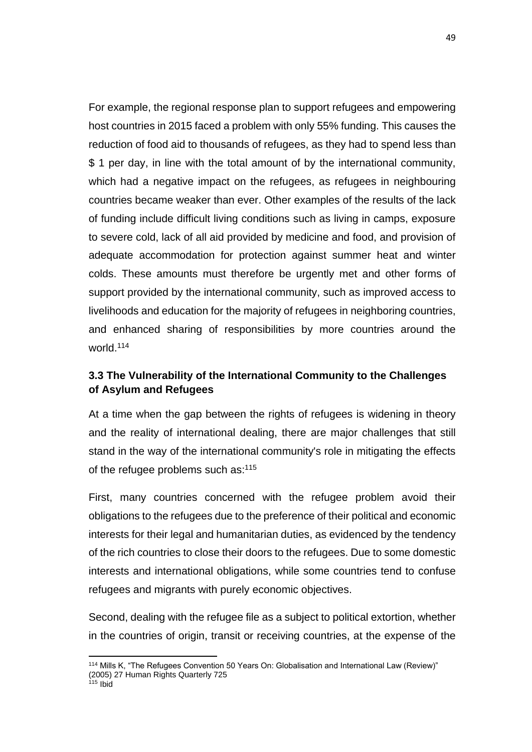For example, the regional response plan to support refugees and empowering host countries in 2015 faced a problem with only 55% funding. This causes the reduction of food aid to thousands of refugees, as they had to spend less than \$ 1 per day, in line with the total amount of by the international community, which had a negative impact on the refugees, as refugees in neighbouring countries became weaker than ever. Other examples of the results of the lack of funding include difficult living conditions such as living in camps, exposure to severe cold, lack of all aid provided by medicine and food, and provision of adequate accommodation for protection against summer heat and winter colds. These amounts must therefore be urgently met and other forms of support provided by the international community, such as improved access to livelihoods and education for the majority of refugees in neighboring countries, and enhanced sharing of responsibilities by more countries around the world.<sup>114</sup>

# **3.3 The Vulnerability of the International Community to the Challenges of Asylum and Refugees**

At a time when the gap between the rights of refugees is widening in theory and the reality of international dealing, there are major challenges that still stand in the way of the international community's role in mitigating the effects of the refugee problems such as:<sup>115</sup>

First, many countries concerned with the refugee problem avoid their obligations to the refugees due to the preference of their political and economic interests for their legal and humanitarian duties, as evidenced by the tendency of the rich countries to close their doors to the refugees. Due to some domestic interests and international obligations, while some countries tend to confuse refugees and migrants with purely economic objectives.

Second, dealing with the refugee file as a subject to political extortion, whether in the countries of origin, transit or receiving countries, at the expense of the

 $\overline{a}$ <sup>114</sup> Mills K, "The Refugees Convention 50 Years On: Globalisation and International Law (Review)" (2005) 27 Human Rights Quarterly 725

 $115$  Ibid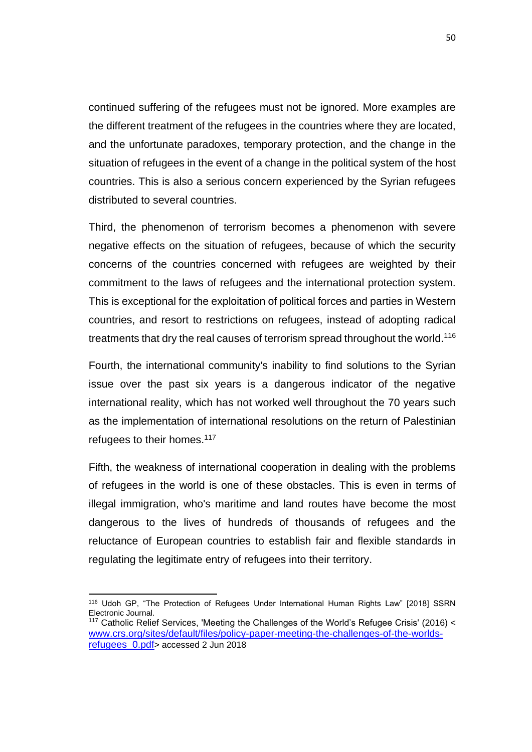continued suffering of the refugees must not be ignored. More examples are the different treatment of the refugees in the countries where they are located, and the unfortunate paradoxes, temporary protection, and the change in the situation of refugees in the event of a change in the political system of the host countries. This is also a serious concern experienced by the Syrian refugees distributed to several countries.

Third, the phenomenon of terrorism becomes a phenomenon with severe negative effects on the situation of refugees, because of which the security concerns of the countries concerned with refugees are weighted by their commitment to the laws of refugees and the international protection system. This is exceptional for the exploitation of political forces and parties in Western countries, and resort to restrictions on refugees, instead of adopting radical treatments that dry the real causes of terrorism spread throughout the world.<sup>116</sup>

Fourth, the international community's inability to find solutions to the Syrian issue over the past six years is a dangerous indicator of the negative international reality, which has not worked well throughout the 70 years such as the implementation of international resolutions on the return of Palestinian refugees to their homes.<sup>117</sup>

Fifth, the weakness of international cooperation in dealing with the problems of refugees in the world is one of these obstacles. This is even in terms of illegal immigration, who's maritime and land routes have become the most dangerous to the lives of hundreds of thousands of refugees and the reluctance of European countries to establish fair and flexible standards in regulating the legitimate entry of refugees into their territory.

<sup>116</sup> Udoh GP, "The Protection of Refugees Under International Human Rights Law" [2018] SSRN Electronic Journal. <sup>117</sup> Catholic Relief Services, 'Meeting the Challenges of the World's Refugee Crisis' (2016) <

[www.crs.org/sites/default/files/policy-paper-meeting-the-challenges-of-the-worlds](http://www.crs.org/sites/default/files/policy-paper-meeting-the-challenges-of-the-worlds-refugees_0.pdf)[refugees\\_0.pdf](http://www.crs.org/sites/default/files/policy-paper-meeting-the-challenges-of-the-worlds-refugees_0.pdf)> accessed 2 Jun 2018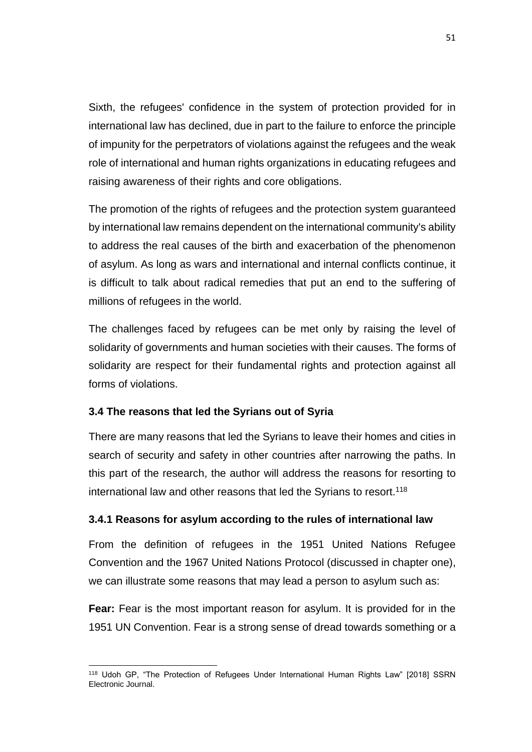Sixth, the refugees' confidence in the system of protection provided for in international law has declined, due in part to the failure to enforce the principle of impunity for the perpetrators of violations against the refugees and the weak role of international and human rights organizations in educating refugees and raising awareness of their rights and core obligations.

The promotion of the rights of refugees and the protection system guaranteed by international law remains dependent on the international community's ability to address the real causes of the birth and exacerbation of the phenomenon of asylum. As long as wars and international and internal conflicts continue, it is difficult to talk about radical remedies that put an end to the suffering of millions of refugees in the world.

The challenges faced by refugees can be met only by raising the level of solidarity of governments and human societies with their causes. The forms of solidarity are respect for their fundamental rights and protection against all forms of violations.

## **3.4 The reasons that led the Syrians out of Syria**

There are many reasons that led the Syrians to leave their homes and cities in search of security and safety in other countries after narrowing the paths. In this part of the research, the author will address the reasons for resorting to international law and other reasons that led the Syrians to resort.<sup>118</sup>

## **3.4.1 Reasons for asylum according to the rules of international law**

From the definition of refugees in the 1951 United Nations Refugee Convention and the 1967 United Nations Protocol (discussed in chapter one), we can illustrate some reasons that may lead a person to asylum such as:

**Fear:** Fear is the most important reason for asylum. It is provided for in the 1951 UN Convention. Fear is a strong sense of dread towards something or a

 $\overline{a}$ <sup>118</sup> Udoh GP, "The Protection of Refugees Under International Human Rights Law" [2018] SSRN Electronic Journal.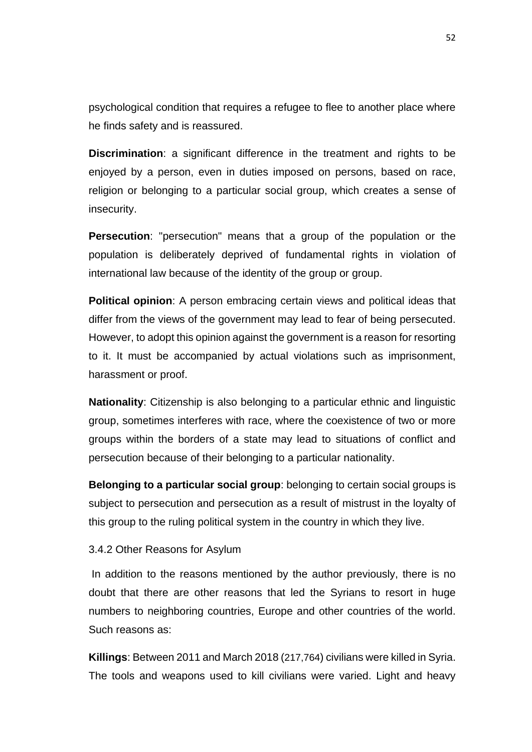psychological condition that requires a refugee to flee to another place where he finds safety and is reassured.

**Discrimination**: a significant difference in the treatment and rights to be enjoyed by a person, even in duties imposed on persons, based on race, religion or belonging to a particular social group, which creates a sense of insecurity.

**Persecution**: "persecution" means that a group of the population or the population is deliberately deprived of fundamental rights in violation of international law because of the identity of the group or group.

**Political opinion**: A person embracing certain views and political ideas that differ from the views of the government may lead to fear of being persecuted. However, to adopt this opinion against the government is a reason for resorting to it. It must be accompanied by actual violations such as imprisonment, harassment or proof.

**Nationality**: Citizenship is also belonging to a particular ethnic and linguistic group, sometimes interferes with race, where the coexistence of two or more groups within the borders of a state may lead to situations of conflict and persecution because of their belonging to a particular nationality.

**Belonging to a particular social group**: belonging to certain social groups is subject to persecution and persecution as a result of mistrust in the loyalty of this group to the ruling political system in the country in which they live.

#### 3.4.2 Other Reasons for Asylum

In addition to the reasons mentioned by the author previously, there is no doubt that there are other reasons that led the Syrians to resort in huge numbers to neighboring countries, Europe and other countries of the world. Such reasons as:

**Killings**: Between 2011 and March 2018 (217,764) civilians were killed in Syria. The tools and weapons used to kill civilians were varied. Light and heavy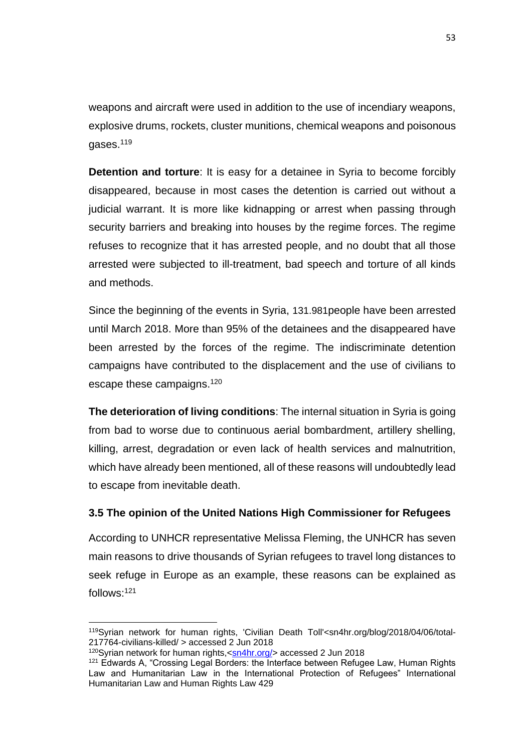weapons and aircraft were used in addition to the use of incendiary weapons, explosive drums, rockets, cluster munitions, chemical weapons and poisonous gases.<sup>119</sup>

**Detention and torture**: It is easy for a detainee in Syria to become forcibly disappeared, because in most cases the detention is carried out without a judicial warrant. It is more like kidnapping or arrest when passing through security barriers and breaking into houses by the regime forces. The regime refuses to recognize that it has arrested people, and no doubt that all those arrested were subjected to ill-treatment, bad speech and torture of all kinds and methods.

Since the beginning of the events in Syria, 131.981people have been arrested until March 2018. More than 95% of the detainees and the disappeared have been arrested by the forces of the regime. The indiscriminate detention campaigns have contributed to the displacement and the use of civilians to escape these campaigns.<sup>120</sup>

**The deterioration of living conditions**: The internal situation in Syria is going from bad to worse due to continuous aerial bombardment, artillery shelling, killing, arrest, degradation or even lack of health services and malnutrition, which have already been mentioned, all of these reasons will undoubtedly lead to escape from inevitable death.

# **3.5 The opinion of the United Nations High Commissioner for Refugees**

According to UNHCR representative Melissa Fleming, the UNHCR has seven main reasons to drive thousands of Syrian refugees to travel long distances to seek refuge in Europe as an example, these reasons can be explained as follows:<sup>121</sup>

<sup>119</sup>Syrian network for human rights, 'Civilian Death Toll'<sn4hr.org/blog/2018/04/06/total-217764-civilians-killed/ > accessed 2 Jun 2018

<sup>120</sup>Syrian network for human rights, <sn4hr.org/> accessed 2 Jun 2018

<sup>&</sup>lt;sup>121</sup> Edwards A, "Crossing Legal Borders: the Interface between Refugee Law, Human Rights Law and Humanitarian Law in the International Protection of Refugees" International Humanitarian Law and Human Rights Law 429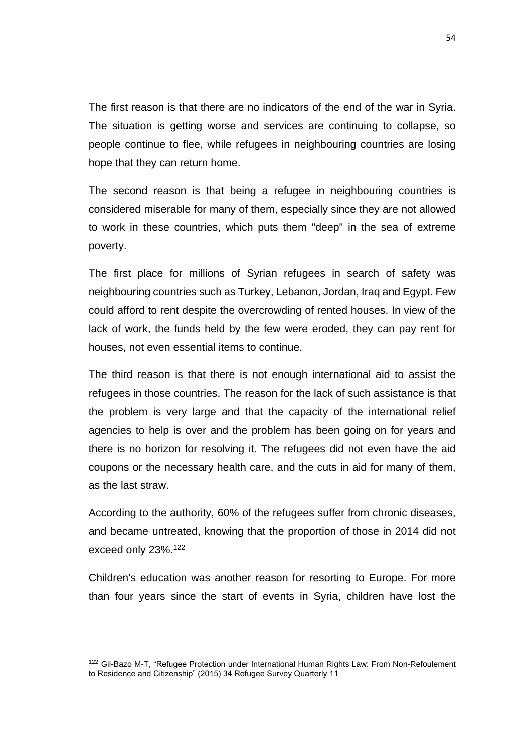The first reason is that there are no indicators of the end of the war in Syria. The situation is getting worse and services are continuing to collapse, so people continue to flee, while refugees in neighbouring countries are losing hope that they can return home.

The second reason is that being a refugee in neighbouring countries is considered miserable for many of them, especially since they are not allowed to work in these countries, which puts them "deep" in the sea of extreme poverty.

The first place for millions of Syrian refugees in search of safety was neighbouring countries such as Turkey, Lebanon, Jordan, Iraq and Egypt. Few could afford to rent despite the overcrowding of rented houses. In view of the lack of work, the funds held by the few were eroded, they can pay rent for houses, not even essential items to continue.

The third reason is that there is not enough international aid to assist the refugees in those countries. The reason for the lack of such assistance is that the problem is very large and that the capacity of the international relief agencies to help is over and the problem has been going on for years and there is no horizon for resolving it. The refugees did not even have the aid coupons or the necessary health care, and the cuts in aid for many of them, as the last straw.

According to the authority, 60% of the refugees suffer from chronic diseases, and became untreated, knowing that the proportion of those in 2014 did not exceed only 23%.<sup>122</sup>

Children's education was another reason for resorting to Europe. For more than four years since the start of events in Syria, children have lost the

<sup>&</sup>lt;sup>122</sup> Gil-Bazo M-T, "Refugee Protection under International Human Rights Law: From Non-Refoulement to Residence and Citizenship" (2015) 34 Refugee Survey Quarterly 11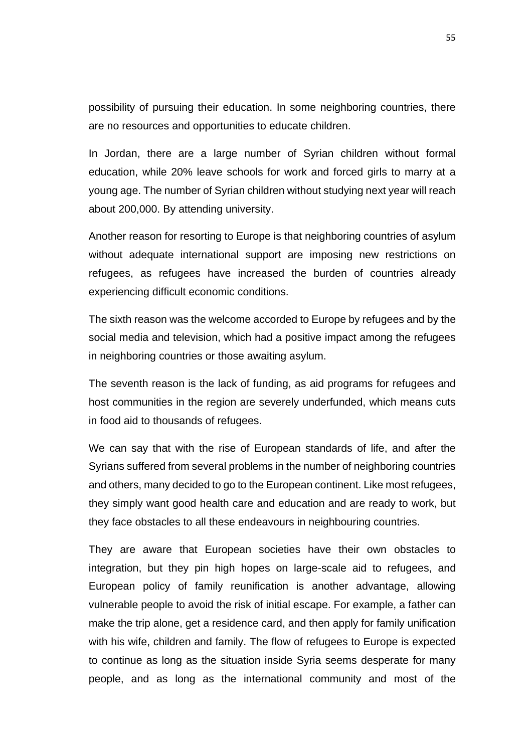possibility of pursuing their education. In some neighboring countries, there are no resources and opportunities to educate children.

In Jordan, there are a large number of Syrian children without formal education, while 20% leave schools for work and forced girls to marry at a young age. The number of Syrian children without studying next year will reach about 200,000. By attending university.

Another reason for resorting to Europe is that neighboring countries of asylum without adequate international support are imposing new restrictions on refugees, as refugees have increased the burden of countries already experiencing difficult economic conditions.

The sixth reason was the welcome accorded to Europe by refugees and by the social media and television, which had a positive impact among the refugees in neighboring countries or those awaiting asylum.

The seventh reason is the lack of funding, as aid programs for refugees and host communities in the region are severely underfunded, which means cuts in food aid to thousands of refugees.

We can say that with the rise of European standards of life, and after the Syrians suffered from several problems in the number of neighboring countries and others, many decided to go to the European continent. Like most refugees, they simply want good health care and education and are ready to work, but they face obstacles to all these endeavours in neighbouring countries.

They are aware that European societies have their own obstacles to integration, but they pin high hopes on large-scale aid to refugees, and European policy of family reunification is another advantage, allowing vulnerable people to avoid the risk of initial escape. For example, a father can make the trip alone, get a residence card, and then apply for family unification with his wife, children and family. The flow of refugees to Europe is expected to continue as long as the situation inside Syria seems desperate for many people, and as long as the international community and most of the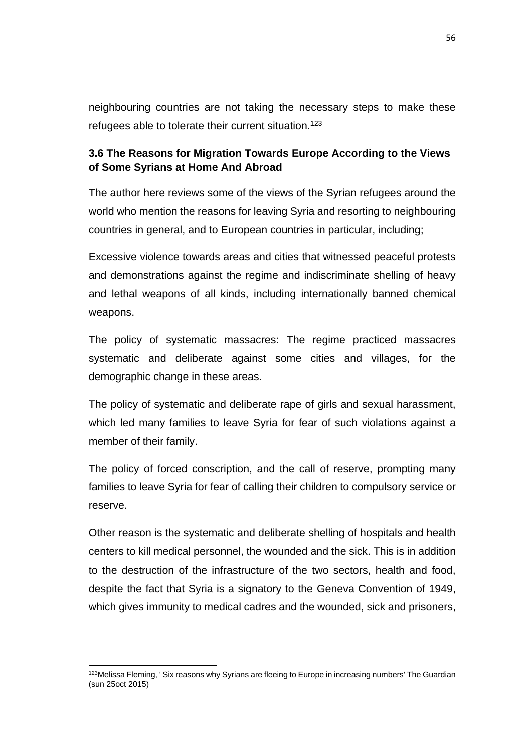neighbouring countries are not taking the necessary steps to make these refugees able to tolerate their current situation.<sup>123</sup>

# **3.6 The Reasons for Migration Towards Europe According to the Views of Some Syrians at Home And Abroad**

The author here reviews some of the views of the Syrian refugees around the world who mention the reasons for leaving Syria and resorting to neighbouring countries in general, and to European countries in particular, including;

Excessive violence towards areas and cities that witnessed peaceful protests and demonstrations against the regime and indiscriminate shelling of heavy and lethal weapons of all kinds, including internationally banned chemical weapons.

The policy of systematic massacres: The regime practiced massacres systematic and deliberate against some cities and villages, for the demographic change in these areas.

The policy of systematic and deliberate rape of girls and sexual harassment, which led many families to leave Syria for fear of such violations against a member of their family.

The policy of forced conscription, and the call of reserve, prompting many families to leave Syria for fear of calling their children to compulsory service or reserve.

Other reason is the systematic and deliberate shelling of hospitals and health centers to kill medical personnel, the wounded and the sick. This is in addition to the destruction of the infrastructure of the two sectors, health and food, despite the fact that Syria is a signatory to the Geneva Convention of 1949, which gives immunity to medical cadres and the wounded, sick and prisoners,

<sup>&</sup>lt;sup>123</sup>Melissa Fleming, ' Six reasons why Syrians are fleeing to Europe in increasing numbers' The Guardian (sun 25oct 2015)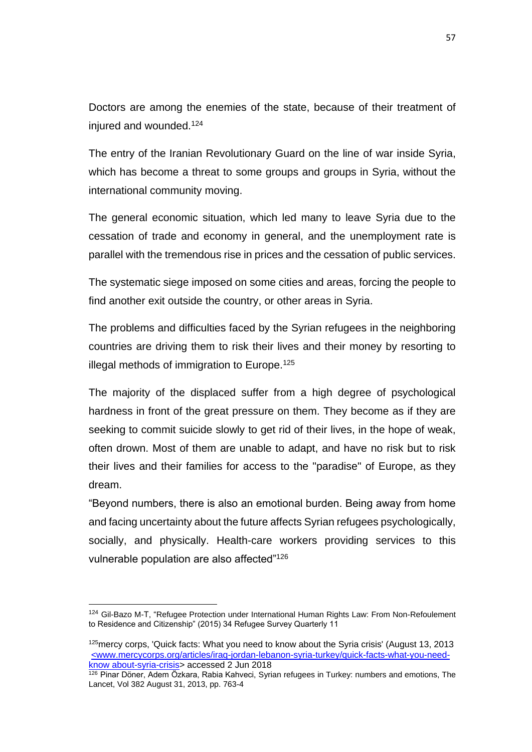Doctors are among the enemies of the state, because of their treatment of injured and wounded.<sup>124</sup>

The entry of the Iranian Revolutionary Guard on the line of war inside Syria, which has become a threat to some groups and groups in Syria, without the international community moving.

The general economic situation, which led many to leave Syria due to the cessation of trade and economy in general, and the unemployment rate is parallel with the tremendous rise in prices and the cessation of public services.

The systematic siege imposed on some cities and areas, forcing the people to find another exit outside the country, or other areas in Syria.

The problems and difficulties faced by the Syrian refugees in the neighboring countries are driving them to risk their lives and their money by resorting to illegal methods of immigration to Europe.<sup>125</sup>

The majority of the displaced suffer from a high degree of psychological hardness in front of the great pressure on them. They become as if they are seeking to commit suicide slowly to get rid of their lives, in the hope of weak, often drown. Most of them are unable to adapt, and have no risk but to risk their lives and their families for access to the "paradise" of Europe, as they dream.

"Beyond numbers, there is also an emotional burden. Being away from home and facing uncertainty about the future affects Syrian refugees psychologically, socially, and physically. Health-care workers providing services to this vulnerable population are also affected"<sup>126</sup>

<sup>124</sup> Gil-Bazo M-T, "Refugee Protection under International Human Rights Law: From Non-Refoulement to Residence and Citizenship" (2015) 34 Refugee Survey Quarterly 11

 $125$ mercy corps, 'Quick facts: What you need to know about the Syria crisis' (August 13, 2013) <www.mercycorps.org/articles/iraq-jordan-lebanon-syria-turkey/quick-facts-what-you-needknow about-syria-crisis> accessed 2 Jun 2018

<sup>126</sup> Pinar Döner, Adem Özkara, Rabia Kahveci, Syrian refugees in Turkey: numbers and emotions, The Lancet, Vol 382 August 31, 2013, pp. 763-4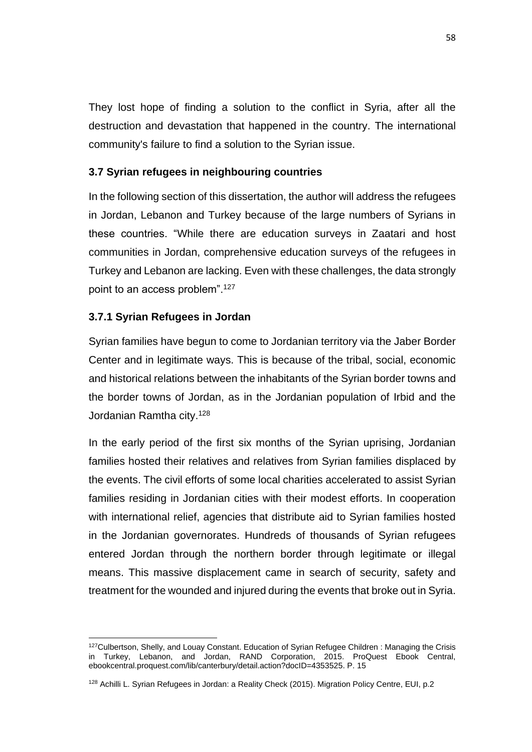They lost hope of finding a solution to the conflict in Syria, after all the destruction and devastation that happened in the country. The international community's failure to find a solution to the Syrian issue.

## **3.7 Syrian refugees in neighbouring countries**

In the following section of this dissertation, the author will address the refugees in Jordan, Lebanon and Turkey because of the large numbers of Syrians in these countries. "While there are education surveys in Zaatari and host communities in Jordan, comprehensive education surveys of the refugees in Turkey and Lebanon are lacking. Even with these challenges, the data strongly point to an access problem".<sup>127</sup>

## **3.7.1 Syrian Refugees in Jordan**

 $\overline{a}$ 

Syrian families have begun to come to Jordanian territory via the Jaber Border Center and in legitimate ways. This is because of the tribal, social, economic and historical relations between the inhabitants of the Syrian border towns and the border towns of Jordan, as in the Jordanian population of Irbid and the Jordanian Ramtha city.<sup>128</sup>

In the early period of the first six months of the Syrian uprising, Jordanian families hosted their relatives and relatives from Syrian families displaced by the events. The civil efforts of some local charities accelerated to assist Syrian families residing in Jordanian cities with their modest efforts. In cooperation with international relief, agencies that distribute aid to Syrian families hosted in the Jordanian governorates. Hundreds of thousands of Syrian refugees entered Jordan through the northern border through legitimate or illegal means. This massive displacement came in search of security, safety and treatment for the wounded and injured during the events that broke out in Syria.

<sup>&</sup>lt;sup>127</sup>Culbertson, Shelly, and Louay Constant. Education of Syrian Refugee Children : Managing the Crisis in Turkey, Lebanon, and Jordan, RAND Corporation, 2015. ProQuest Ebook Central, ebookcentral.proquest.com/lib/canterbury/detail.action?docID=4353525. P. 15

<sup>128</sup> Achilli L. Syrian Refugees in Jordan: a Reality Check (2015). Migration Policy Centre, EUI, p.2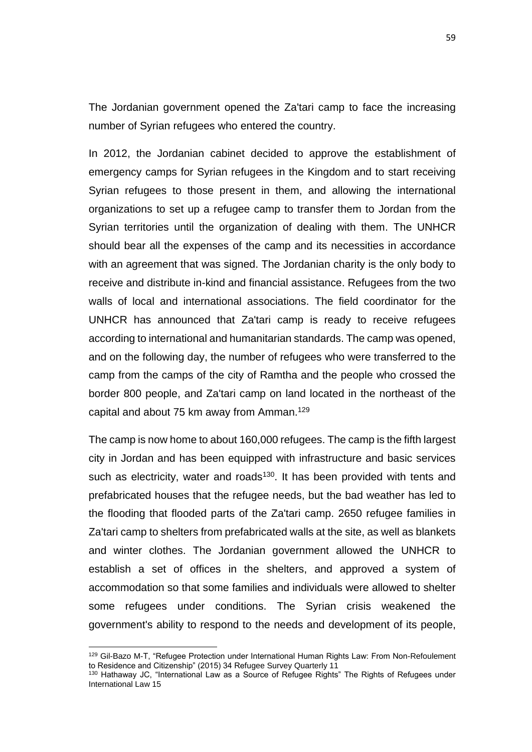The Jordanian government opened the Za'tari camp to face the increasing number of Syrian refugees who entered the country.

In 2012, the Jordanian cabinet decided to approve the establishment of emergency camps for Syrian refugees in the Kingdom and to start receiving Syrian refugees to those present in them, and allowing the international organizations to set up a refugee camp to transfer them to Jordan from the Syrian territories until the organization of dealing with them. The UNHCR should bear all the expenses of the camp and its necessities in accordance with an agreement that was signed. The Jordanian charity is the only body to receive and distribute in-kind and financial assistance. Refugees from the two walls of local and international associations. The field coordinator for the UNHCR has announced that Za'tari camp is ready to receive refugees according to international and humanitarian standards. The camp was opened, and on the following day, the number of refugees who were transferred to the camp from the camps of the city of Ramtha and the people who crossed the border 800 people, and Za'tari camp on land located in the northeast of the capital and about 75 km away from Amman.<sup>129</sup>

The camp is now home to about 160,000 refugees. The camp is the fifth largest city in Jordan and has been equipped with infrastructure and basic services such as electricity, water and roads<sup>130</sup>. It has been provided with tents and prefabricated houses that the refugee needs, but the bad weather has led to the flooding that flooded parts of the Za'tari camp. 2650 refugee families in Za'tari camp to shelters from prefabricated walls at the site, as well as blankets and winter clothes. The Jordanian government allowed the UNHCR to establish a set of offices in the shelters, and approved a system of accommodation so that some families and individuals were allowed to shelter some refugees under conditions. The Syrian crisis weakened the government's ability to respond to the needs and development of its people,

<sup>129</sup> Gil-Bazo M-T, "Refugee Protection under International Human Rights Law: From Non-Refoulement to Residence and Citizenship" (2015) 34 Refugee Survey Quarterly 11

<sup>130</sup> Hathaway JC, "International Law as a Source of Refugee Rights" The Rights of Refugees under International Law 15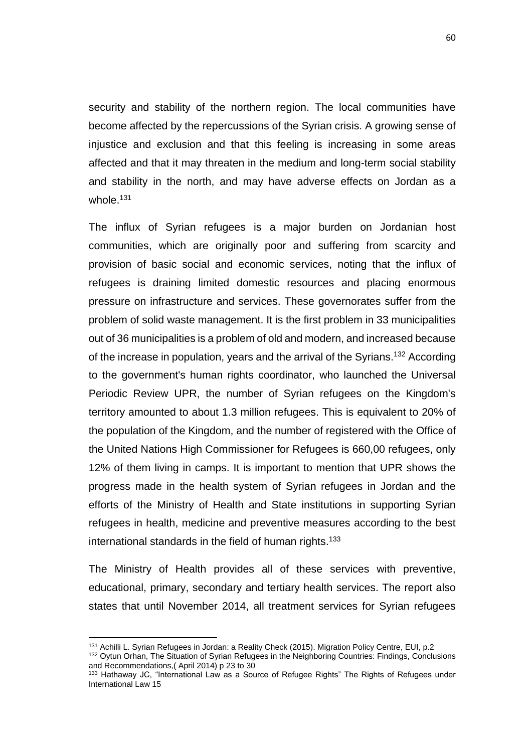security and stability of the northern region. The local communities have become affected by the repercussions of the Syrian crisis. A growing sense of injustice and exclusion and that this feeling is increasing in some areas affected and that it may threaten in the medium and long-term social stability and stability in the north, and may have adverse effects on Jordan as a whole.<sup>131</sup>

The influx of Syrian refugees is a major burden on Jordanian host communities, which are originally poor and suffering from scarcity and provision of basic social and economic services, noting that the influx of refugees is draining limited domestic resources and placing enormous pressure on infrastructure and services. These governorates suffer from the problem of solid waste management. It is the first problem in 33 municipalities out of 36 municipalities is a problem of old and modern, and increased because of the increase in population, years and the arrival of the Syrians.<sup>132</sup> According to the government's human rights coordinator, who launched the Universal Periodic Review UPR, the number of Syrian refugees on the Kingdom's territory amounted to about 1.3 million refugees. This is equivalent to 20% of the population of the Kingdom, and the number of registered with the Office of the United Nations High Commissioner for Refugees is 660,00 refugees, only 12% of them living in camps. It is important to mention that UPR shows the progress made in the health system of Syrian refugees in Jordan and the efforts of the Ministry of Health and State institutions in supporting Syrian refugees in health, medicine and preventive measures according to the best international standards in the field of human rights.<sup>133</sup>

The Ministry of Health provides all of these services with preventive, educational, primary, secondary and tertiary health services. The report also states that until November 2014, all treatment services for Syrian refugees

<sup>&</sup>lt;sup>131</sup> Achilli L. Syrian Refugees in Jordan: a Reality Check (2015). Migration Policy Centre, EUI, p.2

<sup>&</sup>lt;sup>132</sup> Oytun Orhan, The Situation of Syrian Refugees in the Neighboring Countries: Findings, Conclusions and Recommendations,( April 2014) p 23 to 30

<sup>133</sup> Hathaway JC, "International Law as a Source of Refugee Rights" The Rights of Refugees under International Law 15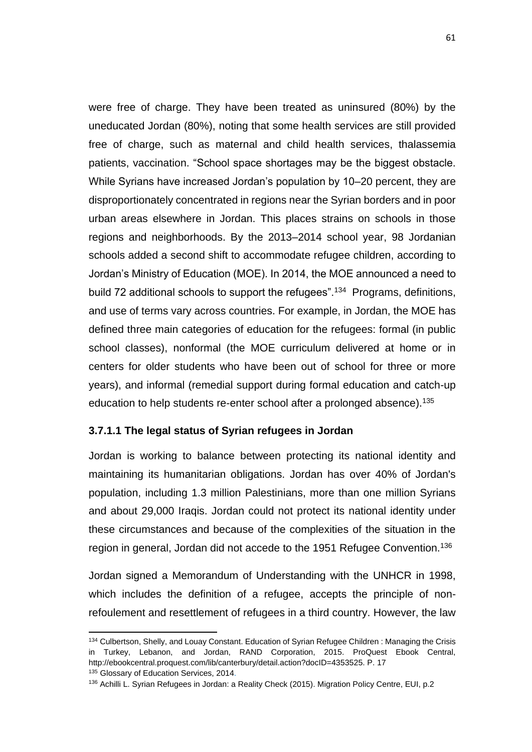were free of charge. They have been treated as uninsured (80%) by the uneducated Jordan (80%), noting that some health services are still provided free of charge, such as maternal and child health services, thalassemia patients, vaccination. "School space shortages may be the biggest obstacle. While Syrians have increased Jordan's population by 10–20 percent, they are disproportionately concentrated in regions near the Syrian borders and in poor urban areas elsewhere in Jordan. This places strains on schools in those regions and neighborhoods. By the 2013–2014 school year, 98 Jordanian schools added a second shift to accommodate refugee children, according to Jordan's Ministry of Education (MOE). In 2014, the MOE announced a need to build 72 additional schools to support the refugees".<sup>134</sup> Programs, definitions, and use of terms vary across countries. For example, in Jordan, the MOE has defined three main categories of education for the refugees: formal (in public school classes), nonformal (the MOE curriculum delivered at home or in centers for older students who have been out of school for three or more years), and informal (remedial support during formal education and catch-up education to help students re-enter school after a prolonged absence).<sup>135</sup>

## **3.7.1.1 The legal status of Syrian refugees in Jordan**

 $\overline{a}$ 

Jordan is working to balance between protecting its national identity and maintaining its humanitarian obligations. Jordan has over 40% of Jordan's population, including 1.3 million Palestinians, more than one million Syrians and about 29,000 Iraqis. Jordan could not protect its national identity under these circumstances and because of the complexities of the situation in the region in general, Jordan did not accede to the 1951 Refugee Convention.<sup>136</sup>

Jordan signed a Memorandum of Understanding with the UNHCR in 1998, which includes the definition of a refugee, accepts the principle of nonrefoulement and resettlement of refugees in a third country. However, the law

<sup>&</sup>lt;sup>134</sup> Culbertson, Shelly, and Louay Constant. Education of Syrian Refugee Children : Managing the Crisis in Turkey, Lebanon, and Jordan, RAND Corporation, 2015. ProQuest Ebook Central, http://ebookcentral.proquest.com/lib/canterbury/detail.action?docID=4353525. P. 17 135 Glossary of Education Services, 2014.

<sup>136</sup> Achilli L. Syrian Refugees in Jordan: a Reality Check (2015). Migration Policy Centre, EUI, p.2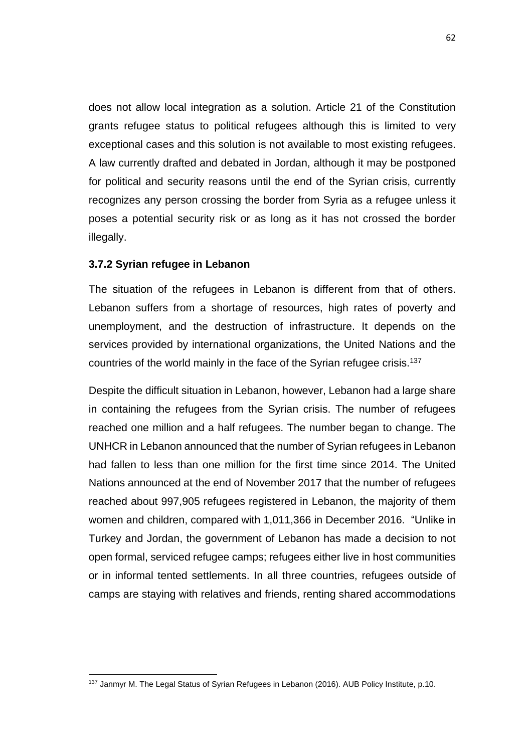does not allow local integration as a solution. Article 21 of the Constitution grants refugee status to political refugees although this is limited to very exceptional cases and this solution is not available to most existing refugees. A law currently drafted and debated in Jordan, although it may be postponed for political and security reasons until the end of the Syrian crisis, currently recognizes any person crossing the border from Syria as a refugee unless it poses a potential security risk or as long as it has not crossed the border illegally.

#### **3.7.2 Syrian refugee in Lebanon**

 $\overline{a}$ 

The situation of the refugees in Lebanon is different from that of others. Lebanon suffers from a shortage of resources, high rates of poverty and unemployment, and the destruction of infrastructure. It depends on the services provided by international organizations, the United Nations and the countries of the world mainly in the face of the Syrian refugee crisis.<sup>137</sup>

Despite the difficult situation in Lebanon, however, Lebanon had a large share in containing the refugees from the Syrian crisis. The number of refugees reached one million and a half refugees. The number began to change. The UNHCR in Lebanon announced that the number of Syrian refugees in Lebanon had fallen to less than one million for the first time since 2014. The United Nations announced at the end of November 2017 that the number of refugees reached about 997,905 refugees registered in Lebanon, the majority of them women and children, compared with 1,011,366 in December 2016. "Unlike in Turkey and Jordan, the government of Lebanon has made a decision to not open formal, serviced refugee camps; refugees either live in host communities or in informal tented settlements. In all three countries, refugees outside of camps are staying with relatives and friends, renting shared accommodations

<sup>137</sup> Janmyr M. The Legal Status of Syrian Refugees in Lebanon (2016). AUB Policy Institute, p.10.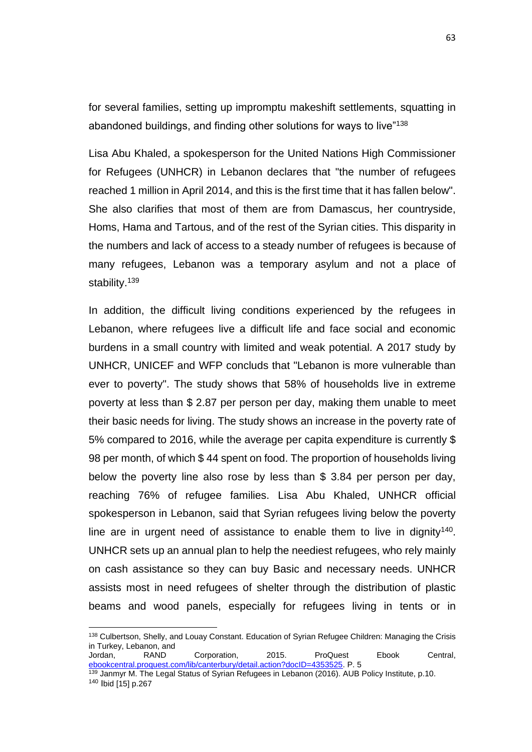for several families, setting up impromptu makeshift settlements, squatting in abandoned buildings, and finding other solutions for ways to live"138

Lisa Abu Khaled, a spokesperson for the United Nations High Commissioner for Refugees (UNHCR) in Lebanon declares that "the number of refugees reached 1 million in April 2014, and this is the first time that it has fallen below". She also clarifies that most of them are from Damascus, her countryside, Homs, Hama and Tartous, and of the rest of the Syrian cities. This disparity in the numbers and lack of access to a steady number of refugees is because of many refugees, Lebanon was a temporary asylum and not a place of stability.<sup>139</sup>

In addition, the difficult living conditions experienced by the refugees in Lebanon, where refugees live a difficult life and face social and economic burdens in a small country with limited and weak potential. A 2017 study by UNHCR, UNICEF and WFP concluds that "Lebanon is more vulnerable than ever to poverty". The study shows that 58% of households live in extreme poverty at less than \$ 2.87 per person per day, making them unable to meet their basic needs for living. The study shows an increase in the poverty rate of 5% compared to 2016, while the average per capita expenditure is currently \$ 98 per month, of which \$ 44 spent on food. The proportion of households living below the poverty line also rose by less than \$ 3.84 per person per day, reaching 76% of refugee families. Lisa Abu Khaled, UNHCR official spokesperson in Lebanon, said that Syrian refugees living below the poverty line are in urgent need of assistance to enable them to live in dignity<sup>140</sup>. UNHCR sets up an annual plan to help the neediest refugees, who rely mainly on cash assistance so they can buy Basic and necessary needs. UNHCR assists most in need refugees of shelter through the distribution of plastic beams and wood panels, especially for refugees living in tents or in

 $\overline{a}$ 

<sup>&</sup>lt;sup>138</sup> Culbertson, Shelly, and Louay Constant. Education of Syrian Refugee Children: Managing the Crisis in Turkey, Lebanon, and

Jordan, RAND Corporation, 2015. ProQuest Ebook Central, [ebookcentral.proquest.com/lib/canterbury/detail.action?docID=4353525.](http://ebookcentral.proquest.com/lib/canterbury/detail.action?docID=4353525) P. 5

<sup>&</sup>lt;sup>139</sup> Janmyr M. The Legal Status of Syrian Refugees in Lebanon (2016). AUB Policy Institute, p.10. <sup>140</sup> Ibid [15] p.267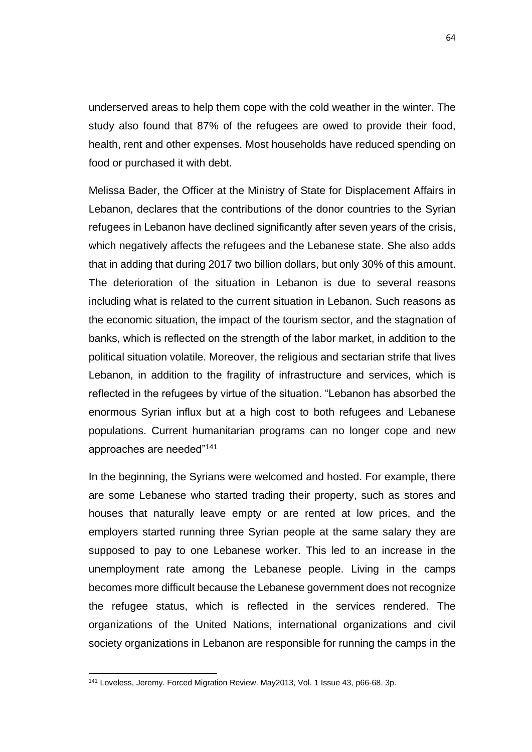underserved areas to help them cope with the cold weather in the winter. The study also found that 87% of the refugees are owed to provide their food, health, rent and other expenses. Most households have reduced spending on food or purchased it with debt.

Melissa Bader, the Officer at the Ministry of State for Displacement Affairs in Lebanon, declares that the contributions of the donor countries to the Syrian refugees in Lebanon have declined significantly after seven years of the crisis, which negatively affects the refugees and the Lebanese state. She also adds that in adding that during 2017 two billion dollars, but only 30% of this amount. The deterioration of the situation in Lebanon is due to several reasons including what is related to the current situation in Lebanon. Such reasons as the economic situation, the impact of the tourism sector, and the stagnation of banks, which is reflected on the strength of the labor market, in addition to the political situation volatile. Moreover, the religious and sectarian strife that lives Lebanon, in addition to the fragility of infrastructure and services, which is reflected in the refugees by virtue of the situation. "Lebanon has absorbed the enormous Syrian influx but at a high cost to both refugees and Lebanese populations. Current humanitarian programs can no longer cope and new approaches are needed"<sup>141</sup>

In the beginning, the Syrians were welcomed and hosted. For example, there are some Lebanese who started trading their property, such as stores and houses that naturally leave empty or are rented at low prices, and the employers started running three Syrian people at the same salary they are supposed to pay to one Lebanese worker. This led to an increase in the unemployment rate among the Lebanese people. Living in the camps becomes more difficult because the Lebanese government does not recognize the refugee status, which is reflected in the services rendered. The organizations of the United Nations, international organizations and civil society organizations in Lebanon are responsible for running the camps in the

 $\overline{a}$ 

<sup>141</sup> Loveless, Jeremy. Forced Migration Review. May2013, Vol. 1 Issue 43, p66-68. 3p.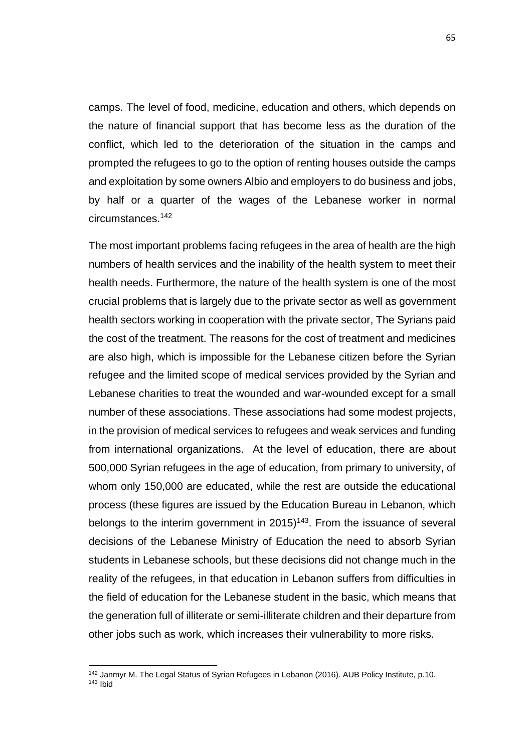camps. The level of food, medicine, education and others, which depends on the nature of financial support that has become less as the duration of the conflict, which led to the deterioration of the situation in the camps and prompted the refugees to go to the option of renting houses outside the camps and exploitation by some owners Albio and employers to do business and jobs, by half or a quarter of the wages of the Lebanese worker in normal circumstances.<sup>142</sup>

The most important problems facing refugees in the area of health are the high numbers of health services and the inability of the health system to meet their health needs. Furthermore, the nature of the health system is one of the most crucial problems that is largely due to the private sector as well as government health sectors working in cooperation with the private sector, The Syrians paid the cost of the treatment. The reasons for the cost of treatment and medicines are also high, which is impossible for the Lebanese citizen before the Syrian refugee and the limited scope of medical services provided by the Syrian and Lebanese charities to treat the wounded and war-wounded except for a small number of these associations. These associations had some modest projects, in the provision of medical services to refugees and weak services and funding from international organizations. At the level of education, there are about 500,000 Syrian refugees in the age of education, from primary to university, of whom only 150,000 are educated, while the rest are outside the educational process (these figures are issued by the Education Bureau in Lebanon, which belongs to the interim government in  $2015$ <sup>143</sup>. From the issuance of several decisions of the Lebanese Ministry of Education the need to absorb Syrian students in Lebanese schools, but these decisions did not change much in the reality of the refugees, in that education in Lebanon suffers from difficulties in the field of education for the Lebanese student in the basic, which means that the generation full of illiterate or semi-illiterate children and their departure from other jobs such as work, which increases their vulnerability to more risks.

 $\ddot{\phantom{a}}$ 

<sup>142</sup> Janmyr M. The Legal Status of Syrian Refugees in Lebanon (2016). AUB Policy Institute, p.10.

 $143$  Ibid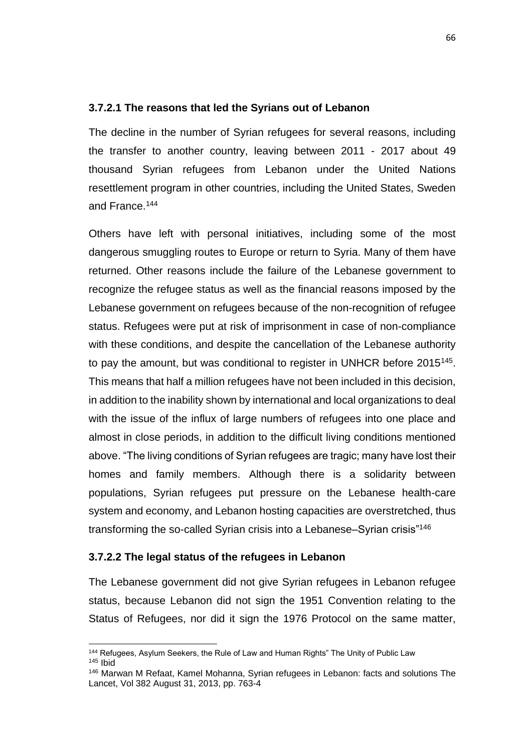#### **3.7.2.1 The reasons that led the Syrians out of Lebanon**

The decline in the number of Syrian refugees for several reasons, including the transfer to another country, leaving between 2011 - 2017 about 49 thousand Syrian refugees from Lebanon under the United Nations resettlement program in other countries, including the United States, Sweden and France.<sup>144</sup>

Others have left with personal initiatives, including some of the most dangerous smuggling routes to Europe or return to Syria. Many of them have returned. Other reasons include the failure of the Lebanese government to recognize the refugee status as well as the financial reasons imposed by the Lebanese government on refugees because of the non-recognition of refugee status. Refugees were put at risk of imprisonment in case of non-compliance with these conditions, and despite the cancellation of the Lebanese authority to pay the amount, but was conditional to register in UNHCR before 2015<sup>145</sup>. This means that half a million refugees have not been included in this decision, in addition to the inability shown by international and local organizations to deal with the issue of the influx of large numbers of refugees into one place and almost in close periods, in addition to the difficult living conditions mentioned above. "The living conditions of Syrian refugees are tragic; many have lost their homes and family members. Although there is a solidarity between populations, Syrian refugees put pressure on the Lebanese health-care system and economy, and Lebanon hosting capacities are overstretched, thus transforming the so-called Syrian crisis into a Lebanese–Syrian crisis"<sup>146</sup>

#### **3.7.2.2 The legal status of the refugees in Lebanon**

 $\overline{a}$ 

The Lebanese government did not give Syrian refugees in Lebanon refugee status, because Lebanon did not sign the 1951 Convention relating to the Status of Refugees, nor did it sign the 1976 Protocol on the same matter,

<sup>&</sup>lt;sup>144</sup> Refugees, Asylum Seekers, the Rule of Law and Human Rights" The Unity of Public Law <sup>145</sup> Ibid

<sup>146</sup> Marwan M Refaat, Kamel Mohanna, Syrian refugees in Lebanon: facts and solutions The Lancet, Vol 382 August 31, 2013, pp. 763-4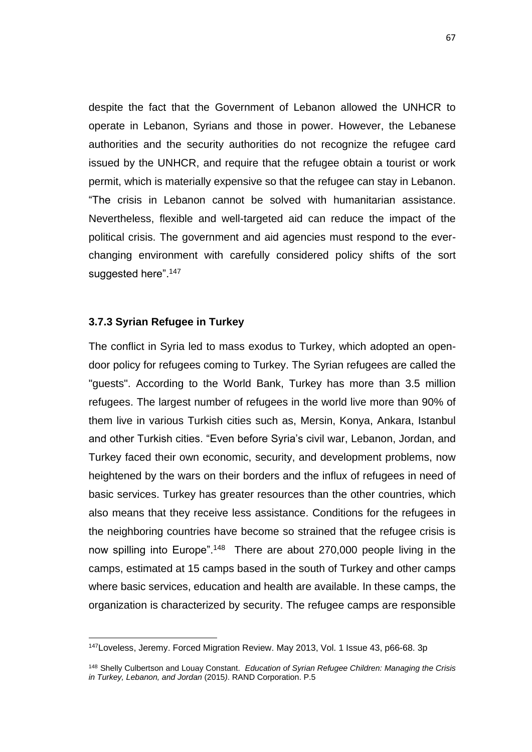despite the fact that the Government of Lebanon allowed the UNHCR to operate in Lebanon, Syrians and those in power. However, the Lebanese authorities and the security authorities do not recognize the refugee card issued by the UNHCR, and require that the refugee obtain a tourist or work permit, which is materially expensive so that the refugee can stay in Lebanon. "The crisis in Lebanon cannot be solved with humanitarian assistance. Nevertheless, flexible and well-targeted aid can reduce the impact of the political crisis. The government and aid agencies must respond to the everchanging environment with carefully considered policy shifts of the sort suggested here".<sup>147</sup>

#### **3.7.3 Syrian Refugee in Turkey**

 $\ddot{\phantom{a}}$ 

The conflict in Syria led to mass exodus to Turkey, which adopted an opendoor policy for refugees coming to Turkey. The Syrian refugees are called the "guests". According to the World Bank, Turkey has more than 3.5 million refugees. The largest number of refugees in the world live more than 90% of them live in various Turkish cities such as, Mersin, Konya, Ankara, Istanbul and other Turkish cities. "Even before Syria's civil war, Lebanon, Jordan, and Turkey faced their own economic, security, and development problems, now heightened by the wars on their borders and the influx of refugees in need of basic services. Turkey has greater resources than the other countries, which also means that they receive less assistance. Conditions for the refugees in the neighboring countries have become so strained that the refugee crisis is now spilling into Europe".<sup>148</sup> There are about 270,000 people living in the camps, estimated at 15 camps based in the south of Turkey and other camps where basic services, education and health are available. In these camps, the organization is characterized by security. The refugee camps are responsible

<sup>147</sup>Loveless, Jeremy. Forced Migration Review. May 2013, Vol. 1 Issue 43, p66-68. 3p

<sup>148</sup> Shelly Culbertson and Louay Constant. *Education of Syrian Refugee Children: Managing the Crisis in Turkey, Lebanon, and Jordan* (2015*)*. RAND Corporation. P.5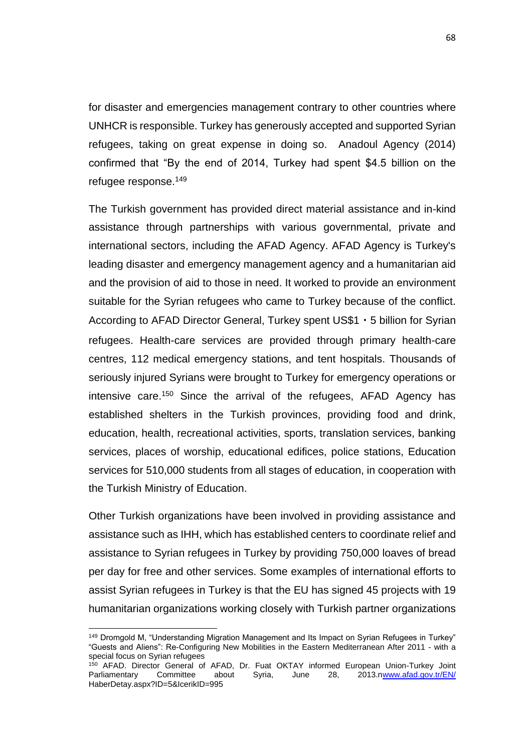for disaster and emergencies management contrary to other countries where UNHCR is responsible. Turkey has generously accepted and supported Syrian refugees, taking on great expense in doing so. Anadoul Agency (2014) confirmed that "By the end of 2014, Turkey had spent \$4.5 billion on the refugee response.<sup>149</sup>

The Turkish government has provided direct material assistance and in-kind assistance through partnerships with various governmental, private and international sectors, including the AFAD Agency. AFAD Agency is Turkey's leading disaster and emergency management agency and a humanitarian aid and the provision of aid to those in need. It worked to provide an environment suitable for the Syrian refugees who came to Turkey because of the conflict. According to AFAD Director General, Turkey spent US\$1・5 billion for Syrian refugees. Health-care services are provided through primary health-care centres, 112 medical emergency stations, and tent hospitals. Thousands of seriously injured Syrians were brought to Turkey for emergency operations or intensive care.<sup>150</sup> Since the arrival of the refugees, AFAD Agency has established shelters in the Turkish provinces, providing food and drink, education, health, recreational activities, sports, translation services, banking services, places of worship, educational edifices, police stations, Education services for 510,000 students from all stages of education, in cooperation with the Turkish Ministry of Education.

Other Turkish organizations have been involved in providing assistance and assistance such as IHH, which has established centers to coordinate relief and assistance to Syrian refugees in Turkey by providing 750,000 loaves of bread per day for free and other services. Some examples of international efforts to assist Syrian refugees in Turkey is that the EU has signed 45 projects with 19 humanitarian organizations working closely with Turkish partner organizations

 $\overline{a}$ 

<sup>&</sup>lt;sup>149</sup> Dromgold M, "Understanding Migration Management and Its Impact on Syrian Refugees in Turkey" "Guests and Aliens": Re-Configuring New Mobilities in the Eastern Mediterranean After 2011 - with a special focus on Syrian refugees

<sup>150</sup> AFAD. Director General of AFAD, Dr. Fuat OKTAY informed European Union-Turkey Joint Parliamentary Committee about Syria, June 28, 2013.[nwww.afad.gov.tr/EN/](http://www.afad.gov.tr/EN/) HaberDetay.aspx?ID=5&IcerikID=995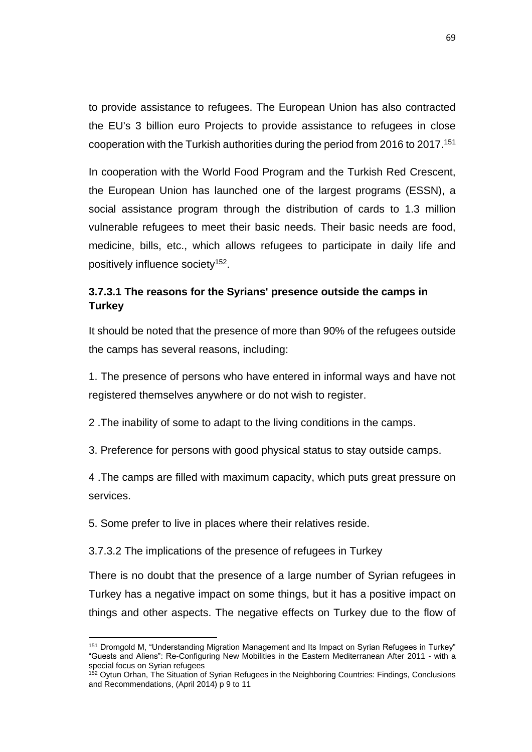to provide assistance to refugees. The European Union has also contracted the EU's 3 billion euro Projects to provide assistance to refugees in close cooperation with the Turkish authorities during the period from 2016 to 2017.<sup>151</sup>

In cooperation with the World Food Program and the Turkish Red Crescent, the European Union has launched one of the largest programs (ESSN), a social assistance program through the distribution of cards to 1.3 million vulnerable refugees to meet their basic needs. Their basic needs are food, medicine, bills, etc., which allows refugees to participate in daily life and positively influence society<sup>152</sup>.

# **3.7.3.1 The reasons for the Syrians' presence outside the camps in Turkey**

It should be noted that the presence of more than 90% of the refugees outside the camps has several reasons, including:

1. The presence of persons who have entered in informal ways and have not registered themselves anywhere or do not wish to register.

2 .The inability of some to adapt to the living conditions in the camps.

3. Preference for persons with good physical status to stay outside camps.

4 .The camps are filled with maximum capacity, which puts great pressure on services.

5. Some prefer to live in places where their relatives reside.

 $\overline{a}$ 

3.7.3.2 The implications of the presence of refugees in Turkey

There is no doubt that the presence of a large number of Syrian refugees in Turkey has a negative impact on some things, but it has a positive impact on things and other aspects. The negative effects on Turkey due to the flow of

<sup>151</sup> Dromgold M, "Understanding Migration Management and Its Impact on Syrian Refugees in Turkey" "Guests and Aliens": Re-Configuring New Mobilities in the Eastern Mediterranean After 2011 - with a special focus on Syrian refugees

<sup>152</sup> Oytun Orhan, The Situation of Syrian Refugees in the Neighboring Countries: Findings, Conclusions and Recommendations, (April 2014) p 9 to 11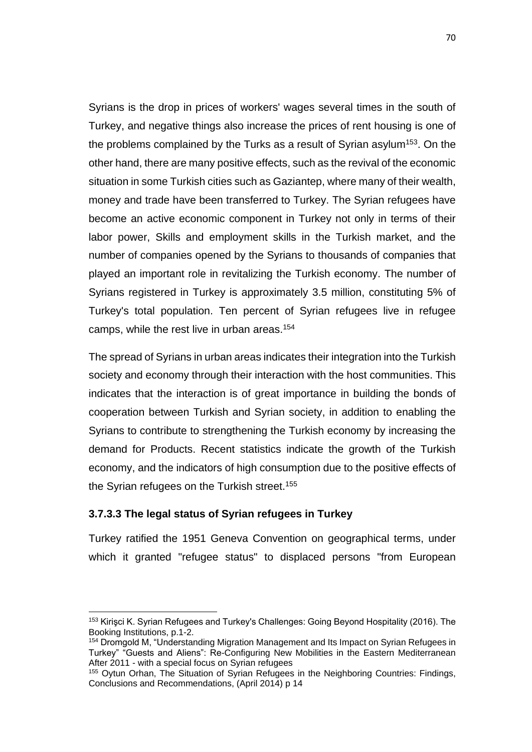Syrians is the drop in prices of workers' wages several times in the south of Turkey, and negative things also increase the prices of rent housing is one of the problems complained by the Turks as a result of Syrian asylum<sup>153</sup>. On the other hand, there are many positive effects, such as the revival of the economic situation in some Turkish cities such as Gaziantep, where many of their wealth, money and trade have been transferred to Turkey. The Syrian refugees have become an active economic component in Turkey not only in terms of their labor power, Skills and employment skills in the Turkish market, and the number of companies opened by the Syrians to thousands of companies that played an important role in revitalizing the Turkish economy. The number of Syrians registered in Turkey is approximately 3.5 million, constituting 5% of Turkey's total population. Ten percent of Syrian refugees live in refugee camps, while the rest live in urban areas.<sup>154</sup>

The spread of Syrians in urban areas indicates their integration into the Turkish society and economy through their interaction with the host communities. This indicates that the interaction is of great importance in building the bonds of cooperation between Turkish and Syrian society, in addition to enabling the Syrians to contribute to strengthening the Turkish economy by increasing the demand for Products. Recent statistics indicate the growth of the Turkish economy, and the indicators of high consumption due to the positive effects of the Syrian refugees on the Turkish street.<sup>155</sup>

## **3.7.3.3 The legal status of Syrian refugees in Turkey**

 $\overline{a}$ 

Turkey ratified the 1951 Geneva Convention on geographical terms, under which it granted "refugee status" to displaced persons "from European

<sup>153</sup> Kirişci K. Syrian Refugees and Turkey's Challenges: Going Beyond Hospitality (2016). The Booking Institutions, p.1-2.

<sup>&</sup>lt;sup>154</sup> Dromgold M, "Understanding Migration Management and Its Impact on Syrian Refugees in Turkey" "Guests and Aliens": Re-Configuring New Mobilities in the Eastern Mediterranean After 2011 - with a special focus on Syrian refugees

<sup>&</sup>lt;sup>155</sup> Oytun Orhan, The Situation of Syrian Refugees in the Neighboring Countries: Findings, Conclusions and Recommendations, (April 2014) p 14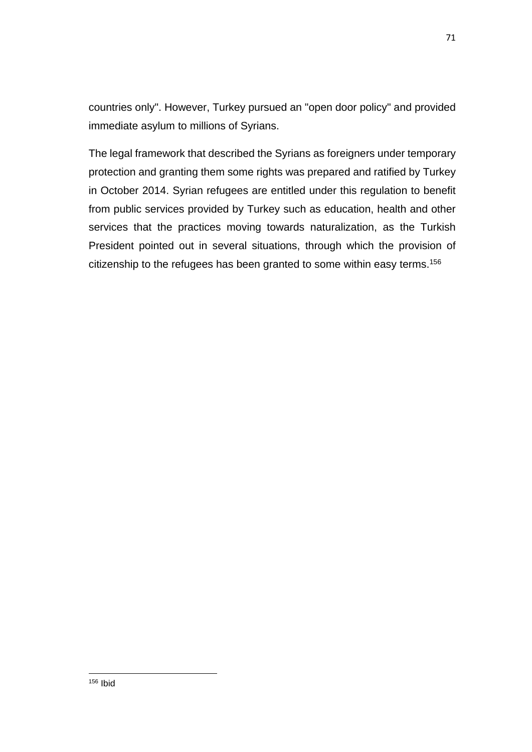countries only". However, Turkey pursued an "open door policy" and provided immediate asylum to millions of Syrians.

The legal framework that described the Syrians as foreigners under temporary protection and granting them some rights was prepared and ratified by Turkey in October 2014. Syrian refugees are entitled under this regulation to benefit from public services provided by Turkey such as education, health and other services that the practices moving towards naturalization, as the Turkish President pointed out in several situations, through which the provision of citizenship to the refugees has been granted to some within easy terms.<sup>156</sup>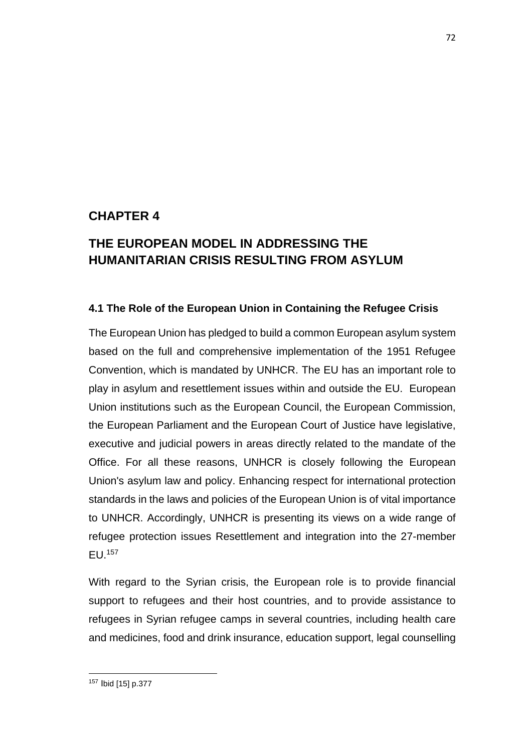# **CHAPTER 4**

# **THE EUROPEAN MODEL IN ADDRESSING THE HUMANITARIAN CRISIS RESULTING FROM ASYLUM**

# **4.1 The Role of the European Union in Containing the Refugee Crisis**

The European Union has pledged to build a common European asylum system based on the full and comprehensive implementation of the 1951 Refugee Convention, which is mandated by UNHCR. The EU has an important role to play in asylum and resettlement issues within and outside the EU. European Union institutions such as the European Council, the European Commission, the European Parliament and the European Court of Justice have legislative, executive and judicial powers in areas directly related to the mandate of the Office. For all these reasons, UNHCR is closely following the European Union's asylum law and policy. Enhancing respect for international protection standards in the laws and policies of the European Union is of vital importance to UNHCR. Accordingly, UNHCR is presenting its views on a wide range of refugee protection issues Resettlement and integration into the 27-member EU.<sup>157</sup>

With regard to the Syrian crisis, the European role is to provide financial support to refugees and their host countries, and to provide assistance to refugees in Syrian refugee camps in several countries, including health care and medicines, food and drink insurance, education support, legal counselling

 $\overline{a}$ <sup>157</sup> Ibid [15] p.377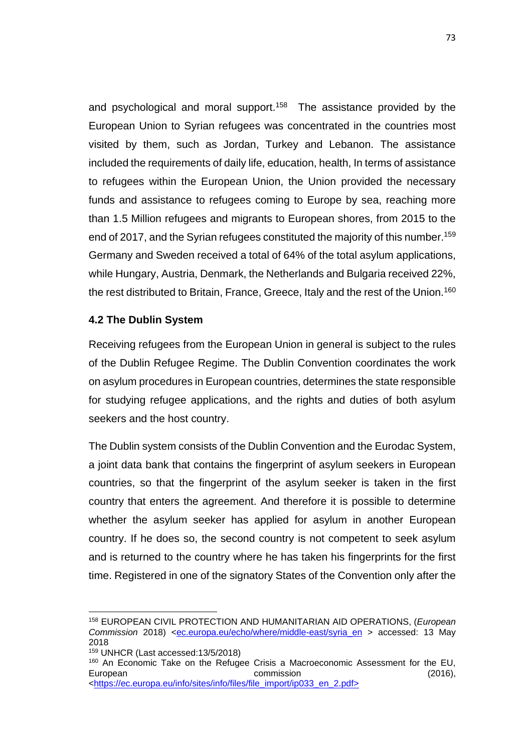and psychological and moral support.<sup>158</sup> The assistance provided by the European Union to Syrian refugees was concentrated in the countries most visited by them, such as Jordan, Turkey and Lebanon. The assistance included the requirements of daily life, education, health, In terms of assistance to refugees within the European Union, the Union provided the necessary funds and assistance to refugees coming to Europe by sea, reaching more than 1.5 Million refugees and migrants to European shores, from 2015 to the end of 2017, and the Syrian refugees constituted the majority of this number.<sup>159</sup> Germany and Sweden received a total of 64% of the total asylum applications, while Hungary, Austria, Denmark, the Netherlands and Bulgaria received 22%, the rest distributed to Britain, France, Greece, Italy and the rest of the Union.<sup>160</sup>

## **4.2 The Dublin System**

Receiving refugees from the European Union in general is subject to the rules of the Dublin Refugee Regime. The Dublin Convention coordinates the work on asylum procedures in European countries, determines the state responsible for studying refugee applications, and the rights and duties of both asylum seekers and the host country.

The Dublin system consists of the Dublin Convention and the Eurodac System, a joint data bank that contains the fingerprint of asylum seekers in European countries, so that the fingerprint of the asylum seeker is taken in the first country that enters the agreement. And therefore it is possible to determine whether the asylum seeker has applied for asylum in another European country. If he does so, the second country is not competent to seek asylum and is returned to the country where he has taken his fingerprints for the first time. Registered in one of the signatory States of the Convention only after the

 $\overline{a}$ 

<sup>158</sup> EUROPEAN CIVIL PROTECTION AND HUMANITARIAN AID OPERATIONS, (*European Commission* 2018) [<ec.europa.eu/echo/where/middle-east/syria\\_en](http://ec.europa.eu/echo/where/middle-east/syria_en) > accessed: 13 May 2018

<sup>159</sup> UNHCR (Last accessed:13/5/2018)

<sup>&</sup>lt;sup>160</sup> An Economic Take on the Refugee Crisis a Macroeconomic Assessment for the EU, European **commission** commission (2016), [<https://ec.europa.eu/info/sites/info/files/file\\_import/ip033\\_en\\_2.pdf>](https://ec.europa.eu/info/sites/info/files/file_import/ip033_en_2.pdf)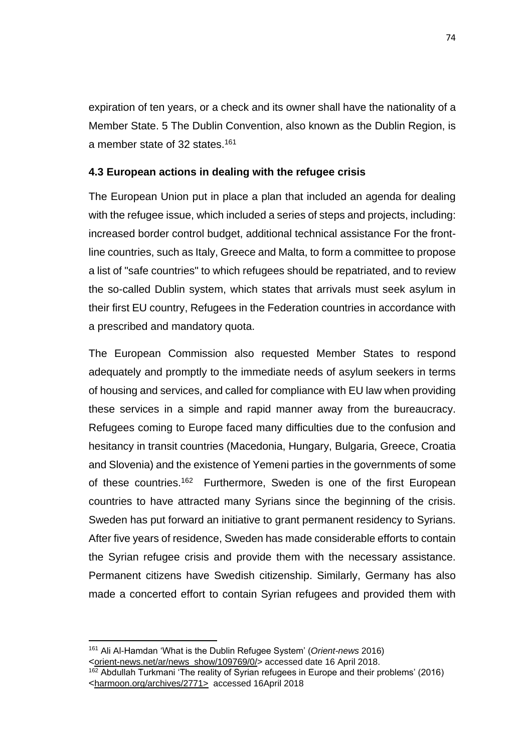expiration of ten years, or a check and its owner shall have the nationality of a Member State. 5 The Dublin Convention, also known as the Dublin Region, is a member state of 32 states.<sup>161</sup>

# **4.3 European actions in dealing with the refugee crisis**

The European Union put in place a plan that included an agenda for dealing with the refugee issue, which included a series of steps and projects, including: increased border control budget, additional technical assistance For the frontline countries, such as Italy, Greece and Malta, to form a committee to propose a list of "safe countries" to which refugees should be repatriated, and to review the so-called Dublin system, which states that arrivals must seek asylum in their first EU country, Refugees in the Federation countries in accordance with a prescribed and mandatory quota.

The European Commission also requested Member States to respond adequately and promptly to the immediate needs of asylum seekers in terms of housing and services, and called for compliance with EU law when providing these services in a simple and rapid manner away from the bureaucracy. Refugees coming to Europe faced many difficulties due to the confusion and hesitancy in transit countries (Macedonia, Hungary, Bulgaria, Greece, Croatia and Slovenia) and the existence of Yemeni parties in the governments of some of these countries.<sup>162</sup> Furthermore, Sweden is one of the first European countries to have attracted many Syrians since the beginning of the crisis. Sweden has put forward an initiative to grant permanent residency to Syrians. After five years of residence, Sweden has made considerable efforts to contain the Syrian refugee crisis and provide them with the necessary assistance. Permanent citizens have Swedish citizenship. Similarly, Germany has also made a concerted effort to contain Syrian refugees and provided them with

 $\overline{a}$ <sup>161</sup> Ali Al-Hamdan 'What is the Dublin Refugee System' (*Orient-news* 2016) <[orient-news.net/ar/news\\_show/109769/0/>](http://orient-news.net/ar/news_show/109769/0/) accessed date 16 April 2018.

<sup>162</sup> Abdullah Turkmani 'The reality of Syrian refugees in Europe and their problems' (2016) <[harmoon.org/archives/2771>](https://harmoon.org/archives/2771) accessed 16April 2018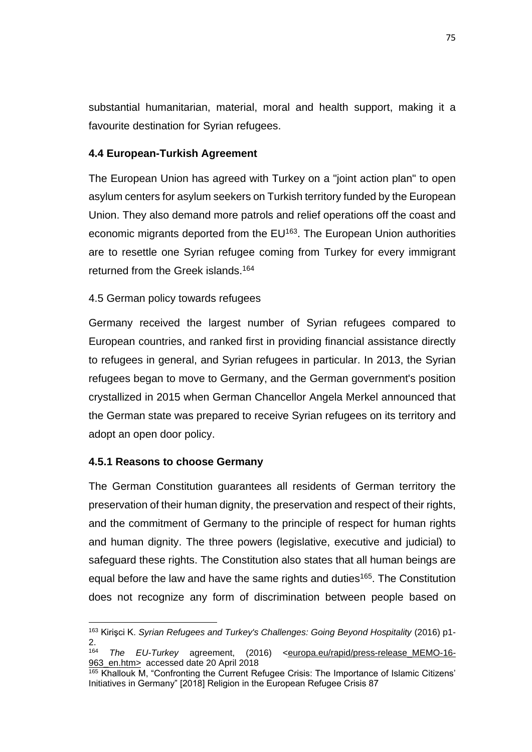substantial humanitarian, material, moral and health support, making it a favourite destination for Syrian refugees.

## **4.4 European-Turkish Agreement**

The European Union has agreed with Turkey on a "joint action plan" to open asylum centers for asylum seekers on Turkish territory funded by the European Union. They also demand more patrols and relief operations off the coast and economic migrants deported from the EU<sup>163</sup>. The European Union authorities are to resettle one Syrian refugee coming from Turkey for every immigrant returned from the Greek islands.<sup>164</sup>

# 4.5 German policy towards refugees

Germany received the largest number of Syrian refugees compared to European countries, and ranked first in providing financial assistance directly to refugees in general, and Syrian refugees in particular. In 2013, the Syrian refugees began to move to Germany, and the German government's position crystallized in 2015 when German Chancellor Angela Merkel announced that the German state was prepared to receive Syrian refugees on its territory and adopt an open door policy.

## **4.5.1 Reasons to choose Germany**

 $\ddot{\phantom{a}}$ 

The German Constitution guarantees all residents of German territory the preservation of their human dignity, the preservation and respect of their rights, and the commitment of Germany to the principle of respect for human rights and human dignity. The three powers (legislative, executive and judicial) to safeguard these rights. The Constitution also states that all human beings are equal before the law and have the same rights and duties<sup>165</sup>. The Constitution does not recognize any form of discrimination between people based on

<sup>163</sup> Kirişci K. *Syrian Refugees and Turkey's Challenges: Going Beyond Hospitality* (2016) p1- 2.

<sup>164</sup> *The EU-Turkey* agreement, (2016) [<europa.eu/rapid/press-release\\_MEMO-16-](http://europa.eu/rapid/press-release_MEMO-16-963_en.htm) 963 en.htm> accessed date 20 April 2018

 $165$  Khallouk M, "Confronting the Current Refugee Crisis: The Importance of Islamic Citizens' Initiatives in Germany" [2018] Religion in the European Refugee Crisis 87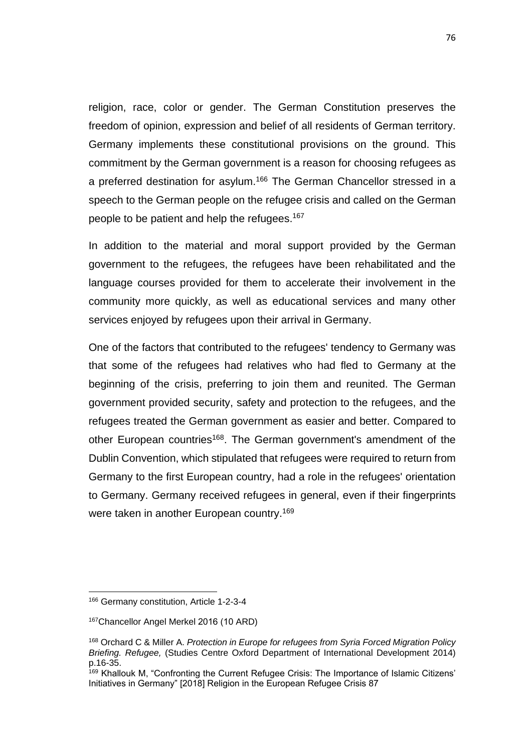religion, race, color or gender. The German Constitution preserves the freedom of opinion, expression and belief of all residents of German territory. Germany implements these constitutional provisions on the ground. This commitment by the German government is a reason for choosing refugees as a preferred destination for asylum.<sup>166</sup> The German Chancellor stressed in a speech to the German people on the refugee crisis and called on the German people to be patient and help the refugees.<sup>167</sup>

In addition to the material and moral support provided by the German government to the refugees, the refugees have been rehabilitated and the language courses provided for them to accelerate their involvement in the community more quickly, as well as educational services and many other services enjoyed by refugees upon their arrival in Germany.

One of the factors that contributed to the refugees' tendency to Germany was that some of the refugees had relatives who had fled to Germany at the beginning of the crisis, preferring to join them and reunited. The German government provided security, safety and protection to the refugees, and the refugees treated the German government as easier and better. Compared to other European countries<sup>168</sup>. The German government's amendment of the Dublin Convention, which stipulated that refugees were required to return from Germany to the first European country, had a role in the refugees' orientation to Germany. Germany received refugees in general, even if their fingerprints were taken in another European country.<sup>169</sup>

 $\overline{a}$ 

<sup>166</sup> Germany constitution, Article 1-2-3-4

<sup>&</sup>lt;sup>167</sup>Chancellor Angel Merkel 2016 (10 ARD)

<sup>168</sup> Orchard C & Miller A. *Protection in Europe for refugees from Syria Forced Migration Policy Briefing. Refugee,* (Studies Centre Oxford Department of International Development 2014) p.16-35.

<sup>&</sup>lt;sup>169</sup> Khallouk M, "Confronting the Current Refugee Crisis: The Importance of Islamic Citizens' Initiatives in Germany" [2018] Religion in the European Refugee Crisis 87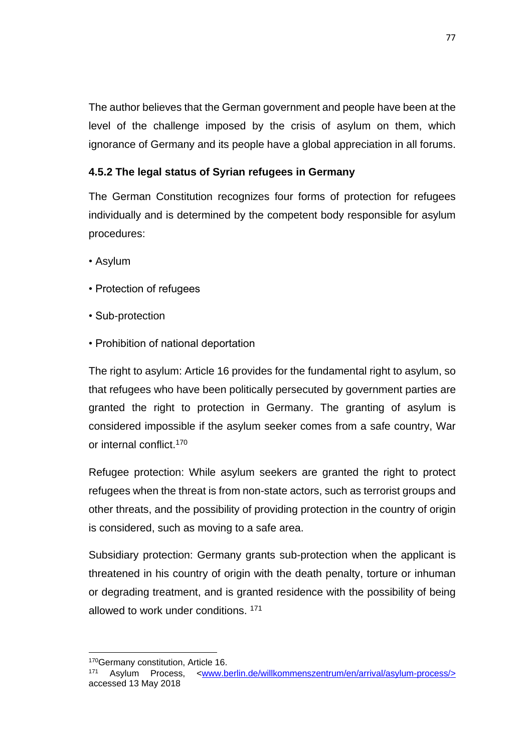The author believes that the German government and people have been at the level of the challenge imposed by the crisis of asylum on them, which ignorance of Germany and its people have a global appreciation in all forums.

# **4.5.2 The legal status of Syrian refugees in Germany**

The German Constitution recognizes four forms of protection for refugees individually and is determined by the competent body responsible for asylum procedures:

- Asylum
- Protection of refugees
- Sub-protection
- Prohibition of national deportation

The right to asylum: Article 16 provides for the fundamental right to asylum, so that refugees who have been politically persecuted by government parties are granted the right to protection in Germany. The granting of asylum is considered impossible if the asylum seeker comes from a safe country, War or internal conflict.<sup>170</sup>

Refugee protection: While asylum seekers are granted the right to protect refugees when the threat is from non-state actors, such as terrorist groups and other threats, and the possibility of providing protection in the country of origin is considered, such as moving to a safe area.

Subsidiary protection: Germany grants sub-protection when the applicant is threatened in his country of origin with the death penalty, torture or inhuman or degrading treatment, and is granted residence with the possibility of being allowed to work under conditions. <sup>171</sup>

 $\ddot{\phantom{a}}$ 

<sup>170</sup> Germany constitution, Article 16.

<sup>171</sup> Asylum Process, [<www.berlin.de/willkommenszentrum/en/arrival/asylum-process/>](http://www.berlin.de/willkommenszentrum/en/arrival/asylum-process/) accessed 13 May 2018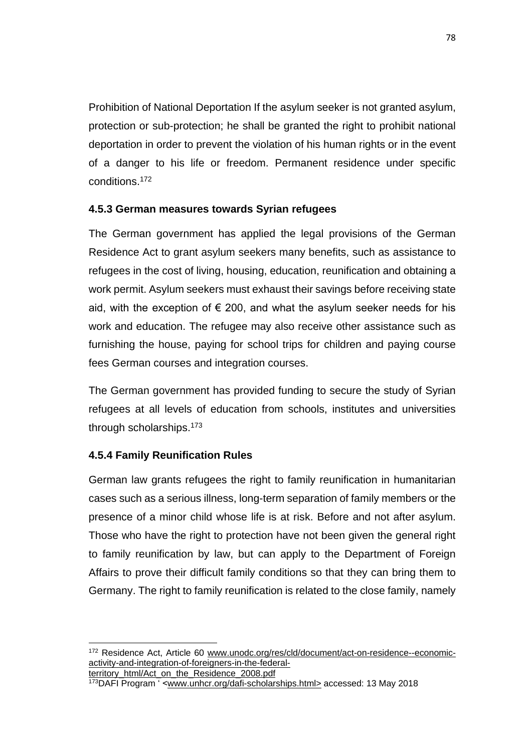Prohibition of National Deportation If the asylum seeker is not granted asylum, protection or sub-protection; he shall be granted the right to prohibit national deportation in order to prevent the violation of his human rights or in the event of a danger to his life or freedom. Permanent residence under specific conditions.<sup>172</sup>

# **4.5.3 German measures towards Syrian refugees**

The German government has applied the legal provisions of the German Residence Act to grant asylum seekers many benefits, such as assistance to refugees in the cost of living, housing, education, reunification and obtaining a work permit. Asylum seekers must exhaust their savings before receiving state aid, with the exception of  $\epsilon$  200, and what the asylum seeker needs for his work and education. The refugee may also receive other assistance such as furnishing the house, paying for school trips for children and paying course fees German courses and integration courses.

The German government has provided funding to secure the study of Syrian refugees at all levels of education from schools, institutes and universities through scholarships.<sup>173</sup>

# **4.5.4 Family Reunification Rules**

German law grants refugees the right to family reunification in humanitarian cases such as a serious illness, long-term separation of family members or the presence of a minor child whose life is at risk. Before and not after asylum. Those who have the right to protection have not been given the general right to family reunification by law, but can apply to the Department of Foreign Affairs to prove their difficult family conditions so that they can bring them to Germany. The right to family reunification is related to the close family, namely

territory\_html/Act\_on\_the\_Residence\_2008.pdf

 $\overline{a}$ <sup>172</sup> Residence Act, Article 60 www.unodc.org/res/cld/document/act-on-residence--economicactivity-and-integration-of-foreigners-in-the-federal-

<sup>173</sup>DAFI Program ' [<www.unhcr.org/dafi-scholarships.html>](http://www.unhcr.org/dafi-scholarships.html) accessed: 13 May 2018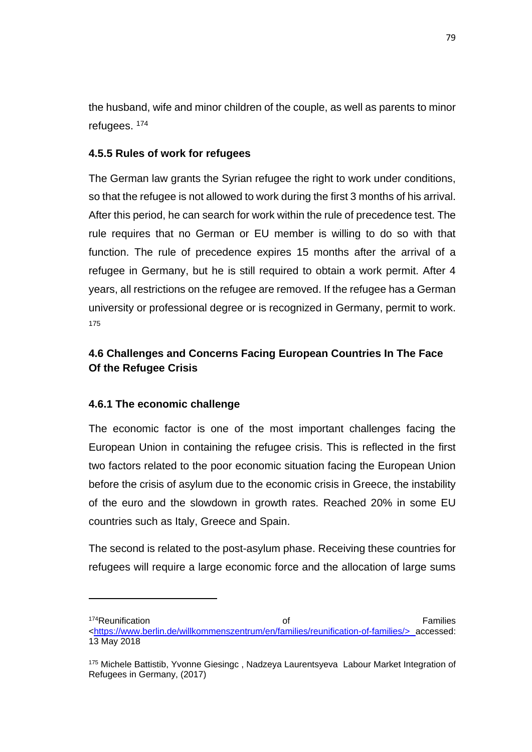the husband, wife and minor children of the couple, as well as parents to minor refugees. <sup>174</sup>

# **4.5.5 Rules of work for refugees**

The German law grants the Syrian refugee the right to work under conditions, so that the refugee is not allowed to work during the first 3 months of his arrival. After this period, he can search for work within the rule of precedence test. The rule requires that no German or EU member is willing to do so with that function. The rule of precedence expires 15 months after the arrival of a refugee in Germany, but he is still required to obtain a work permit. After 4 years, all restrictions on the refugee are removed. If the refugee has a German university or professional degree or is recognized in Germany, permit to work. 175

# **4.6 Challenges and Concerns Facing European Countries In The Face Of the Refugee Crisis**

## **4.6.1 The economic challenge**

 $\overline{a}$ 

The economic factor is one of the most important challenges facing the European Union in containing the refugee crisis. This is reflected in the first two factors related to the poor economic situation facing the European Union before the crisis of asylum due to the economic crisis in Greece, the instability of the euro and the slowdown in growth rates. Reached 20% in some EU countries such as Italy, Greece and Spain.

The second is related to the post-asylum phase. Receiving these countries for refugees will require a large economic force and the allocation of large sums

<sup>174</sup>Reunification **Contract Contract Contract Contract Contract Contract Contract Contract Contract Contract Contract Contract Contract Contract Contract Contract Contract Contract Contract Contract Contract Contract Contra** [<https://www.berlin.de/willkommenszentrum/en/families/reunification-of-families/>](https://www.berlin.de/willkommenszentrum/en/families/reunification-of-families/) accessed: 13 May 2018

<sup>175</sup> Michele Battistib, Yvonne Giesingc , Nadzeya Laurentsyeva Labour Market Integration of Refugees in Germany, (2017)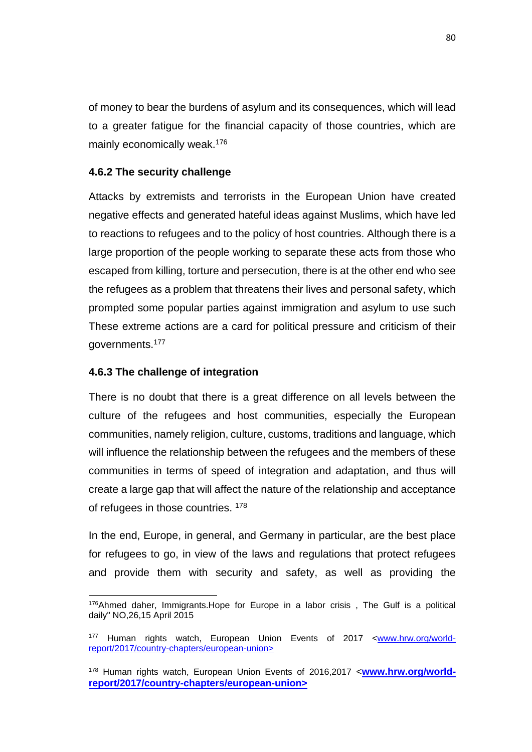of money to bear the burdens of asylum and its consequences, which will lead to a greater fatigue for the financial capacity of those countries, which are mainly economically weak.<sup>176</sup>

## **4.6.2 The security challenge**

Attacks by extremists and terrorists in the European Union have created negative effects and generated hateful ideas against Muslims, which have led to reactions to refugees and to the policy of host countries. Although there is a large proportion of the people working to separate these acts from those who escaped from killing, torture and persecution, there is at the other end who see the refugees as a problem that threatens their lives and personal safety, which prompted some popular parties against immigration and asylum to use such These extreme actions are a card for political pressure and criticism of their governments.<sup>177</sup>

# **4.6.3 The challenge of integration**

There is no doubt that there is a great difference on all levels between the culture of the refugees and host communities, especially the European communities, namely religion, culture, customs, traditions and language, which will influence the relationship between the refugees and the members of these communities in terms of speed of integration and adaptation, and thus will create a large gap that will affect the nature of the relationship and acceptance of refugees in those countries. <sup>178</sup>

In the end, Europe, in general, and Germany in particular, are the best place for refugees to go, in view of the laws and regulations that protect refugees and provide them with security and safety, as well as providing the

 $\overline{a}$  $176$ Ahmed daher, Immigrants. Hope for Europe in a labor crisis, The Gulf is a political daily" NO,26,15 April 2015

<sup>177</sup> Human rights watch, European Union Events of 2017 [<www.hrw.org/world](https://www.hrw.org/world-report/2017/country-chapters/european-union)[report/2017/country-chapters/european-union>](https://www.hrw.org/world-report/2017/country-chapters/european-union)

<sup>178</sup> Human rights watch, European Union Events of 2016,2017 <**[www.hrw.org/world](http://www.hrw.org/world-report/2017/country-chapters/european-union)[report/2017/country-chapters/european-union>](http://www.hrw.org/world-report/2017/country-chapters/european-union)**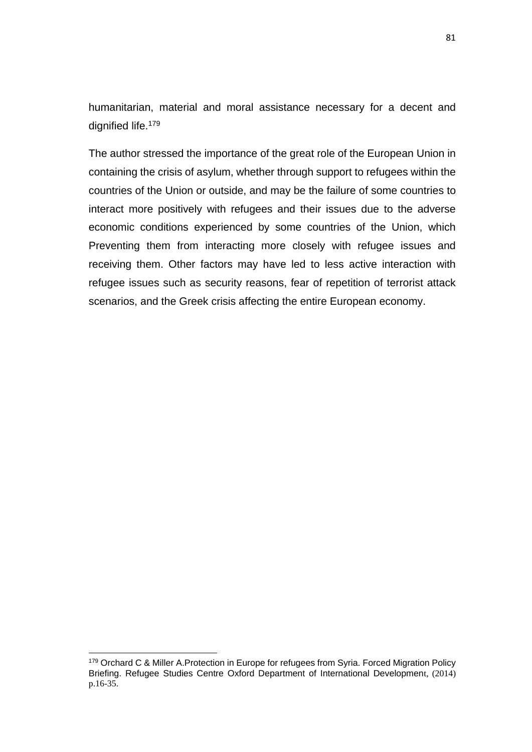humanitarian, material and moral assistance necessary for a decent and dignified life.<sup>179</sup>

The author stressed the importance of the great role of the European Union in containing the crisis of asylum, whether through support to refugees within the countries of the Union or outside, and may be the failure of some countries to interact more positively with refugees and their issues due to the adverse economic conditions experienced by some countries of the Union, which Preventing them from interacting more closely with refugee issues and receiving them. Other factors may have led to less active interaction with refugee issues such as security reasons, fear of repetition of terrorist attack scenarios, and the Greek crisis affecting the entire European economy.

 $\overline{a}$ 

<sup>179</sup> Orchard C & Miller A. Protection in Europe for refugees from Syria. Forced Migration Policy Briefing. Refugee Studies Centre Oxford Department of International Development, (2014) p.16-35.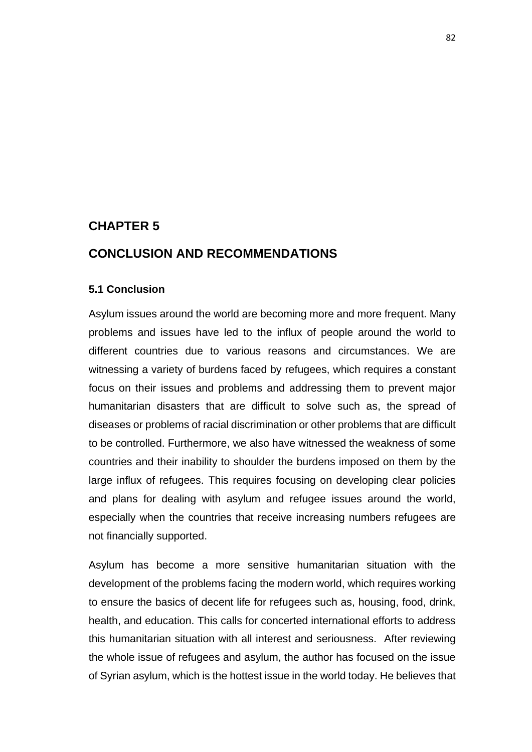# **CHAPTER 5**

# **CONCLUSION AND RECOMMENDATIONS**

#### **5.1 Conclusion**

Asylum issues around the world are becoming more and more frequent. Many problems and issues have led to the influx of people around the world to different countries due to various reasons and circumstances. We are witnessing a variety of burdens faced by refugees, which requires a constant focus on their issues and problems and addressing them to prevent major humanitarian disasters that are difficult to solve such as, the spread of diseases or problems of racial discrimination or other problems that are difficult to be controlled. Furthermore, we also have witnessed the weakness of some countries and their inability to shoulder the burdens imposed on them by the large influx of refugees. This requires focusing on developing clear policies and plans for dealing with asylum and refugee issues around the world, especially when the countries that receive increasing numbers refugees are not financially supported.

Asylum has become a more sensitive humanitarian situation with the development of the problems facing the modern world, which requires working to ensure the basics of decent life for refugees such as, housing, food, drink, health, and education. This calls for concerted international efforts to address this humanitarian situation with all interest and seriousness. After reviewing the whole issue of refugees and asylum, the author has focused on the issue of Syrian asylum, which is the hottest issue in the world today. He believes that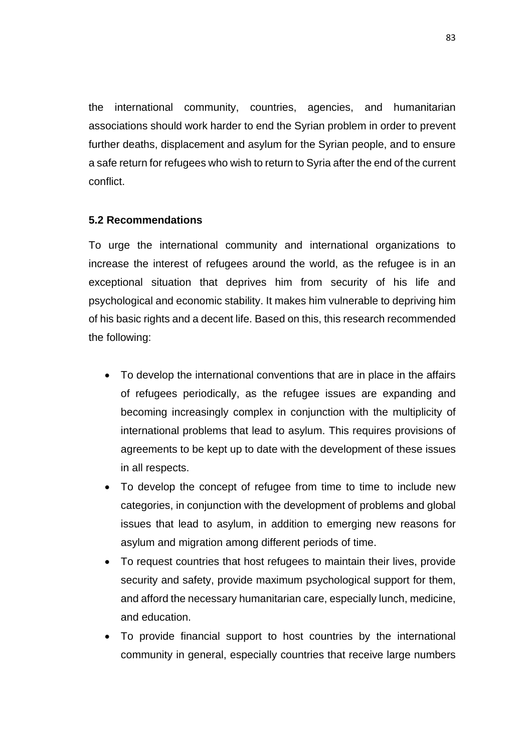the international community, countries, agencies, and humanitarian associations should work harder to end the Syrian problem in order to prevent further deaths, displacement and asylum for the Syrian people, and to ensure a safe return for refugees who wish to return to Syria after the end of the current conflict.

## **5.2 Recommendations**

To urge the international community and international organizations to increase the interest of refugees around the world, as the refugee is in an exceptional situation that deprives him from security of his life and psychological and economic stability. It makes him vulnerable to depriving him of his basic rights and a decent life. Based on this, this research recommended the following:

- To develop the international conventions that are in place in the affairs of refugees periodically, as the refugee issues are expanding and becoming increasingly complex in conjunction with the multiplicity of international problems that lead to asylum. This requires provisions of agreements to be kept up to date with the development of these issues in all respects.
- To develop the concept of refugee from time to time to include new categories, in conjunction with the development of problems and global issues that lead to asylum, in addition to emerging new reasons for asylum and migration among different periods of time.
- To request countries that host refugees to maintain their lives, provide security and safety, provide maximum psychological support for them, and afford the necessary humanitarian care, especially lunch, medicine, and education.
- To provide financial support to host countries by the international community in general, especially countries that receive large numbers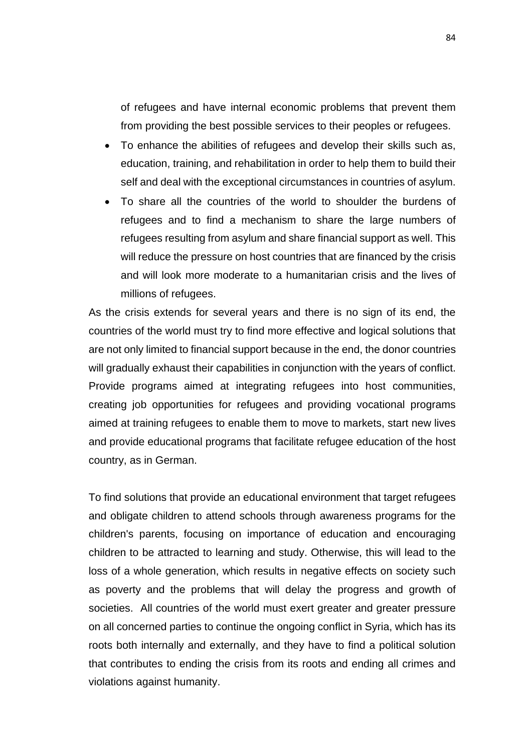of refugees and have internal economic problems that prevent them from providing the best possible services to their peoples or refugees.

- To enhance the abilities of refugees and develop their skills such as, education, training, and rehabilitation in order to help them to build their self and deal with the exceptional circumstances in countries of asylum.
- To share all the countries of the world to shoulder the burdens of refugees and to find a mechanism to share the large numbers of refugees resulting from asylum and share financial support as well. This will reduce the pressure on host countries that are financed by the crisis and will look more moderate to a humanitarian crisis and the lives of millions of refugees.

As the crisis extends for several years and there is no sign of its end, the countries of the world must try to find more effective and logical solutions that are not only limited to financial support because in the end, the donor countries will gradually exhaust their capabilities in conjunction with the years of conflict. Provide programs aimed at integrating refugees into host communities, creating job opportunities for refugees and providing vocational programs aimed at training refugees to enable them to move to markets, start new lives and provide educational programs that facilitate refugee education of the host country, as in German.

To find solutions that provide an educational environment that target refugees and obligate children to attend schools through awareness programs for the children's parents, focusing on importance of education and encouraging children to be attracted to learning and study. Otherwise, this will lead to the loss of a whole generation, which results in negative effects on society such as poverty and the problems that will delay the progress and growth of societies. All countries of the world must exert greater and greater pressure on all concerned parties to continue the ongoing conflict in Syria, which has its roots both internally and externally, and they have to find a political solution that contributes to ending the crisis from its roots and ending all crimes and violations against humanity.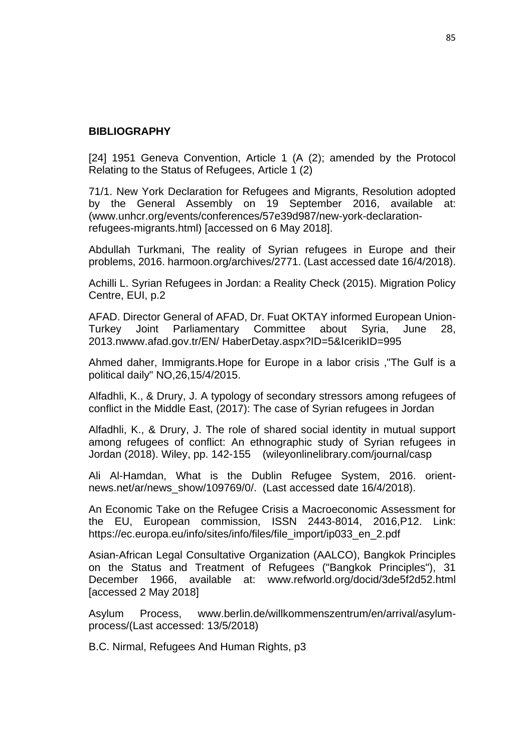#### **BIBLIOGRAPHY**

[24] 1951 Geneva Convention, Article 1 (A (2); amended by the Protocol Relating to the Status of Refugees, Article 1 (2)

71/1. New York Declaration for Refugees and Migrants, Resolution adopted by the General Assembly on 19 September 2016, available at: (www.unhcr.org/events/conferences/57e39d987/new-york-declarationrefugees-migrants.html) [accessed on 6 May 2018].

Abdullah Turkmani, The reality of Syrian refugees in Europe and their problems, 2016. harmoon.org/archives/2771. (Last accessed date 16/4/2018).

Achilli L. Syrian Refugees in Jordan: a Reality Check (2015). Migration Policy Centre, EUI, p.2

AFAD. Director General of AFAD, Dr. Fuat OKTAY informed European Union-Turkey Joint Parliamentary Committee about Syria, June 28, 2013.nwww.afad.gov.tr/EN/ HaberDetay.aspx?ID=5&IcerikID=995

Ahmed daher, Immigrants.Hope for Europe in a labor crisis ,"The Gulf is a political daily" NO,26,15/4/2015.

Alfadhli, K., & Drury, J. A typology of secondary stressors among refugees of conflict in the Middle East, (2017): The case of Syrian refugees in Jordan

Alfadhli, K., & Drury, J. The role of shared social identity in mutual support among refugees of conflict: An ethnographic study of Syrian refugees in Jordan (2018). Wiley, pp. 142-155 (wileyonlinelibrary.com/journal/casp

Ali Al-Hamdan, What is the Dublin Refugee System, 2016. orientnews.net/ar/news\_show/109769/0/. (Last accessed date 16/4/2018).

An Economic Take on the Refugee Crisis a Macroeconomic Assessment for the EU, European commission, ISSN 2443-8014, 2016,P12. Link: https://ec.europa.eu/info/sites/info/files/file\_import/ip033\_en\_2.pdf

Asian-African Legal Consultative Organization (AALCO), Bangkok Principles on the Status and Treatment of Refugees ("Bangkok Principles"), 31 December 1966, available at: www.refworld.org/docid/3de5f2d52.html [accessed 2 May 2018]

Asylum Process, www.berlin.de/willkommenszentrum/en/arrival/asylumprocess/(Last accessed: 13/5/2018)

B.C. Nirmal, Refugees And Human Rights, p3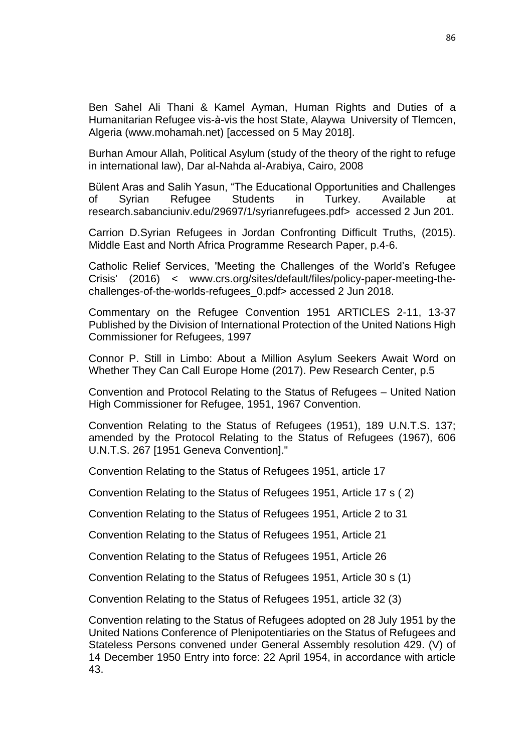Ben Sahel Ali Thani & Kamel Ayman, Human Rights and Duties of a Humanitarian Refugee vis-à-vis the host State, Alaywa University of Tlemcen, Algeria (www.mohamah.net) [accessed on 5 May 2018].

Burhan Amour Allah, Political Asylum (study of the theory of the right to refuge in international law), Dar al-Nahda al-Arabiya, Cairo, 2008

Bülent Aras and Salih Yasun, "The Educational Opportunities and Challenges of Syrian Refugee Students in Turkey. Available at research.sabanciuniv.edu/29697/1/syrianrefugees.pdf> accessed 2 Jun 201.

Carrion D.Syrian Refugees in Jordan Confronting Difficult Truths, (2015). Middle East and North Africa Programme Research Paper, p.4-6.

Catholic Relief Services, 'Meeting the Challenges of the World's Refugee Crisis' (2016) < www.crs.org/sites/default/files/policy-paper-meeting-thechallenges-of-the-worlds-refugees\_0.pdf> accessed 2 Jun 2018.

Commentary on the Refugee Convention 1951 ARTICLES 2-11, 13-37 Published by the Division of International Protection of the United Nations High Commissioner for Refugees, 1997

Connor P. Still in Limbo: About a Million Asylum Seekers Await Word on Whether They Can Call Europe Home (2017). Pew Research Center, p.5

Convention and Protocol Relating to the Status of Refugees – United Nation High Commissioner for Refugee, 1951, 1967 Convention.

Convention Relating to the Status of Refugees (1951), 189 U.N.T.S. 137; amended by the Protocol Relating to the Status of Refugees (1967), 606 U.N.T.S. 267 [1951 Geneva Convention]."

Convention Relating to the Status of Refugees 1951, article 17

Convention Relating to the Status of Refugees 1951, Article 17 s ( 2)

Convention Relating to the Status of Refugees 1951, Article 2 to 31

Convention Relating to the Status of Refugees 1951, Article 21

Convention Relating to the Status of Refugees 1951, Article 26

Convention Relating to the Status of Refugees 1951, Article 30 s (1)

Convention Relating to the Status of Refugees 1951, article 32 (3)

Convention relating to the Status of Refugees adopted on 28 July 1951 by the United Nations Conference of Plenipotentiaries on the Status of Refugees and Stateless Persons convened under General Assembly resolution 429. (V) of 14 December 1950 Entry into force: 22 April 1954, in accordance with article 43.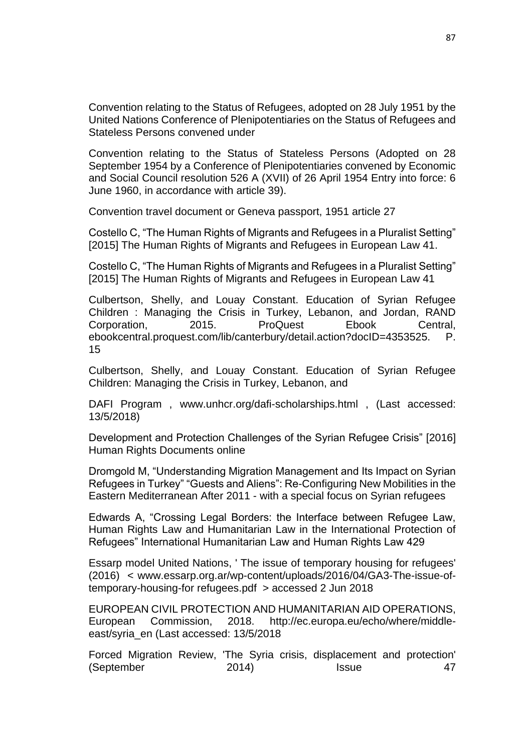Convention relating to the Status of Refugees, adopted on 28 July 1951 by the United Nations Conference of Plenipotentiaries on the Status of Refugees and Stateless Persons convened under

Convention relating to the Status of Stateless Persons (Adopted on 28 September 1954 by a Conference of Plenipotentiaries convened by Economic and Social Council resolution 526 A (XVII) of 26 April 1954 Entry into force: 6 June 1960, in accordance with article 39).

Convention travel document or Geneva passport, 1951 article 27

Costello C, "The Human Rights of Migrants and Refugees in a Pluralist Setting" [2015] The Human Rights of Migrants and Refugees in European Law 41.

Costello C, "The Human Rights of Migrants and Refugees in a Pluralist Setting" [2015] The Human Rights of Migrants and Refugees in European Law 41

Culbertson, Shelly, and Louay Constant. Education of Syrian Refugee Children : Managing the Crisis in Turkey, Lebanon, and Jordan, RAND Corporation, 2015. ProQuest Ebook Central, ebookcentral.proquest.com/lib/canterbury/detail.action?docID=4353525. P. 15

Culbertson, Shelly, and Louay Constant. Education of Syrian Refugee Children: Managing the Crisis in Turkey, Lebanon, and

DAFI Program , www.unhcr.org/dafi-scholarships.html , (Last accessed: 13/5/2018)

Development and Protection Challenges of the Syrian Refugee Crisis" [2016] Human Rights Documents online

Dromgold M, "Understanding Migration Management and Its Impact on Syrian Refugees in Turkey" "Guests and Aliens": Re-Configuring New Mobilities in the Eastern Mediterranean After 2011 - with a special focus on Syrian refugees

Edwards A, "Crossing Legal Borders: the Interface between Refugee Law, Human Rights Law and Humanitarian Law in the International Protection of Refugees" International Humanitarian Law and Human Rights Law 429

Essarp model United Nations, ' The issue of temporary housing for refugees' (2016) < www.essarp.org.ar/wp-content/uploads/2016/04/GA3-The-issue-oftemporary-housing-for refugees.pdf > accessed 2 Jun 2018

EUROPEAN CIVIL PROTECTION AND HUMANITARIAN AID OPERATIONS, European Commission, 2018. http://ec.europa.eu/echo/where/middleeast/syria\_en (Last accessed: 13/5/2018

Forced Migration Review, 'The Syria crisis, displacement and protection' (September 2014) Issue 47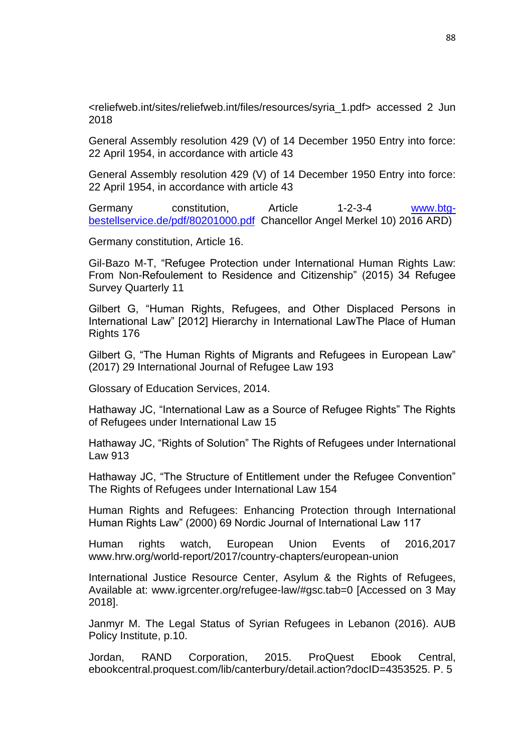<reliefweb.int/sites/reliefweb.int/files/resources/syria\_1.pdf> accessed 2 Jun 2018

General Assembly resolution 429 (V) of 14 December 1950 Entry into force: 22 April 1954, in accordance with article 43

General Assembly resolution 429 (V) of 14 December 1950 Entry into force: 22 April 1954, in accordance with article 43

Germany constitution, Article 1-2-3-4 [www.btg](http://www.btg-bestellservice.de/pdf/80201000.pdf)[bestellservice.de/pdf/80201000.pdf](http://www.btg-bestellservice.de/pdf/80201000.pdf) Chancellor Angel Merkel 10) 2016 ARD)

Germany constitution, Article 16.

Gil-Bazo M-T, "Refugee Protection under International Human Rights Law: From Non-Refoulement to Residence and Citizenship" (2015) 34 Refugee Survey Quarterly 11

Gilbert G, "Human Rights, Refugees, and Other Displaced Persons in International Law" [2012] Hierarchy in International LawThe Place of Human Rights 176

Gilbert G, "The Human Rights of Migrants and Refugees in European Law" (2017) 29 International Journal of Refugee Law 193

Glossary of Education Services, 2014.

Hathaway JC, "International Law as a Source of Refugee Rights" The Rights of Refugees under International Law 15

Hathaway JC, "Rights of Solution" The Rights of Refugees under International Law 913

Hathaway JC, "The Structure of Entitlement under the Refugee Convention" The Rights of Refugees under International Law 154

Human Rights and Refugees: Enhancing Protection through International Human Rights Law" (2000) 69 Nordic Journal of International Law 117

Human rights watch, European Union Events of 2016,2017 www.hrw.org/world-report/2017/country-chapters/european-union

International Justice Resource Center, Asylum & the Rights of Refugees, Available at: www.igrcenter.org/refugee-law/#gsc.tab=0 [Accessed on 3 May 2018].

Janmyr M. The Legal Status of Syrian Refugees in Lebanon (2016). AUB Policy Institute, p.10.

Jordan, RAND Corporation, 2015. ProQuest Ebook Central, ebookcentral.proquest.com/lib/canterbury/detail.action?docID=4353525. P. 5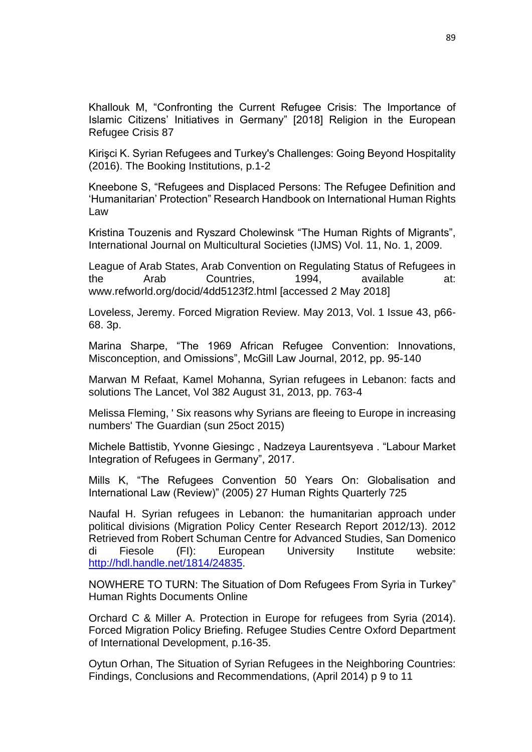Khallouk M, "Confronting the Current Refugee Crisis: The Importance of Islamic Citizens' Initiatives in Germany" [2018] Religion in the European Refugee Crisis 87

Kirişci K. Syrian Refugees and Turkey's Challenges: Going Beyond Hospitality (2016). The Booking Institutions, p.1-2

Kneebone S, "Refugees and Displaced Persons: The Refugee Definition and 'Humanitarian' Protection" Research Handbook on International Human Rights Law

Kristina Touzenis and Ryszard Cholewinsk "The Human Rights of Migrants", International Journal on Multicultural Societies (IJMS) Vol. 11, No. 1, 2009.

League of Arab States, Arab Convention on Regulating Status of Refugees in the Arab Countries, 1994, available at: www.refworld.org/docid/4dd5123f2.html [accessed 2 May 2018]

Loveless, Jeremy. Forced Migration Review. May 2013, Vol. 1 Issue 43, p66- 68. 3p.

Marina Sharpe, "The 1969 African Refugee Convention: Innovations, Misconception, and Omissions", McGill Law Journal, 2012, pp. 95-140

Marwan M Refaat, Kamel Mohanna, Syrian refugees in Lebanon: facts and solutions The Lancet, Vol 382 August 31, 2013, pp. 763-4

Melissa Fleming, ' Six reasons why Syrians are fleeing to Europe in increasing numbers' The Guardian (sun 25oct 2015)

Michele Battistib, Yvonne Giesingc , Nadzeya Laurentsyeva . "Labour Market Integration of Refugees in Germany", 2017.

Mills K, "The Refugees Convention 50 Years On: Globalisation and International Law (Review)" (2005) 27 Human Rights Quarterly 725

Naufal H. Syrian refugees in Lebanon: the humanitarian approach under political divisions (Migration Policy Center Research Report 2012/13). 2012 Retrieved from Robert Schuman Centre for Advanced Studies, San Domenico di Fiesole (FI): European University Institute website: [http://hdl.handle.net/1814/24835.](http://hdl.handle.net/1814/24835)

NOWHERE TO TURN: The Situation of Dom Refugees From Syria in Turkey" Human Rights Documents Online

Orchard C & Miller A. Protection in Europe for refugees from Syria (2014). Forced Migration Policy Briefing. Refugee Studies Centre Oxford Department of International Development, p.16-35.

Oytun Orhan, The Situation of Syrian Refugees in the Neighboring Countries: Findings, Conclusions and Recommendations, (April 2014) p 9 to 11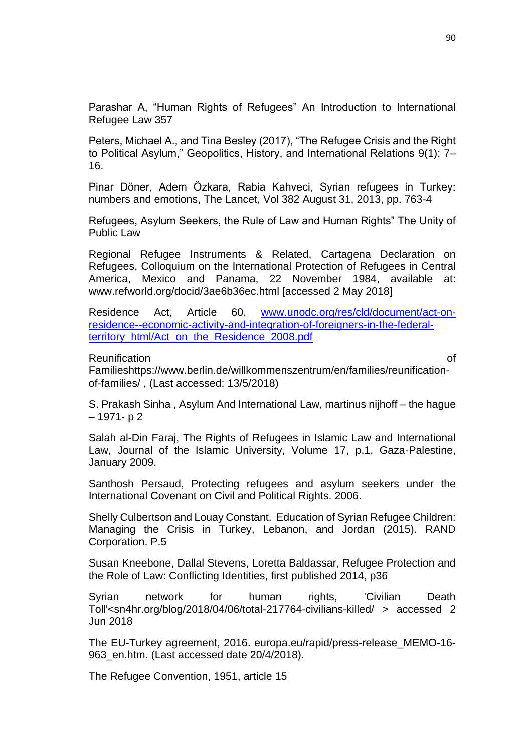Parashar A, "Human Rights of Refugees" An Introduction to International Refugee Law 357

Peters, Michael A., and Tina Besley (2017), "The Refugee Crisis and the Right to Political Asylum," Geopolitics, History, and International Relations 9(1): 7– 16.

Pinar Döner, Adem Özkara, Rabia Kahveci, Syrian refugees in Turkey: numbers and emotions, The Lancet, Vol 382 August 31, 2013, pp. 763-4

Refugees, Asylum Seekers, the Rule of Law and Human Rights" The Unity of Public Law

Regional Refugee Instruments & Related, Cartagena Declaration on Refugees, Colloquium on the International Protection of Refugees in Central America, Mexico and Panama, 22 November 1984, available at: www.refworld.org/docid/3ae6b36ec.html [accessed 2 May 2018]

Residence Act, Article 60, [www.unodc.org/res/cld/document/act-on](http://www.unodc.org/res/cld/document/act-on-residence--economic-activity-and-integration-of-foreigners-in-the-federal-territory_html/Act_on_the_Residence_2008.pdf)[residence--economic-activity-and-integration-of-foreigners-in-the-federal](http://www.unodc.org/res/cld/document/act-on-residence--economic-activity-and-integration-of-foreigners-in-the-federal-territory_html/Act_on_the_Residence_2008.pdf)[territory\\_html/Act\\_on\\_the\\_Residence\\_2008.pdf](http://www.unodc.org/res/cld/document/act-on-residence--economic-activity-and-integration-of-foreigners-in-the-federal-territory_html/Act_on_the_Residence_2008.pdf)

Reunification **of** the contract of the contract of the contract of the contract of the contract of the contract of the contract of the contract of the contract of the contract of the contract of the contract of the contrac

Familieshttps://www.berlin.de/willkommenszentrum/en/families/reunificationof-families/ , (Last accessed: 13/5/2018)

S. Prakash Sinha , Asylum And International Law, martinus nijhoff – the hague – 1971- p 2

Salah al-Din Faraj, The Rights of Refugees in Islamic Law and International Law, Journal of the Islamic University, Volume 17, p.1, Gaza-Palestine, January 2009.

Santhosh Persaud, Protecting refugees and asylum seekers under the International Covenant on Civil and Political Rights. 2006.

Shelly Culbertson and Louay Constant. Education of Syrian Refugee Children: Managing the Crisis in Turkey, Lebanon, and Jordan (2015). RAND Corporation. P.5

Susan Kneebone, Dallal Stevens, Loretta Baldassar, Refugee Protection and the Role of Law: Conflicting Identities, first published 2014, p36

Syrian network for human rights, 'Civilian Death Toll'<sn4hr.org/blog/2018/04/06/total-217764-civilians-killed/ > accessed 2 Jun 2018

The EU-Turkey agreement, 2016. europa.eu/rapid/press-release\_MEMO-16- 963 en.htm. (Last accessed date 20/4/2018).

The Refugee Convention, 1951, article 15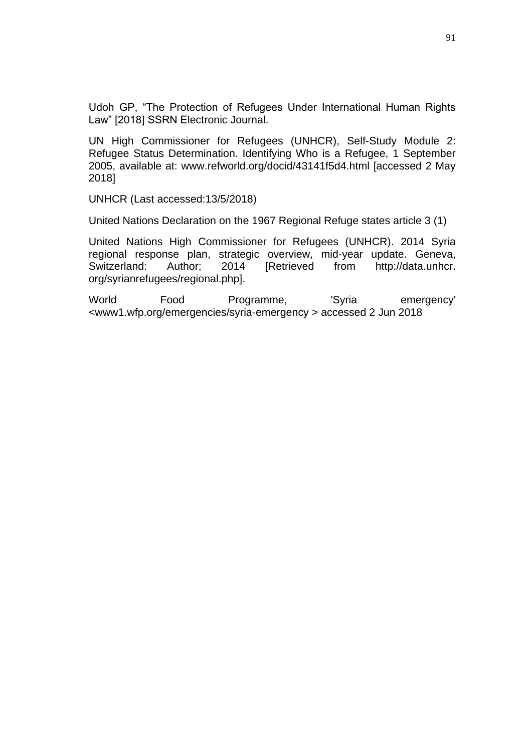Udoh GP, "The Protection of Refugees Under International Human Rights Law" [2018] SSRN Electronic Journal.

UN High Commissioner for Refugees (UNHCR), Self-Study Module 2: Refugee Status Determination. Identifying Who is a Refugee, 1 September 2005, available at: www.refworld.org/docid/43141f5d4.html [accessed 2 May 2018]

UNHCR (Last accessed:13/5/2018)

United Nations Declaration on the 1967 Regional Refuge states article 3 (1)

United Nations High Commissioner for Refugees (UNHCR). 2014 Syria regional response plan, strategic overview, mid-year update. Geneva, Switzerland: Author; 2014 [Retrieved from http://data.unhcr. org/syrianrefugees/regional.php].

World Food Programme, 'Syria emergency' <www1.wfp.org/emergencies/syria-emergency > accessed 2 Jun 2018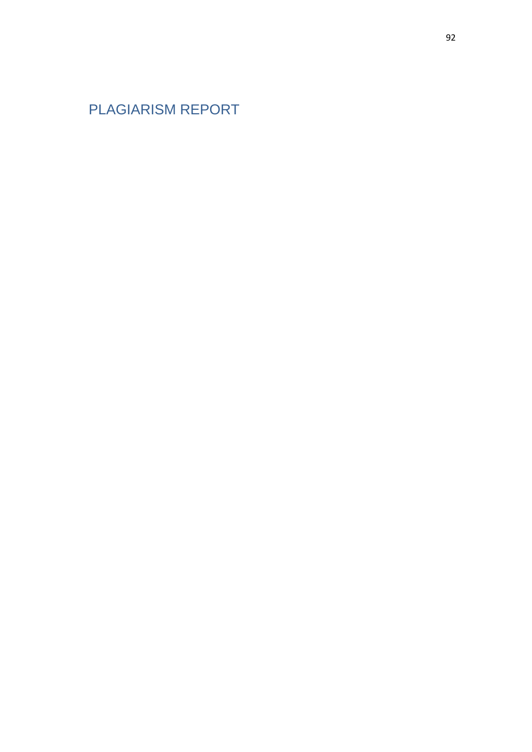PLAGIARISM REPORT